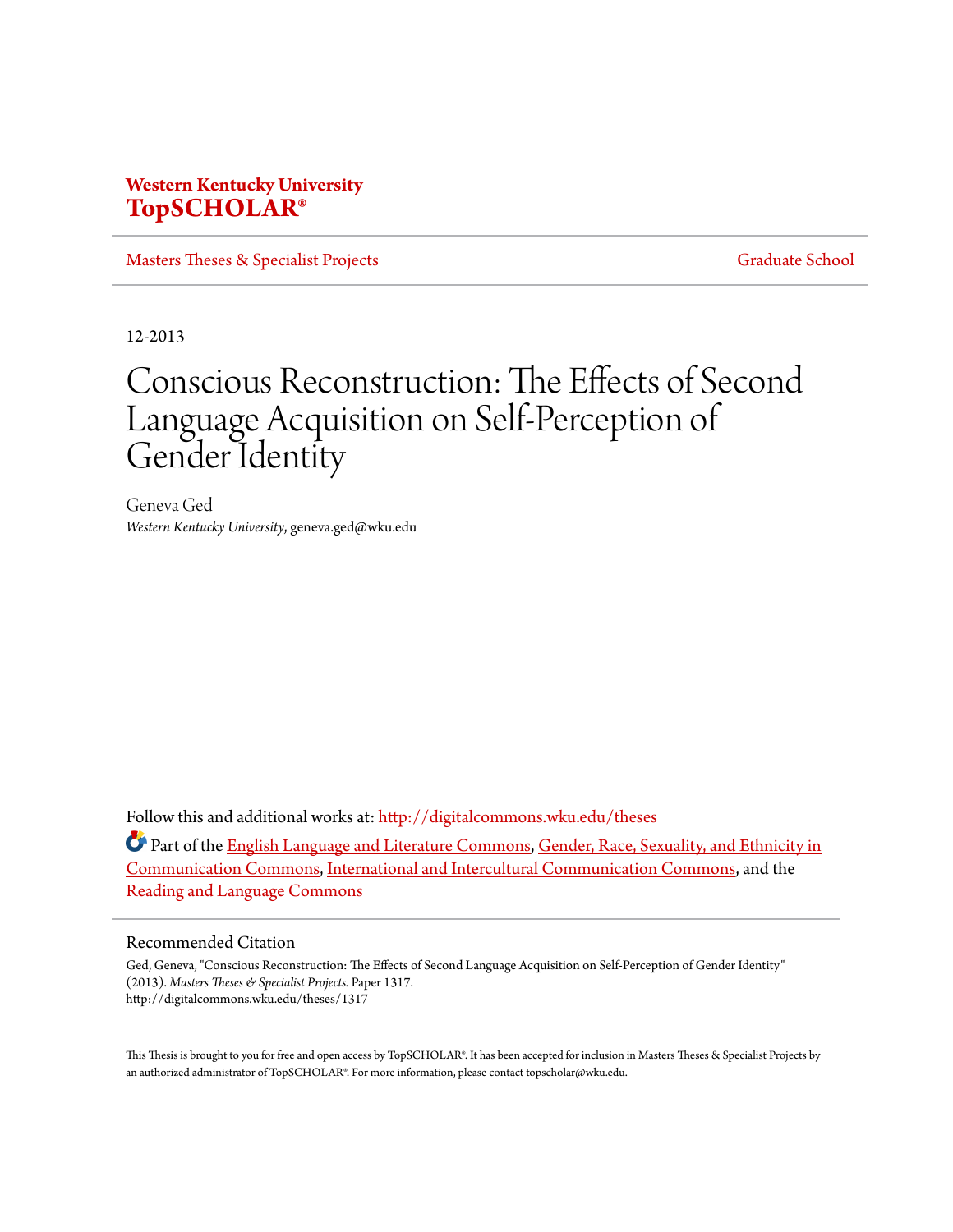# **Western Kentucky University [TopSCHOLAR®](http://digitalcommons.wku.edu?utm_source=digitalcommons.wku.edu%2Ftheses%2F1317&utm_medium=PDF&utm_campaign=PDFCoverPages)**

[Masters Theses & Specialist Projects](http://digitalcommons.wku.edu/theses?utm_source=digitalcommons.wku.edu%2Ftheses%2F1317&utm_medium=PDF&utm_campaign=PDFCoverPages) [Graduate School](http://digitalcommons.wku.edu/Graduate?utm_source=digitalcommons.wku.edu%2Ftheses%2F1317&utm_medium=PDF&utm_campaign=PDFCoverPages)

12-2013

# Conscious Reconstruction: The Effects of Second Language Acquisition on Self-Perception of Gender Identity

Geneva Ged *Western Kentucky University*, geneva.ged@wku.edu

Follow this and additional works at: [http://digitalcommons.wku.edu/theses](http://digitalcommons.wku.edu/theses?utm_source=digitalcommons.wku.edu%2Ftheses%2F1317&utm_medium=PDF&utm_campaign=PDFCoverPages)

Part of the [English Language and Literature Commons](http://network.bepress.com/hgg/discipline/455?utm_source=digitalcommons.wku.edu%2Ftheses%2F1317&utm_medium=PDF&utm_campaign=PDFCoverPages), [Gender, Race, Sexuality, and Ethnicity in](http://network.bepress.com/hgg/discipline/329?utm_source=digitalcommons.wku.edu%2Ftheses%2F1317&utm_medium=PDF&utm_campaign=PDFCoverPages) [Communication Commons,](http://network.bepress.com/hgg/discipline/329?utm_source=digitalcommons.wku.edu%2Ftheses%2F1317&utm_medium=PDF&utm_campaign=PDFCoverPages) [International and Intercultural Communication Commons,](http://network.bepress.com/hgg/discipline/331?utm_source=digitalcommons.wku.edu%2Ftheses%2F1317&utm_medium=PDF&utm_campaign=PDFCoverPages) and the [Reading and Language Commons](http://network.bepress.com/hgg/discipline/1037?utm_source=digitalcommons.wku.edu%2Ftheses%2F1317&utm_medium=PDF&utm_campaign=PDFCoverPages)

### Recommended Citation

Ged, Geneva, "Conscious Reconstruction: The Effects of Second Language Acquisition on Self-Perception of Gender Identity" (2013). *Masters Theses & Specialist Projects.* Paper 1317. http://digitalcommons.wku.edu/theses/1317

This Thesis is brought to you for free and open access by TopSCHOLAR®. It has been accepted for inclusion in Masters Theses & Specialist Projects by an authorized administrator of TopSCHOLAR®. For more information, please contact topscholar@wku.edu.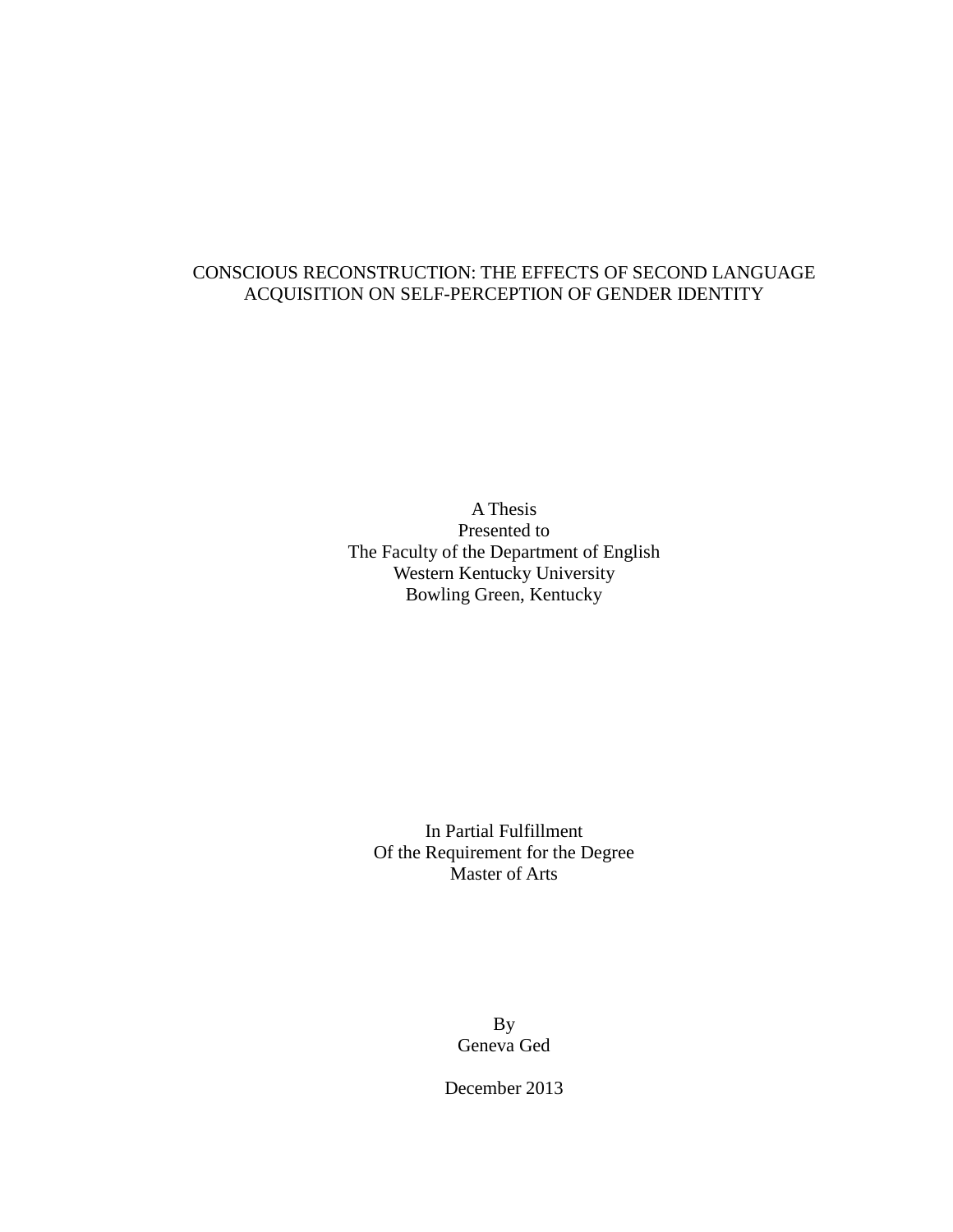# CONSCIOUS RECONSTRUCTION: THE EFFECTS OF SECOND LANGUAGE ACQUISITION ON SELF-PERCEPTION OF GENDER IDENTITY

A Thesis Presented to The Faculty of the Department of English Western Kentucky University Bowling Green, Kentucky

In Partial Fulfillment Of the Requirement for the Degree Master of Arts

> By Geneva Ged

December 2013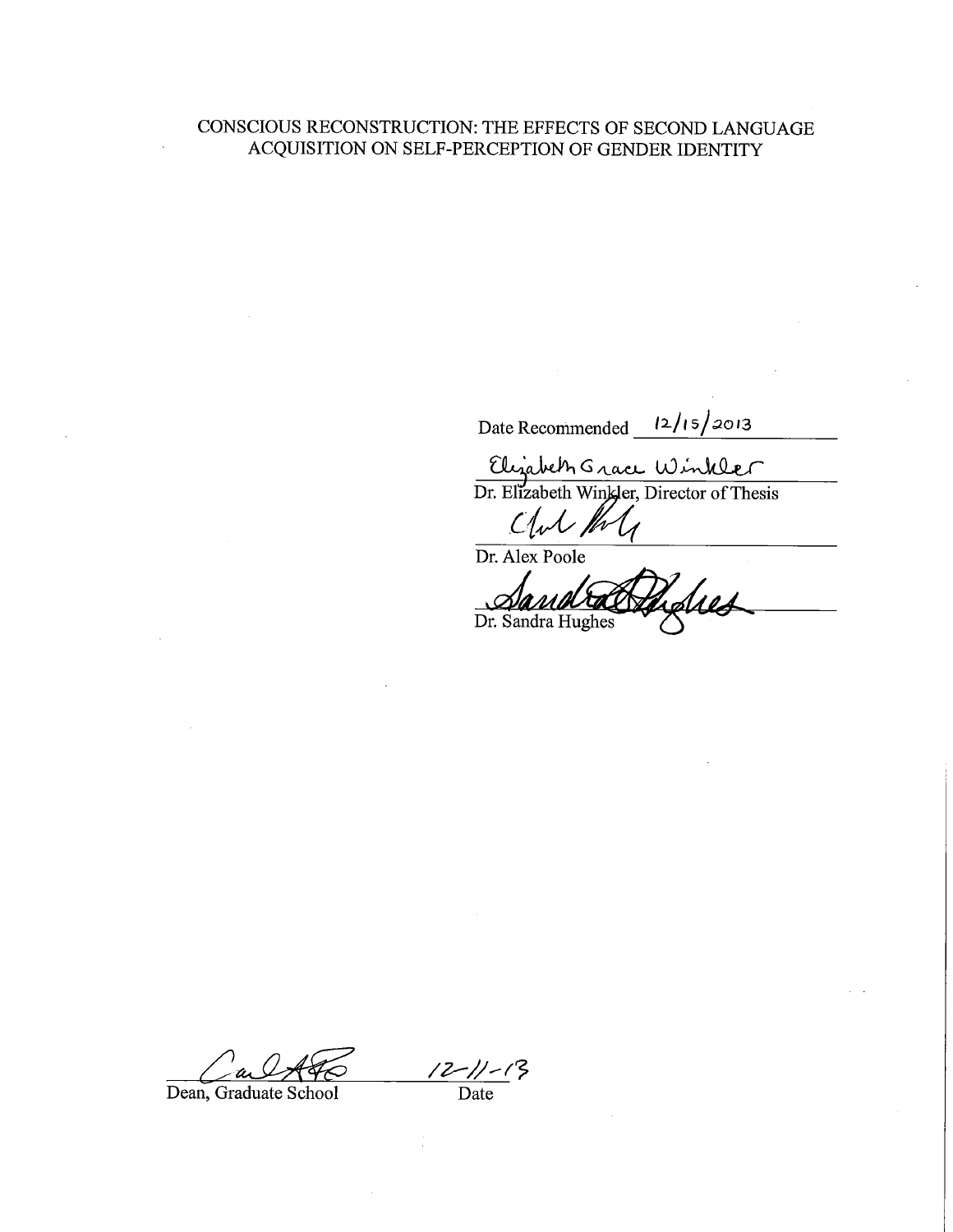# CONSCIOUS RECONSTRUCTION: THE EFFECTS OF SECOND LANGUAGE ACQUISITION ON SELF-PERCEPTION OF GENDER IDENTITY

Date Recommended  $\frac{12}{15}$  2013

Elizabeth Grace Winkler

Club the

Dr. Alex Poole Sus Dr. Sandra Hughes

 $\frac{12-\frac{11}{5}}{2}$  Date

Dean, Graduate School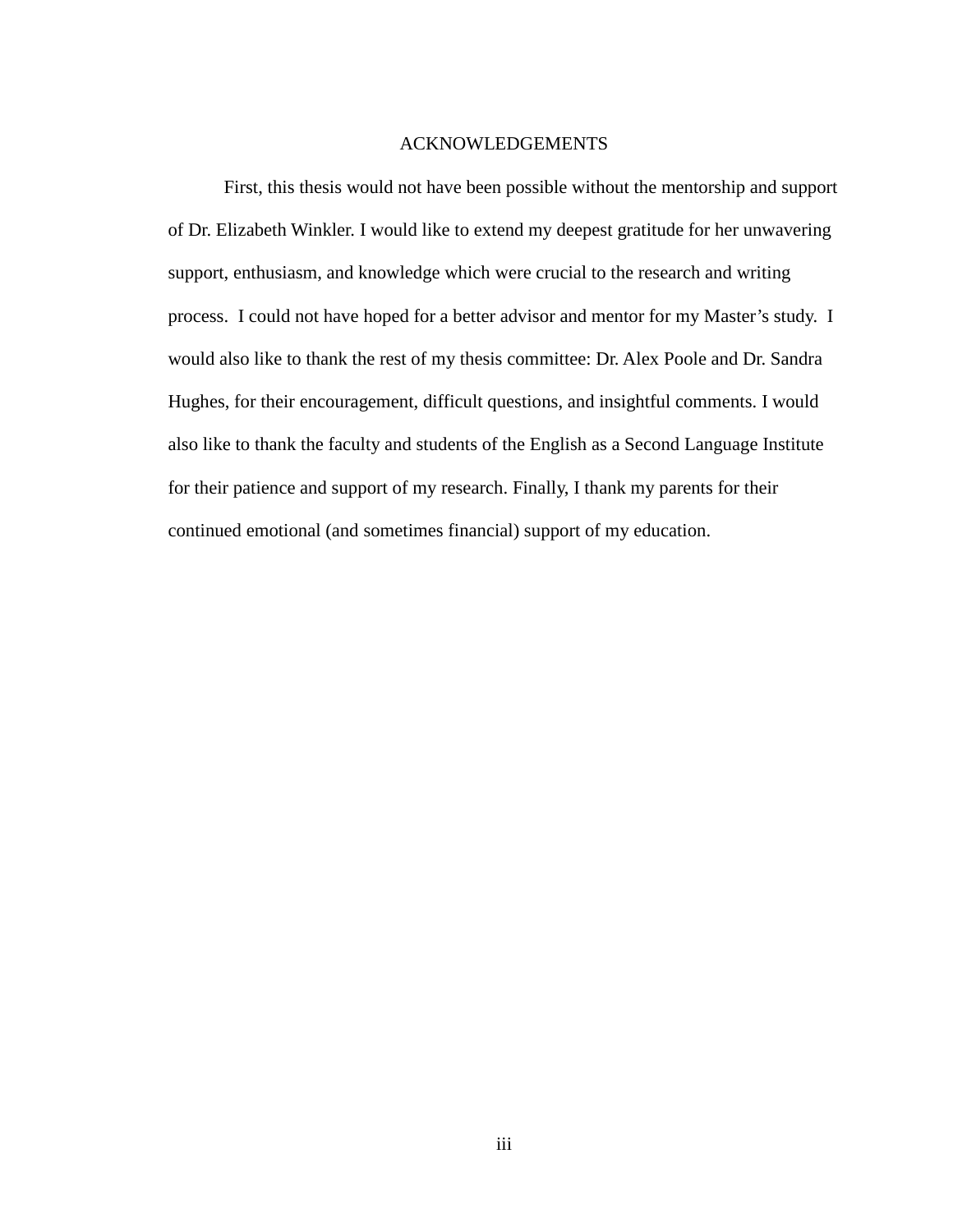## ACKNOWLEDGEMENTS

First, this thesis would not have been possible without the mentorship and support of Dr. Elizabeth Winkler. I would like to extend my deepest gratitude for her unwavering support, enthusiasm, and knowledge which were crucial to the research and writing process. I could not have hoped for a better advisor and mentor for my Master's study. I would also like to thank the rest of my thesis committee: Dr. Alex Poole and Dr. Sandra Hughes, for their encouragement, difficult questions, and insightful comments. I would also like to thank the faculty and students of the English as a Second Language Institute for their patience and support of my research. Finally, I thank my parents for their continued emotional (and sometimes financial) support of my education.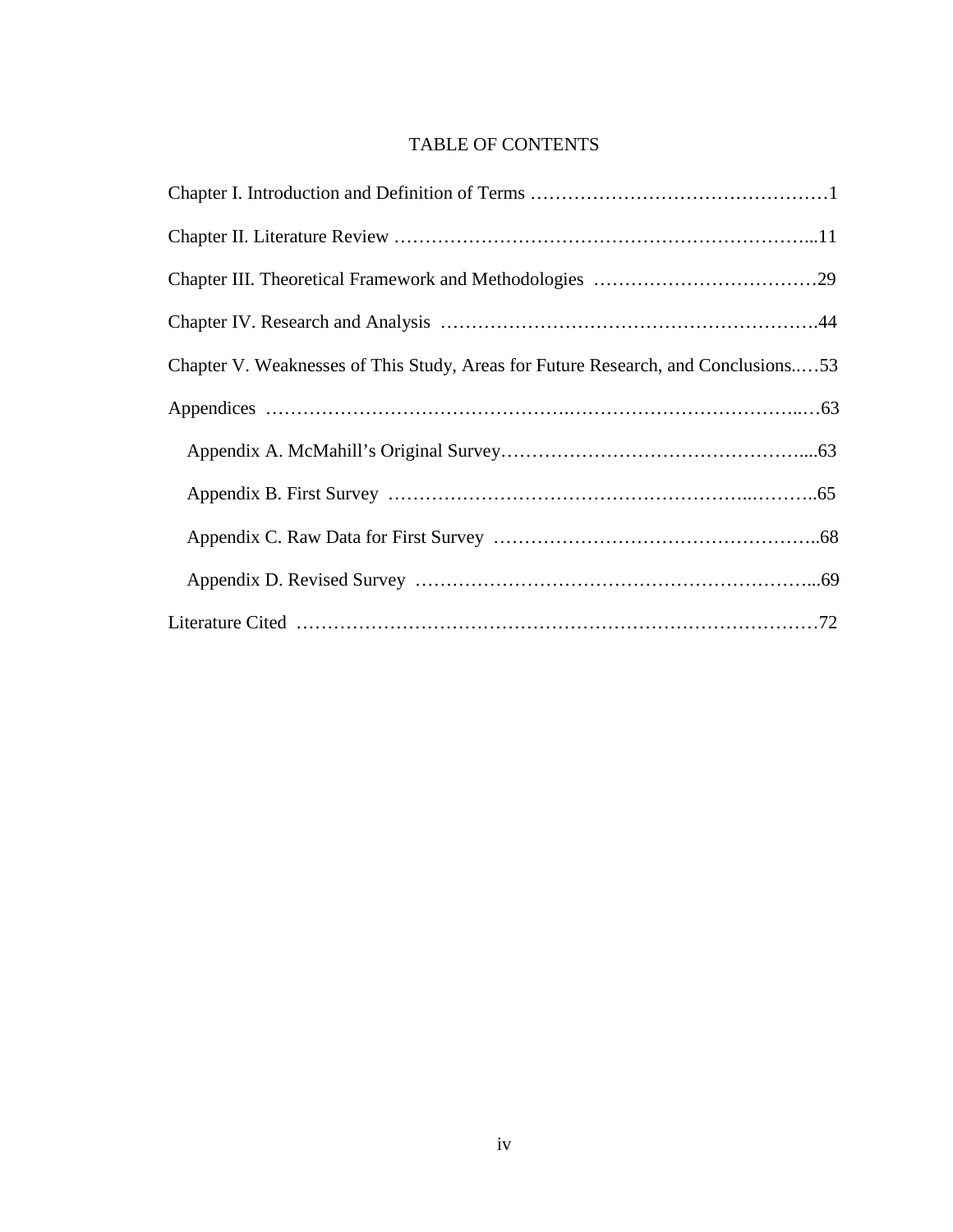# TABLE OF CONTENTS

| Chapter V. Weaknesses of This Study, Areas for Future Research, and Conclusions53 |
|-----------------------------------------------------------------------------------|
|                                                                                   |
|                                                                                   |
|                                                                                   |
|                                                                                   |
|                                                                                   |
|                                                                                   |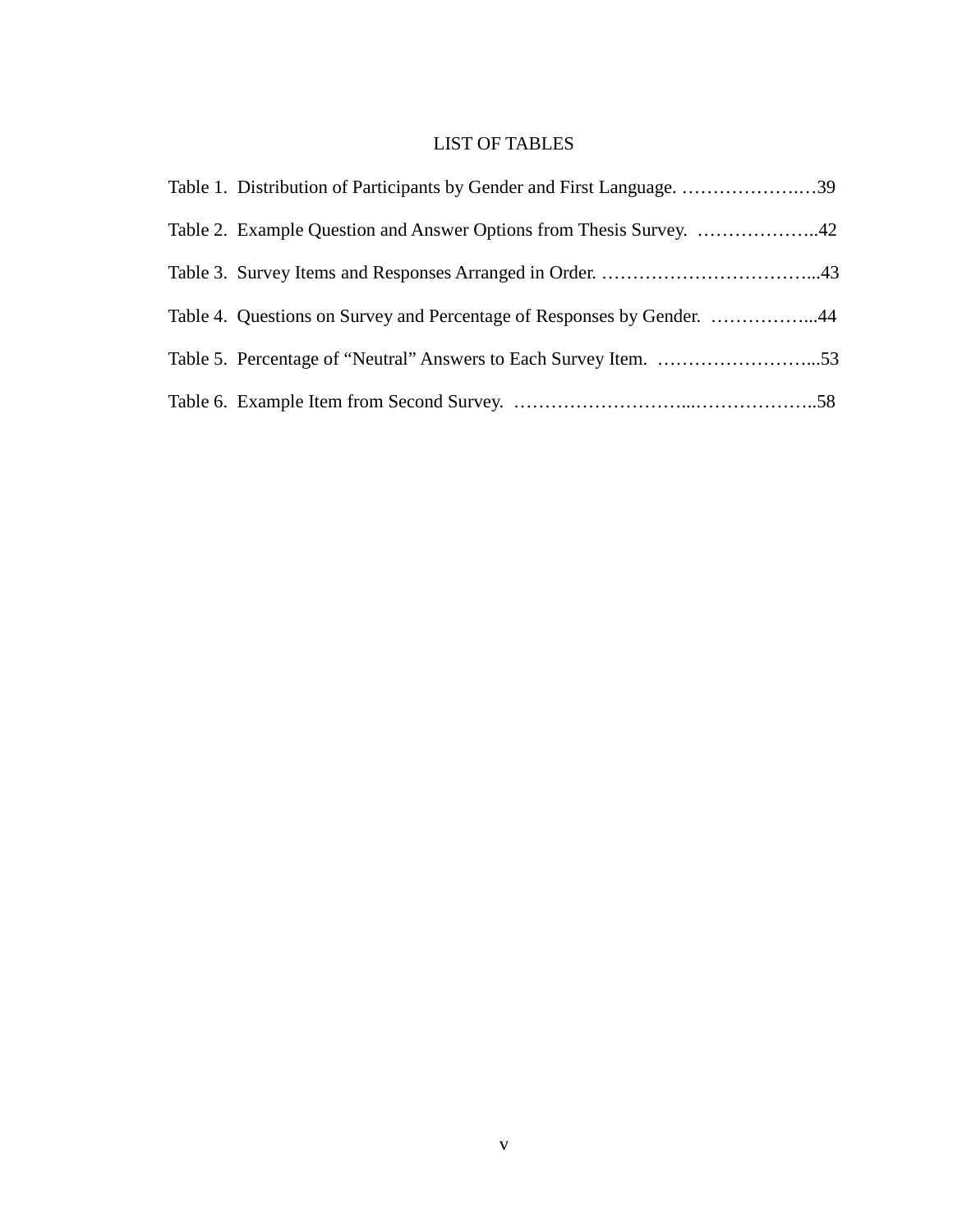# LIST OF TABLES

| Table 1. Distribution of Participants by Gender and First Language. 39 |
|------------------------------------------------------------------------|
|                                                                        |
|                                                                        |
| Table 4. Questions on Survey and Percentage of Responses by Gender. 44 |
|                                                                        |
|                                                                        |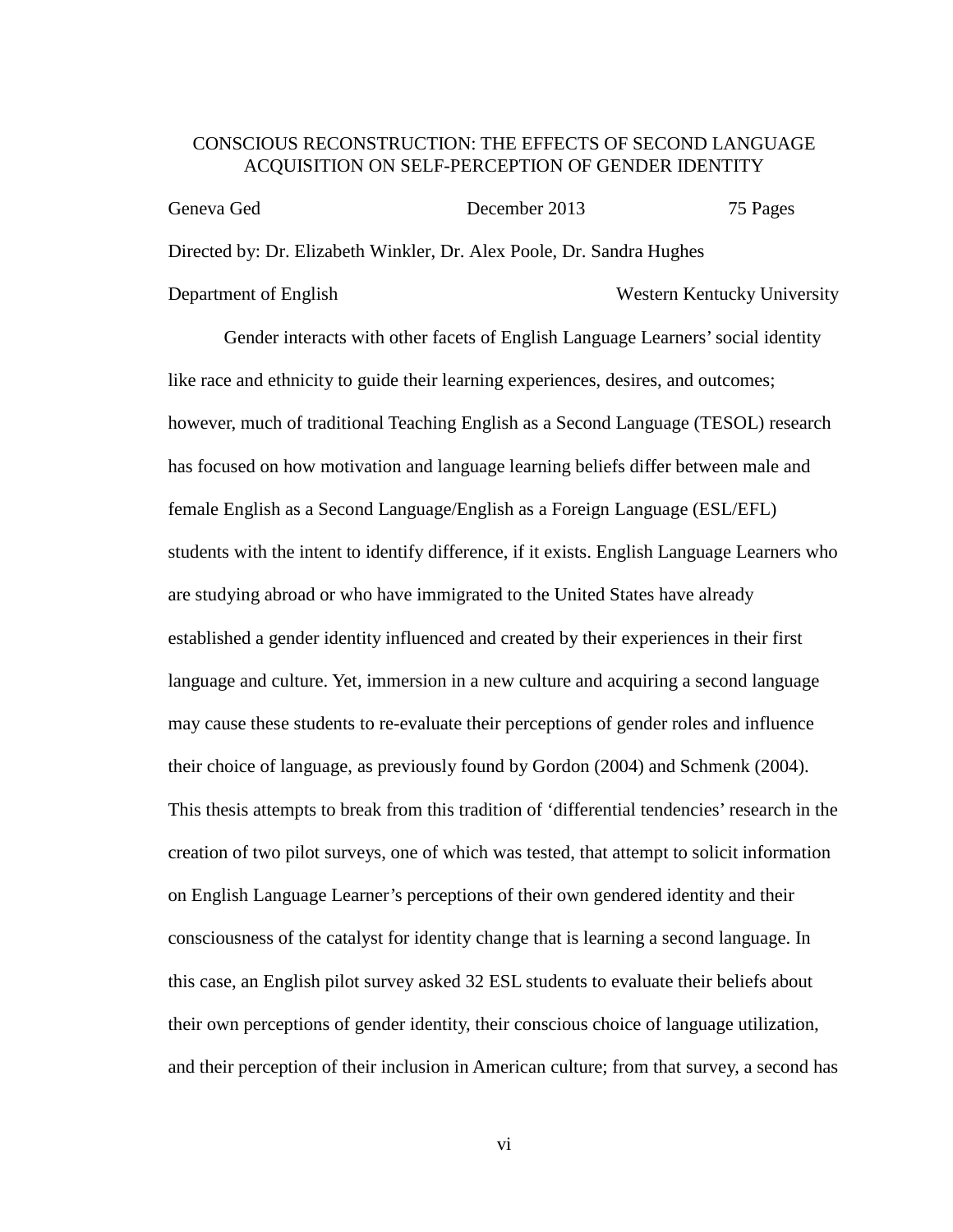# CONSCIOUS RECONSTRUCTION: THE EFFECTS OF SECOND LANGUAGE ACQUISITION ON SELF-PERCEPTION OF GENDER IDENTITY

| Geneva Ged                                                            | December 2013 | 75 Pages                    |  |  |  |
|-----------------------------------------------------------------------|---------------|-----------------------------|--|--|--|
| Directed by: Dr. Elizabeth Winkler, Dr. Alex Poole, Dr. Sandra Hughes |               |                             |  |  |  |
| Department of English                                                 |               | Western Kentucky University |  |  |  |

Gender interacts with other facets of English Language Learners' social identity like race and ethnicity to guide their learning experiences, desires, and outcomes; however, much of traditional Teaching English as a Second Language (TESOL) research has focused on how motivation and language learning beliefs differ between male and female English as a Second Language/English as a Foreign Language (ESL/EFL) students with the intent to identify difference, if it exists. English Language Learners who are studying abroad or who have immigrated to the United States have already established a gender identity influenced and created by their experiences in their first language and culture. Yet, immersion in a new culture and acquiring a second language may cause these students to re-evaluate their perceptions of gender roles and influence their choice of language, as previously found by Gordon (2004) and Schmenk (2004). This thesis attempts to break from this tradition of 'differential tendencies' research in the creation of two pilot surveys, one of which was tested, that attempt to solicit information on English Language Learner's perceptions of their own gendered identity and their consciousness of the catalyst for identity change that is learning a second language. In this case, an English pilot survey asked 32 ESL students to evaluate their beliefs about their own perceptions of gender identity, their conscious choice of language utilization, and their perception of their inclusion in American culture; from that survey, a second has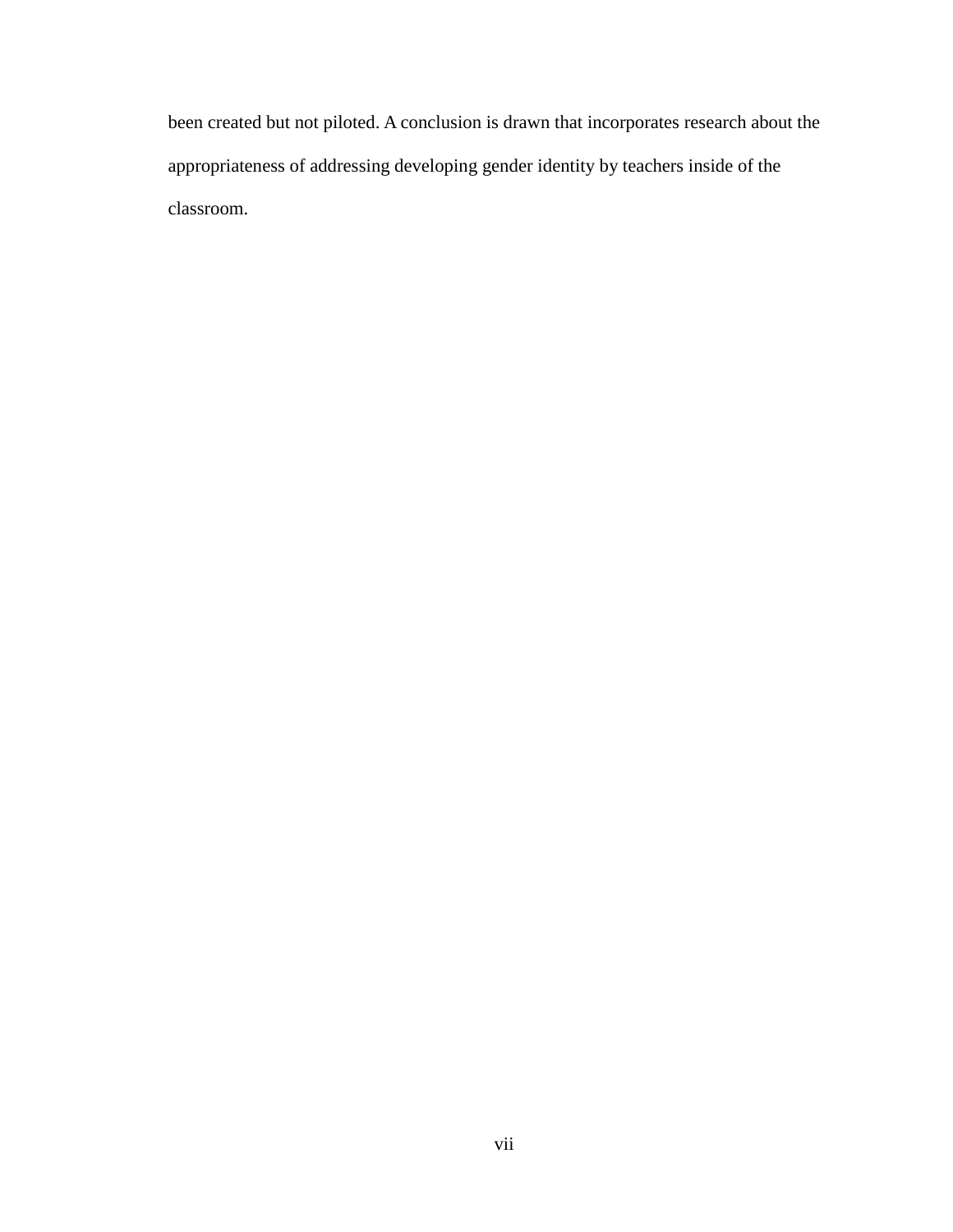been created but not piloted. A conclusion is drawn that incorporates research about the appropriateness of addressing developing gender identity by teachers inside of the classroom.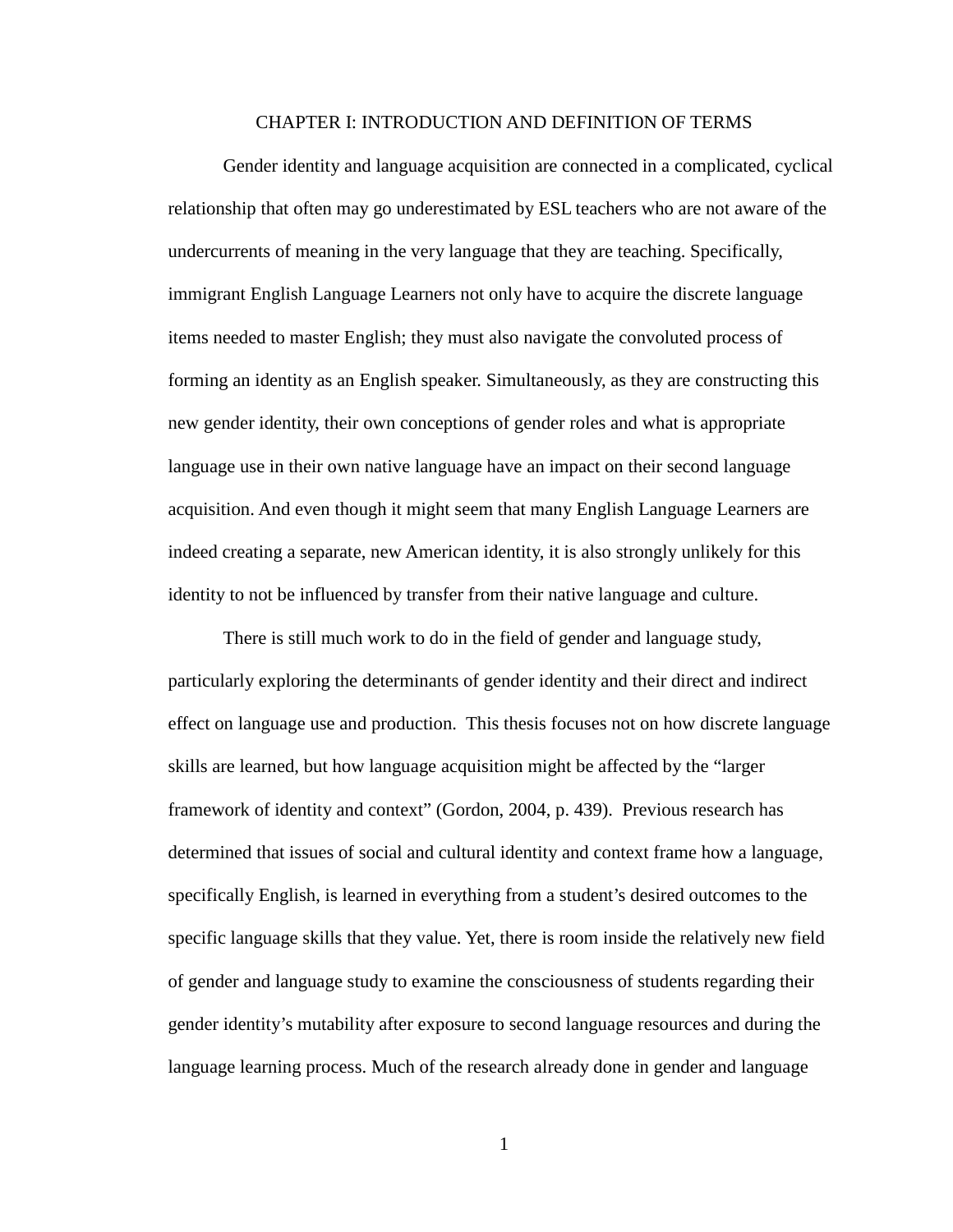### CHAPTER I: INTRODUCTION AND DEFINITION OF TERMS

Gender identity and language acquisition are connected in a complicated, cyclical relationship that often may go underestimated by ESL teachers who are not aware of the undercurrents of meaning in the very language that they are teaching. Specifically, immigrant English Language Learners not only have to acquire the discrete language items needed to master English; they must also navigate the convoluted process of forming an identity as an English speaker. Simultaneously, as they are constructing this new gender identity, their own conceptions of gender roles and what is appropriate language use in their own native language have an impact on their second language acquisition. And even though it might seem that many English Language Learners are indeed creating a separate, new American identity, it is also strongly unlikely for this identity to not be influenced by transfer from their native language and culture.

There is still much work to do in the field of gender and language study, particularly exploring the determinants of gender identity and their direct and indirect effect on language use and production. This thesis focuses not on how discrete language skills are learned, but how language acquisition might be affected by the "larger framework of identity and context" (Gordon, 2004, p. 439). Previous research has determined that issues of social and cultural identity and context frame how a language, specifically English, is learned in everything from a student's desired outcomes to the specific language skills that they value. Yet, there is room inside the relatively new field of gender and language study to examine the consciousness of students regarding their gender identity's mutability after exposure to second language resources and during the language learning process. Much of the research already done in gender and language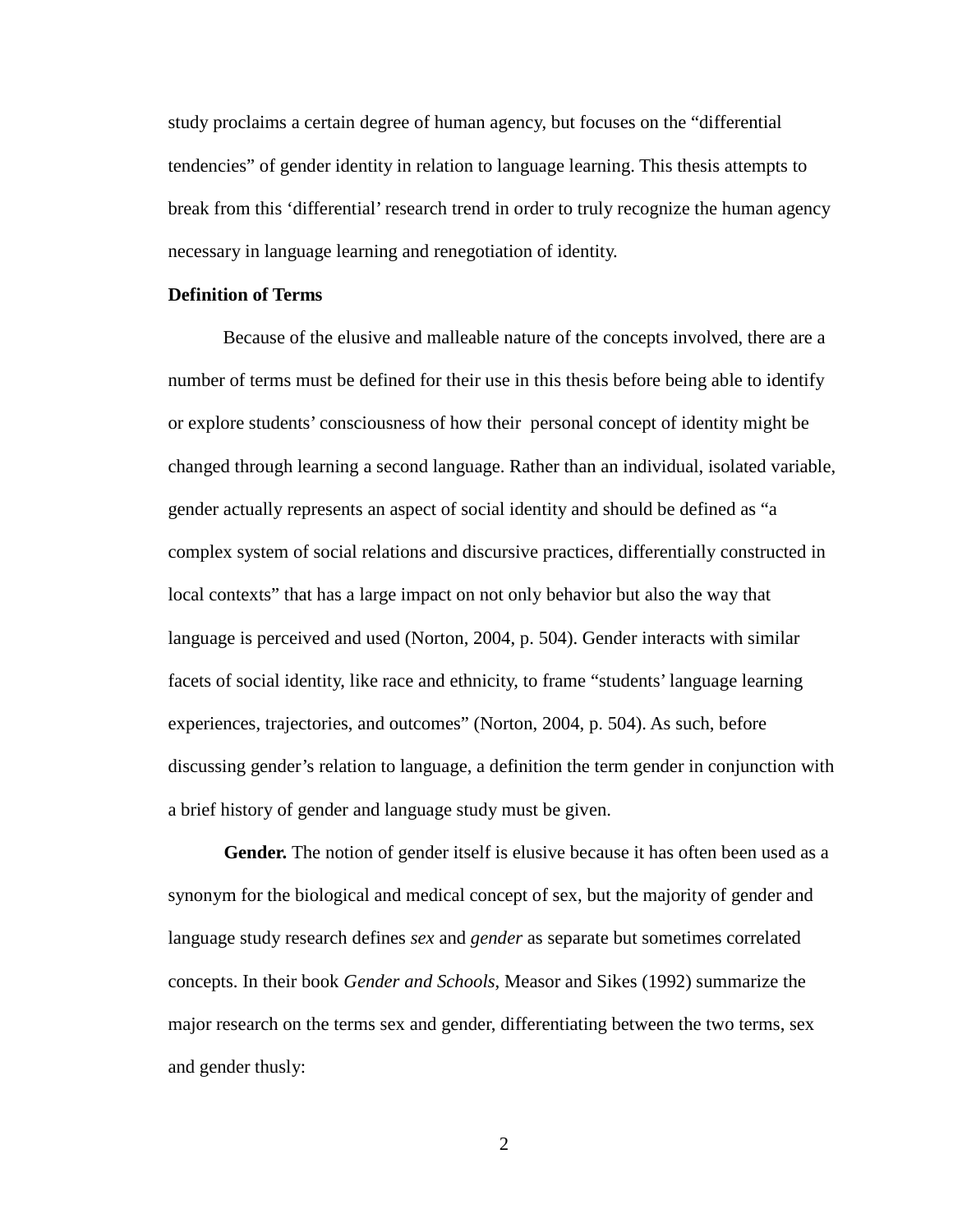study proclaims a certain degree of human agency, but focuses on the "differential tendencies" of gender identity in relation to language learning. This thesis attempts to break from this 'differential' research trend in order to truly recognize the human agency necessary in language learning and renegotiation of identity.

# **Definition of Terms**

Because of the elusive and malleable nature of the concepts involved, there are a number of terms must be defined for their use in this thesis before being able to identify or explore students' consciousness of how their personal concept of identity might be changed through learning a second language. Rather than an individual, isolated variable, gender actually represents an aspect of social identity and should be defined as "a complex system of social relations and discursive practices, differentially constructed in local contexts" that has a large impact on not only behavior but also the way that language is perceived and used (Norton, 2004, p. 504). Gender interacts with similar facets of social identity, like race and ethnicity, to frame "students' language learning experiences, trajectories, and outcomes" (Norton, 2004, p. 504). As such, before discussing gender's relation to language, a definition the term gender in conjunction with a brief history of gender and language study must be given.

**Gender.** The notion of gender itself is elusive because it has often been used as a synonym for the biological and medical concept of sex, but the majority of gender and language study research defines *sex* and *gender* as separate but sometimes correlated concepts. In their book *Gender and Schools*, Measor and Sikes (1992) summarize the major research on the terms sex and gender, differentiating between the two terms, sex and gender thusly: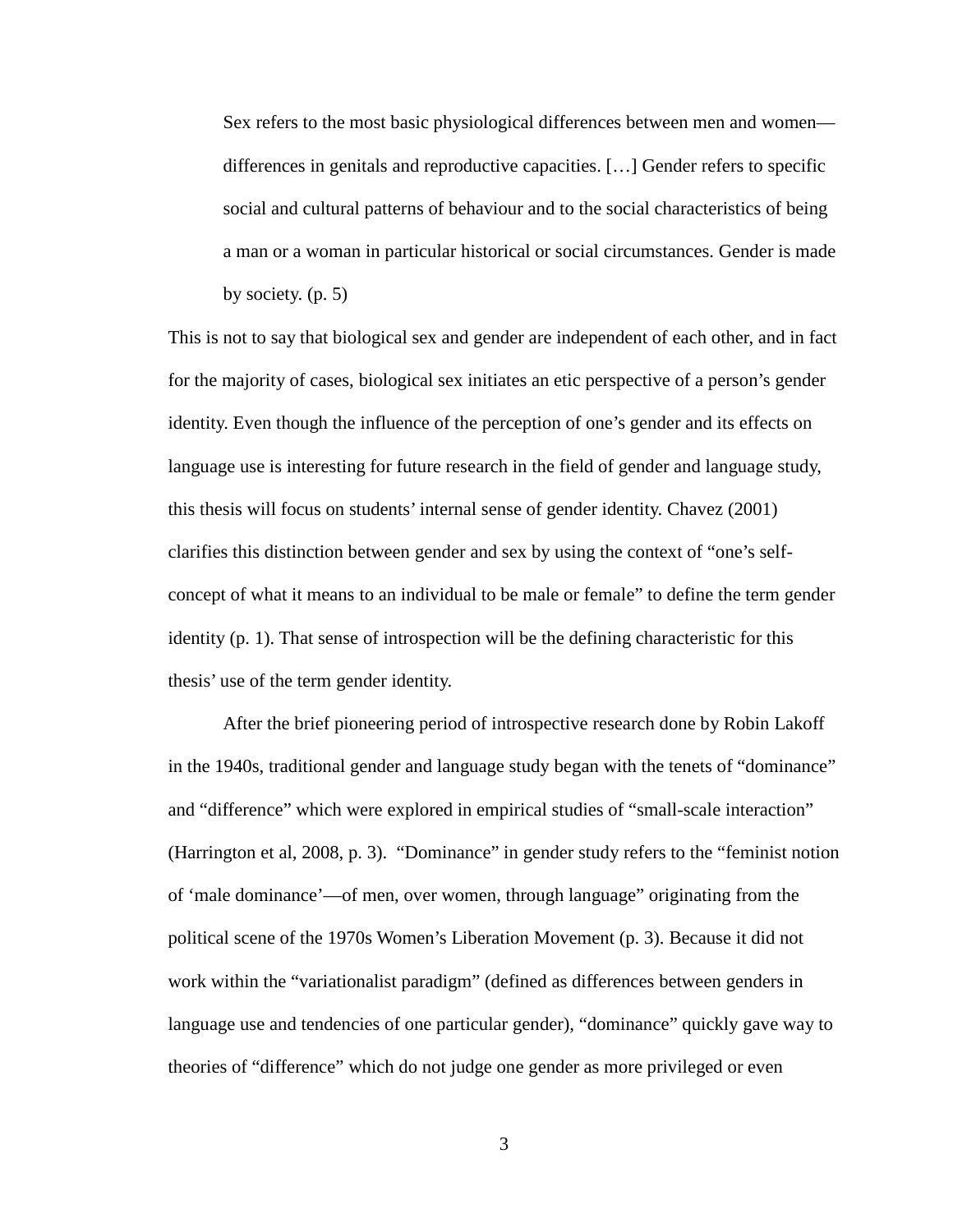Sex refers to the most basic physiological differences between men and women differences in genitals and reproductive capacities. […] Gender refers to specific social and cultural patterns of behaviour and to the social characteristics of being a man or a woman in particular historical or social circumstances. Gender is made by society. (p. 5)

This is not to say that biological sex and gender are independent of each other, and in fact for the majority of cases, biological sex initiates an etic perspective of a person's gender identity. Even though the influence of the perception of one's gender and its effects on language use is interesting for future research in the field of gender and language study, this thesis will focus on students' internal sense of gender identity. Chavez (2001) clarifies this distinction between gender and sex by using the context of "one's selfconcept of what it means to an individual to be male or female" to define the term gender identity (p. 1). That sense of introspection will be the defining characteristic for this thesis' use of the term gender identity.

After the brief pioneering period of introspective research done by Robin Lakoff in the 1940s, traditional gender and language study began with the tenets of "dominance" and "difference" which were explored in empirical studies of "small-scale interaction" (Harrington et al, 2008, p. 3). "Dominance" in gender study refers to the "feminist notion of 'male dominance'—of men, over women, through language" originating from the political scene of the 1970s Women's Liberation Movement (p. 3). Because it did not work within the "variationalist paradigm" (defined as differences between genders in language use and tendencies of one particular gender), "dominance" quickly gave way to theories of "difference" which do not judge one gender as more privileged or even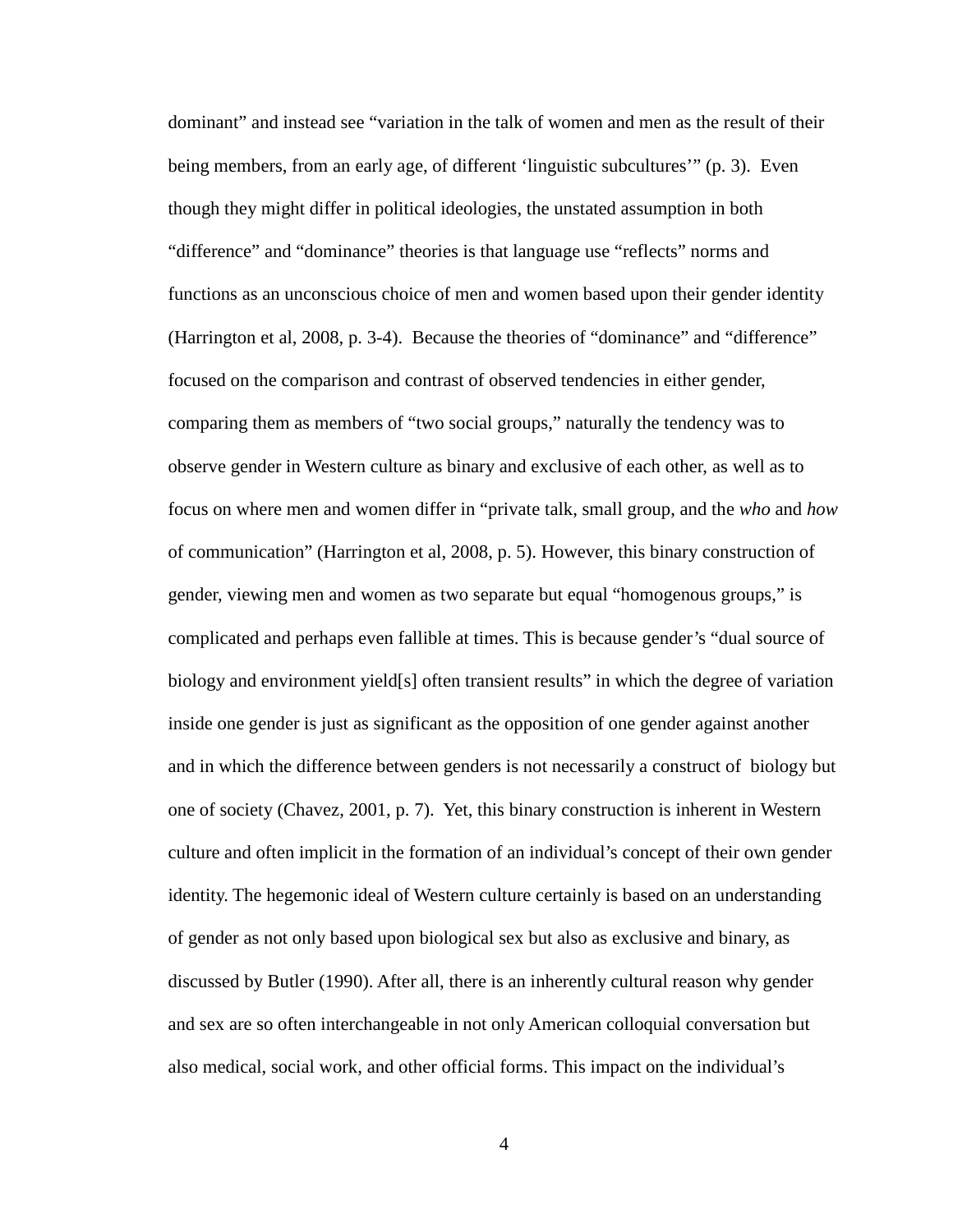dominant" and instead see "variation in the talk of women and men as the result of their being members, from an early age, of different 'linguistic subcultures'" (p. 3). Even though they might differ in political ideologies, the unstated assumption in both "difference" and "dominance" theories is that language use "reflects" norms and functions as an unconscious choice of men and women based upon their gender identity (Harrington et al, 2008, p. 3-4). Because the theories of "dominance" and "difference" focused on the comparison and contrast of observed tendencies in either gender, comparing them as members of "two social groups," naturally the tendency was to observe gender in Western culture as binary and exclusive of each other, as well as to focus on where men and women differ in "private talk, small group, and the *who* and *how* of communication" (Harrington et al, 2008, p. 5). However, this binary construction of gender, viewing men and women as two separate but equal "homogenous groups," is complicated and perhaps even fallible at times. This is because gender's "dual source of biology and environment yield[s] often transient results" in which the degree of variation inside one gender is just as significant as the opposition of one gender against another and in which the difference between genders is not necessarily a construct of biology but one of society (Chavez, 2001, p. 7). Yet, this binary construction is inherent in Western culture and often implicit in the formation of an individual's concept of their own gender identity. The hegemonic ideal of Western culture certainly is based on an understanding of gender as not only based upon biological sex but also as exclusive and binary, as discussed by Butler (1990). After all, there is an inherently cultural reason why gender and sex are so often interchangeable in not only American colloquial conversation but also medical, social work, and other official forms. This impact on the individual's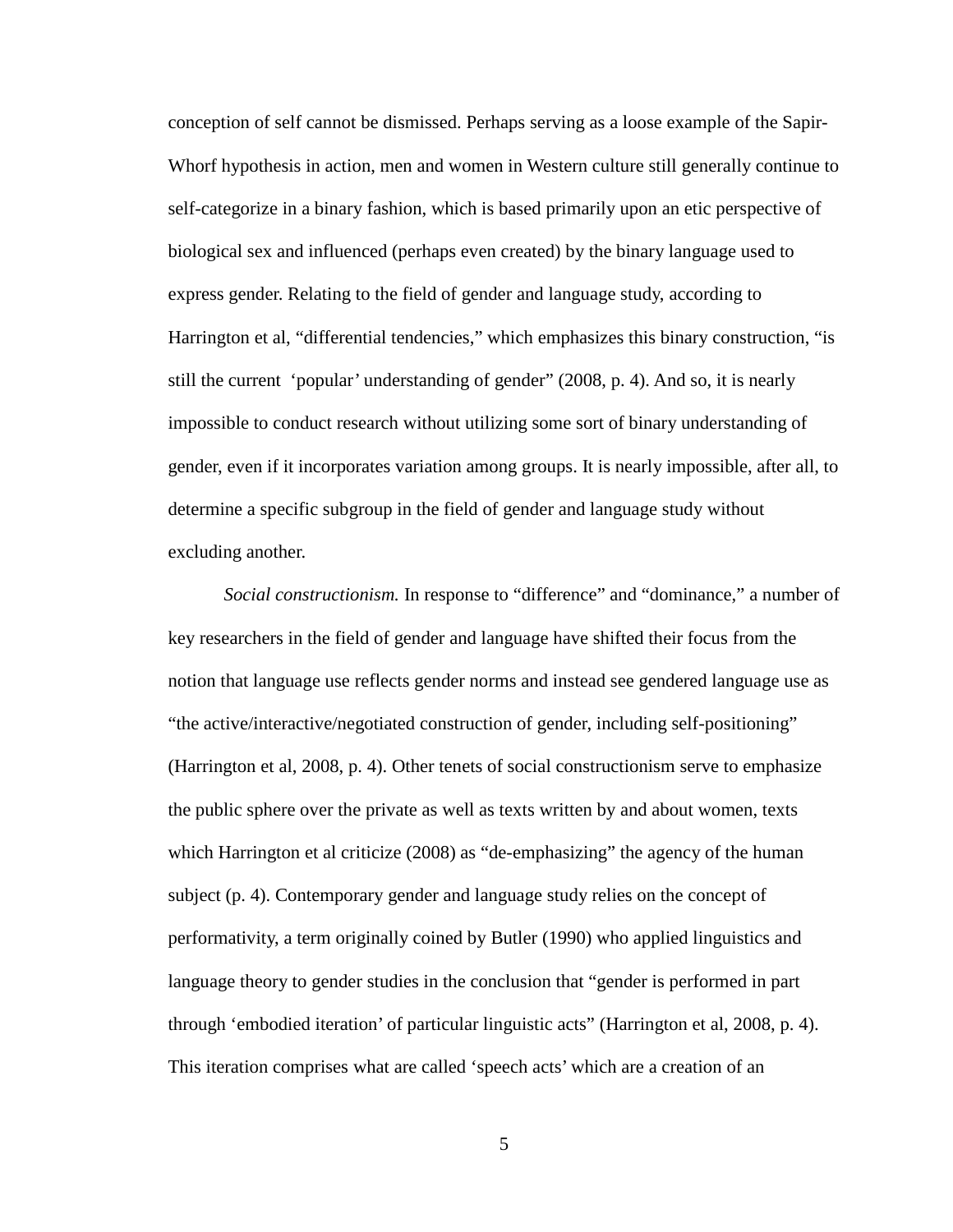conception of self cannot be dismissed. Perhaps serving as a loose example of the Sapir-Whorf hypothesis in action, men and women in Western culture still generally continue to self-categorize in a binary fashion, which is based primarily upon an etic perspective of biological sex and influenced (perhaps even created) by the binary language used to express gender. Relating to the field of gender and language study, according to Harrington et al, "differential tendencies," which emphasizes this binary construction, "is still the current 'popular' understanding of gender" (2008, p. 4). And so, it is nearly impossible to conduct research without utilizing some sort of binary understanding of gender, even if it incorporates variation among groups. It is nearly impossible, after all, to determine a specific subgroup in the field of gender and language study without excluding another.

*Social constructionism.* In response to "difference" and "dominance," a number of key researchers in the field of gender and language have shifted their focus from the notion that language use reflects gender norms and instead see gendered language use as "the active/interactive/negotiated construction of gender, including self-positioning" (Harrington et al, 2008, p. 4). Other tenets of social constructionism serve to emphasize the public sphere over the private as well as texts written by and about women, texts which Harrington et al criticize (2008) as "de-emphasizing" the agency of the human subject (p. 4). Contemporary gender and language study relies on the concept of performativity, a term originally coined by Butler (1990) who applied linguistics and language theory to gender studies in the conclusion that "gender is performed in part through 'embodied iteration' of particular linguistic acts" (Harrington et al, 2008, p. 4). This iteration comprises what are called 'speech acts' which are a creation of an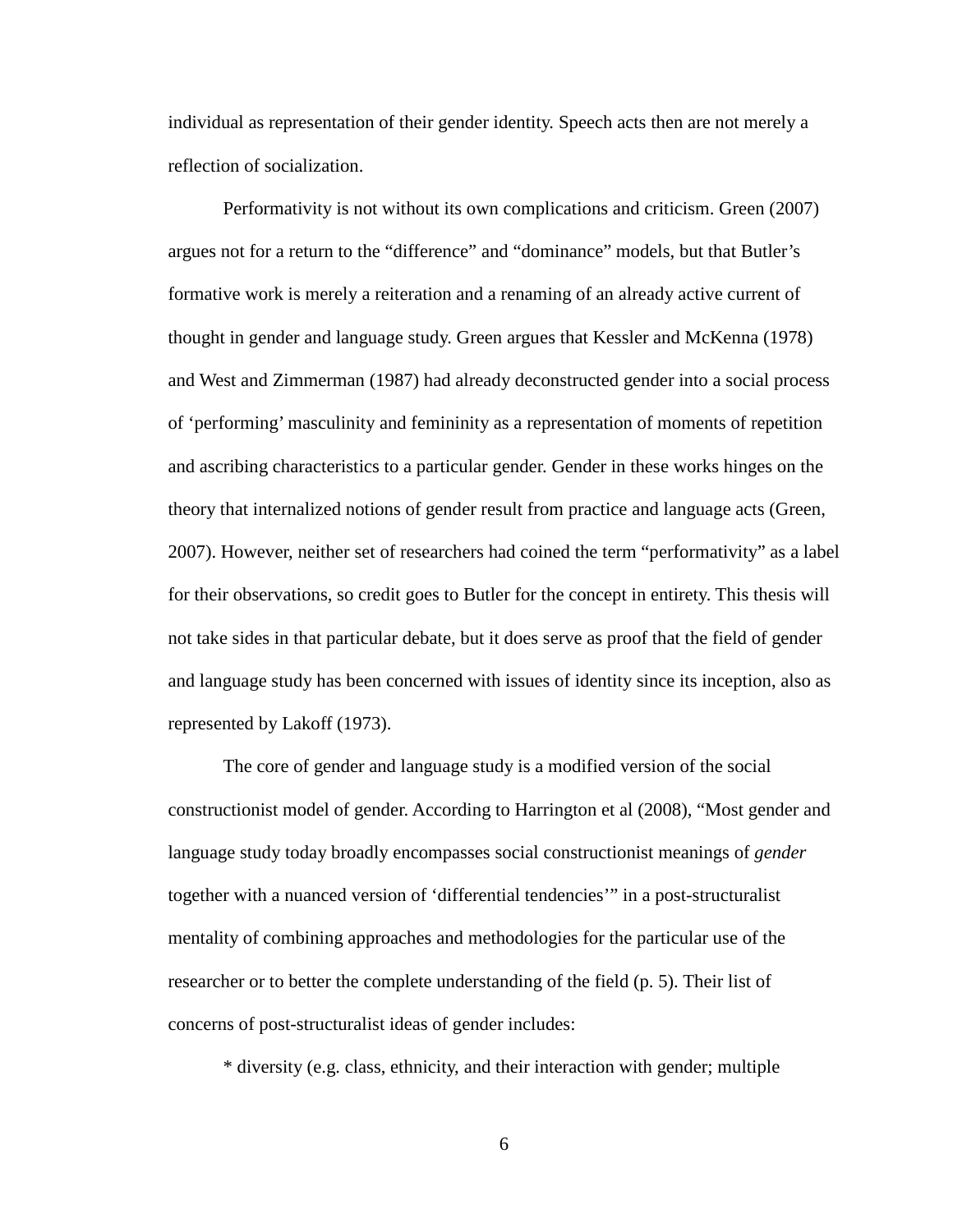individual as representation of their gender identity. Speech acts then are not merely a reflection of socialization.

Performativity is not without its own complications and criticism. Green (2007) argues not for a return to the "difference" and "dominance" models, but that Butler's formative work is merely a reiteration and a renaming of an already active current of thought in gender and language study. Green argues that Kessler and McKenna (1978) and West and Zimmerman (1987) had already deconstructed gender into a social process of 'performing' masculinity and femininity as a representation of moments of repetition and ascribing characteristics to a particular gender. Gender in these works hinges on the theory that internalized notions of gender result from practice and language acts (Green, 2007). However, neither set of researchers had coined the term "performativity" as a label for their observations, so credit goes to Butler for the concept in entirety. This thesis will not take sides in that particular debate, but it does serve as proof that the field of gender and language study has been concerned with issues of identity since its inception, also as represented by Lakoff (1973).

The core of gender and language study is a modified version of the social constructionist model of gender. According to Harrington et al (2008), "Most gender and language study today broadly encompasses social constructionist meanings of *gender*  together with a nuanced version of 'differential tendencies'" in a post-structuralist mentality of combining approaches and methodologies for the particular use of the researcher or to better the complete understanding of the field (p. 5). Their list of concerns of post-structuralist ideas of gender includes:

\* diversity (e.g. class, ethnicity, and their interaction with gender; multiple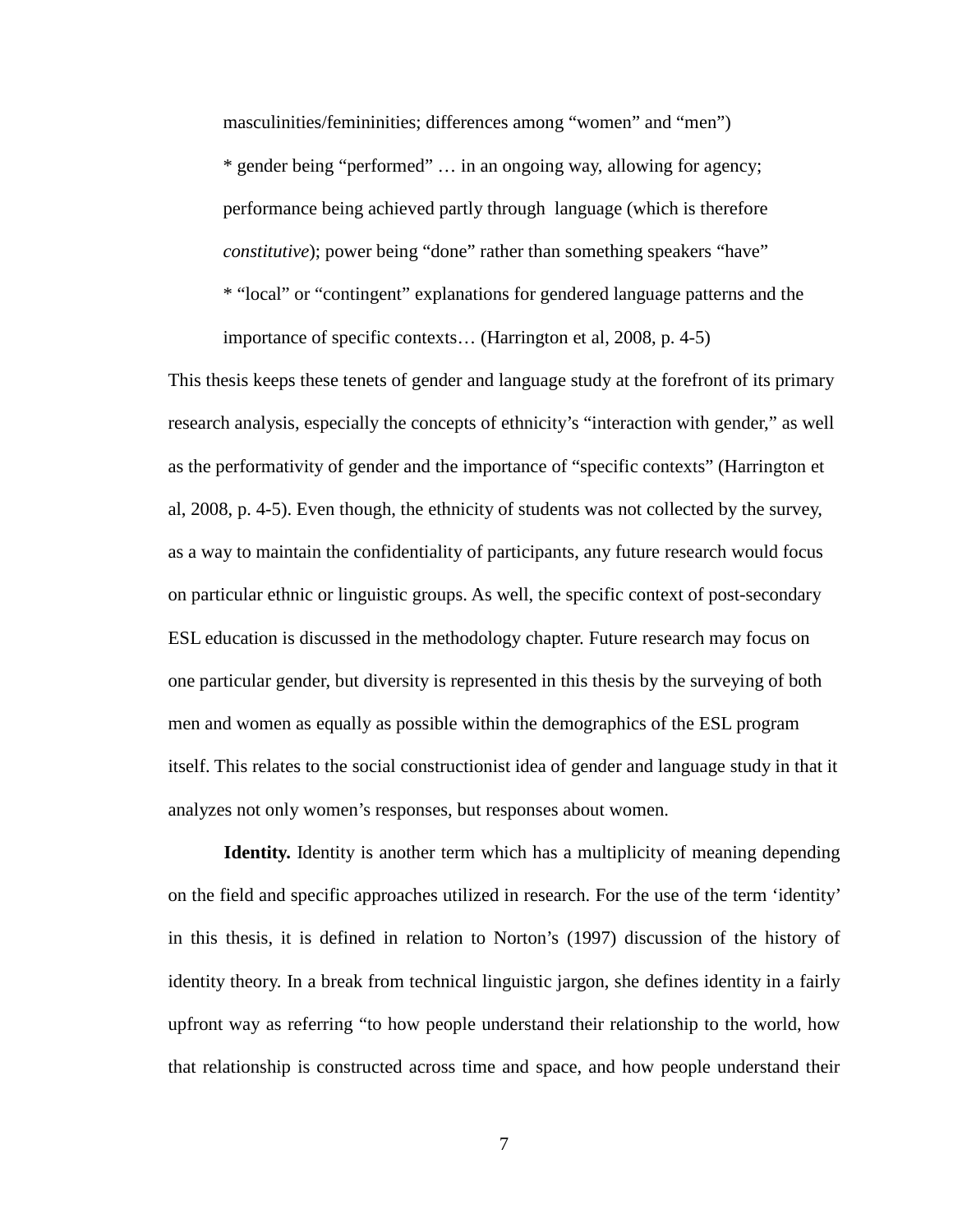masculinities/femininities; differences among "women" and "men") \* gender being "performed" … in an ongoing way, allowing for agency; performance being achieved partly through language (which is therefore *constitutive*); power being "done" rather than something speakers "have" \* "local" or "contingent" explanations for gendered language patterns and the importance of specific contexts… (Harrington et al, 2008, p. 4-5)

This thesis keeps these tenets of gender and language study at the forefront of its primary research analysis, especially the concepts of ethnicity's "interaction with gender," as well as the performativity of gender and the importance of "specific contexts" (Harrington et al, 2008, p. 4-5). Even though, the ethnicity of students was not collected by the survey, as a way to maintain the confidentiality of participants, any future research would focus on particular ethnic or linguistic groups. As well, the specific context of post-secondary ESL education is discussed in the methodology chapter. Future research may focus on one particular gender, but diversity is represented in this thesis by the surveying of both men and women as equally as possible within the demographics of the ESL program itself. This relates to the social constructionist idea of gender and language study in that it analyzes not only women's responses, but responses about women.

**Identity.** Identity is another term which has a multiplicity of meaning depending on the field and specific approaches utilized in research. For the use of the term 'identity' in this thesis, it is defined in relation to Norton's (1997) discussion of the history of identity theory. In a break from technical linguistic jargon, she defines identity in a fairly upfront way as referring "to how people understand their relationship to the world, how that relationship is constructed across time and space, and how people understand their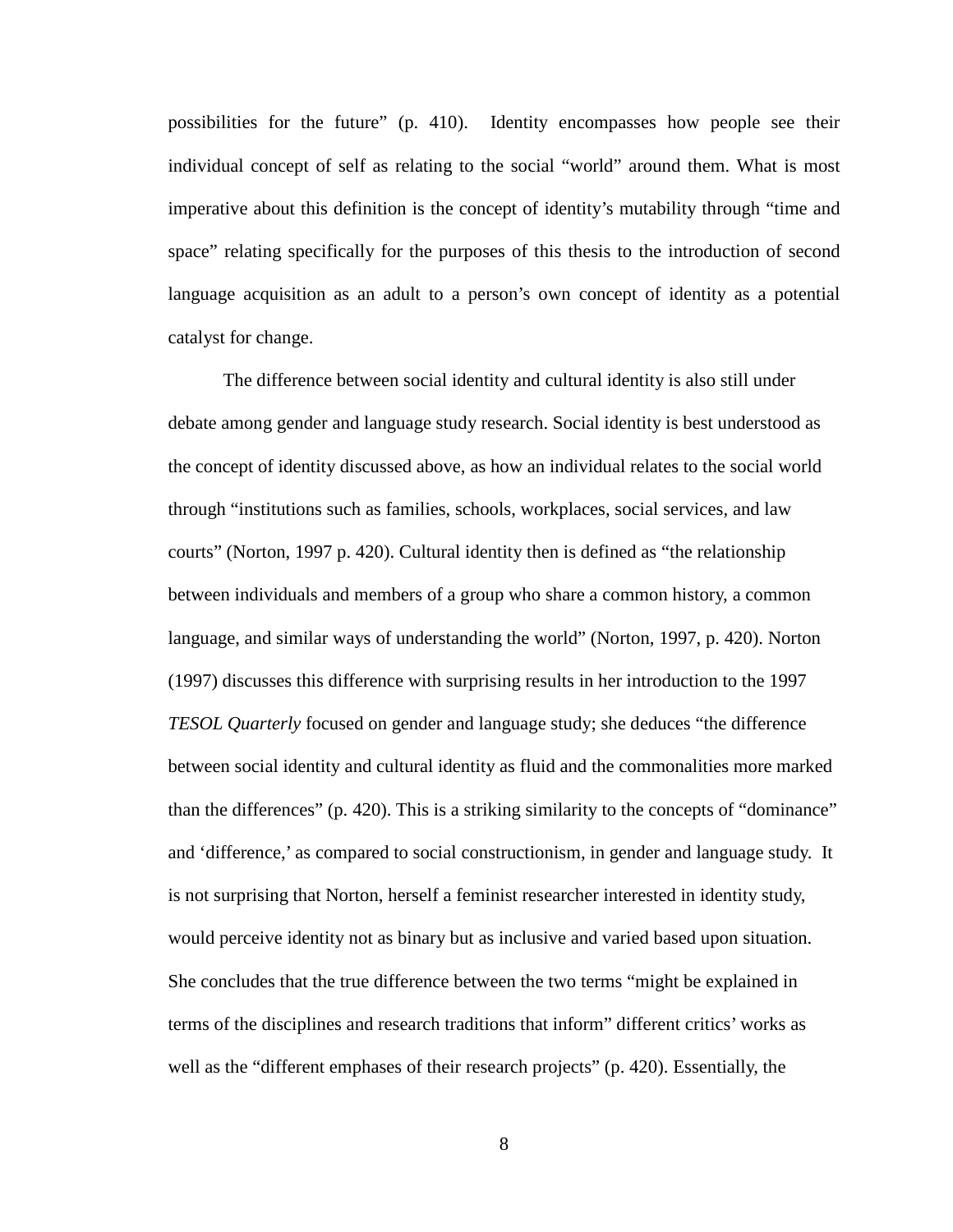possibilities for the future" (p. 410). Identity encompasses how people see their individual concept of self as relating to the social "world" around them. What is most imperative about this definition is the concept of identity's mutability through "time and space" relating specifically for the purposes of this thesis to the introduction of second language acquisition as an adult to a person's own concept of identity as a potential catalyst for change.

The difference between social identity and cultural identity is also still under debate among gender and language study research. Social identity is best understood as the concept of identity discussed above, as how an individual relates to the social world through "institutions such as families, schools, workplaces, social services, and law courts" (Norton, 1997 p. 420). Cultural identity then is defined as "the relationship between individuals and members of a group who share a common history, a common language, and similar ways of understanding the world" (Norton, 1997, p. 420). Norton (1997) discusses this difference with surprising results in her introduction to the 1997 *TESOL Quarterly* focused on gender and language study; she deduces "the difference between social identity and cultural identity as fluid and the commonalities more marked than the differences" (p. 420). This is a striking similarity to the concepts of "dominance" and 'difference,' as compared to social constructionism, in gender and language study. It is not surprising that Norton, herself a feminist researcher interested in identity study, would perceive identity not as binary but as inclusive and varied based upon situation. She concludes that the true difference between the two terms "might be explained in terms of the disciplines and research traditions that inform" different critics' works as well as the "different emphases of their research projects" (p. 420). Essentially, the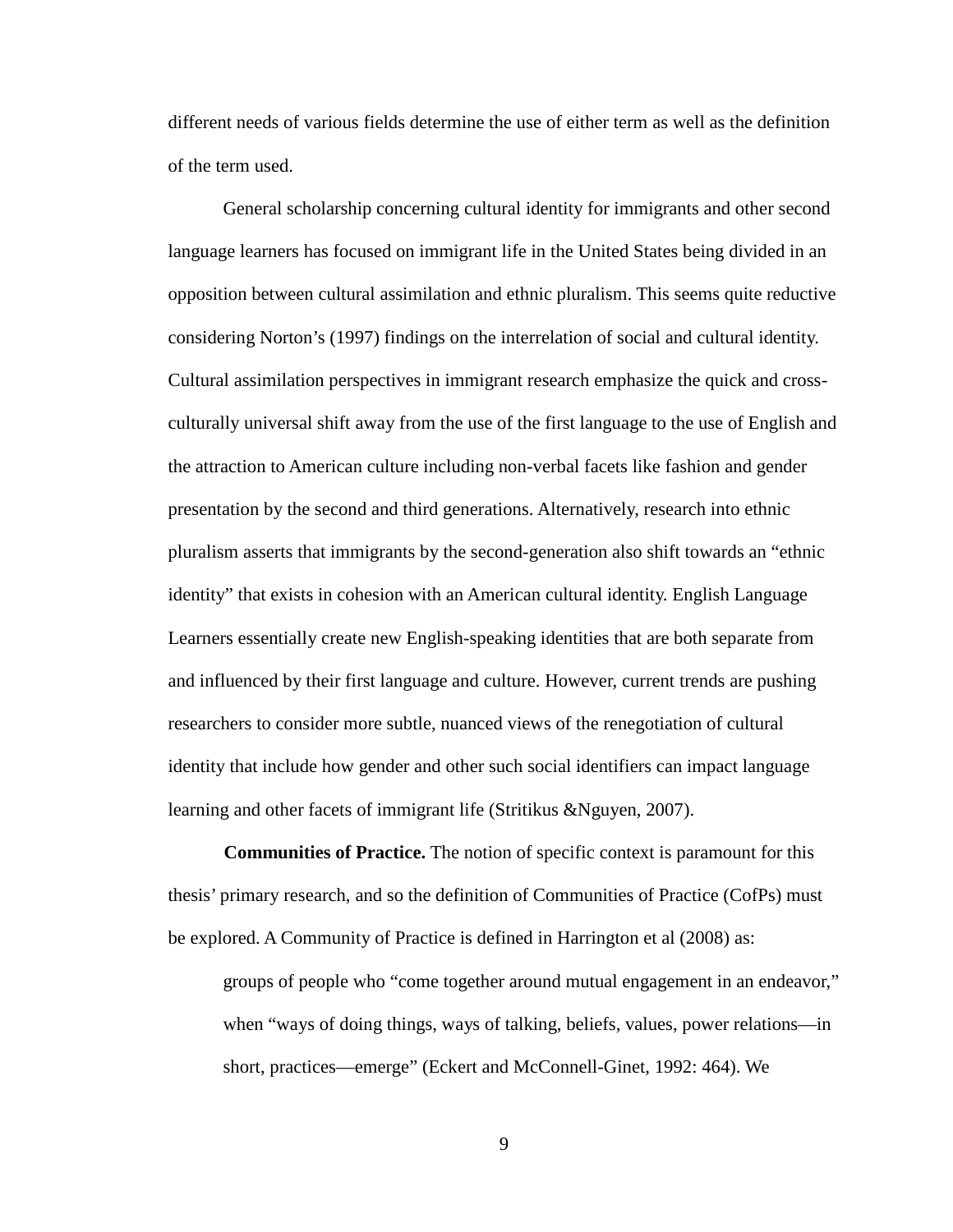different needs of various fields determine the use of either term as well as the definition of the term used.

General scholarship concerning cultural identity for immigrants and other second language learners has focused on immigrant life in the United States being divided in an opposition between cultural assimilation and ethnic pluralism. This seems quite reductive considering Norton's (1997) findings on the interrelation of social and cultural identity. Cultural assimilation perspectives in immigrant research emphasize the quick and crossculturally universal shift away from the use of the first language to the use of English and the attraction to American culture including non-verbal facets like fashion and gender presentation by the second and third generations. Alternatively, research into ethnic pluralism asserts that immigrants by the second-generation also shift towards an "ethnic identity" that exists in cohesion with an American cultural identity. English Language Learners essentially create new English-speaking identities that are both separate from and influenced by their first language and culture. However, current trends are pushing researchers to consider more subtle, nuanced views of the renegotiation of cultural identity that include how gender and other such social identifiers can impact language learning and other facets of immigrant life (Stritikus &Nguyen, 2007).

**Communities of Practice.** The notion of specific context is paramount for this thesis' primary research, and so the definition of Communities of Practice (CofPs) must be explored. A Community of Practice is defined in Harrington et al (2008) as:

groups of people who "come together around mutual engagement in an endeavor," when "ways of doing things, ways of talking, beliefs, values, power relations—in short, practices—emerge" (Eckert and McConnell-Ginet, 1992: 464). We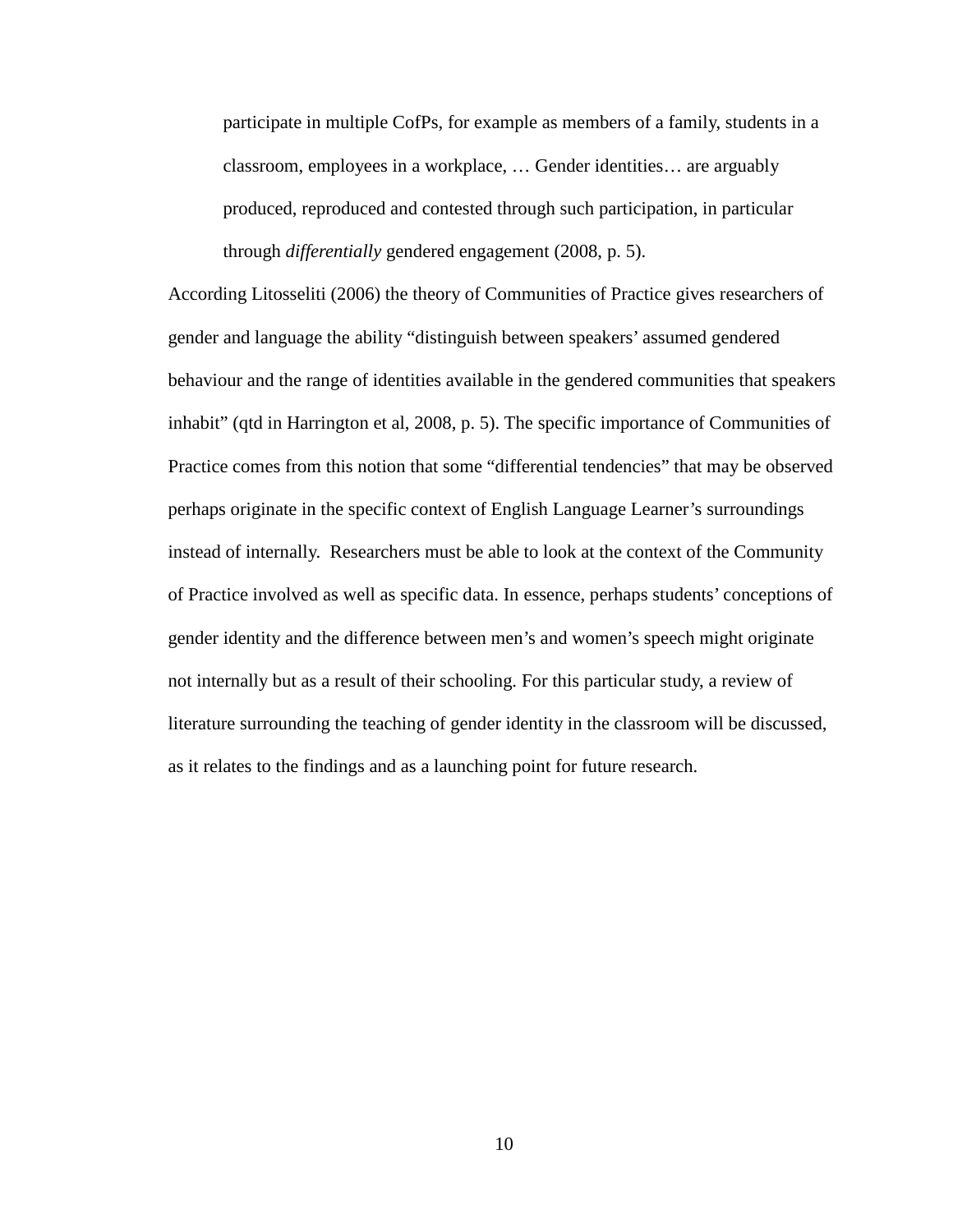participate in multiple CofPs, for example as members of a family, students in a classroom, employees in a workplace, … Gender identities… are arguably produced, reproduced and contested through such participation, in particular through *differentially* gendered engagement (2008, p. 5).

According Litosseliti (2006) the theory of Communities of Practice gives researchers of gender and language the ability "distinguish between speakers' assumed gendered behaviour and the range of identities available in the gendered communities that speakers inhabit" (qtd in Harrington et al, 2008, p. 5). The specific importance of Communities of Practice comes from this notion that some "differential tendencies" that may be observed perhaps originate in the specific context of English Language Learner's surroundings instead of internally. Researchers must be able to look at the context of the Community of Practice involved as well as specific data. In essence, perhaps students' conceptions of gender identity and the difference between men's and women's speech might originate not internally but as a result of their schooling. For this particular study, a review of literature surrounding the teaching of gender identity in the classroom will be discussed, as it relates to the findings and as a launching point for future research.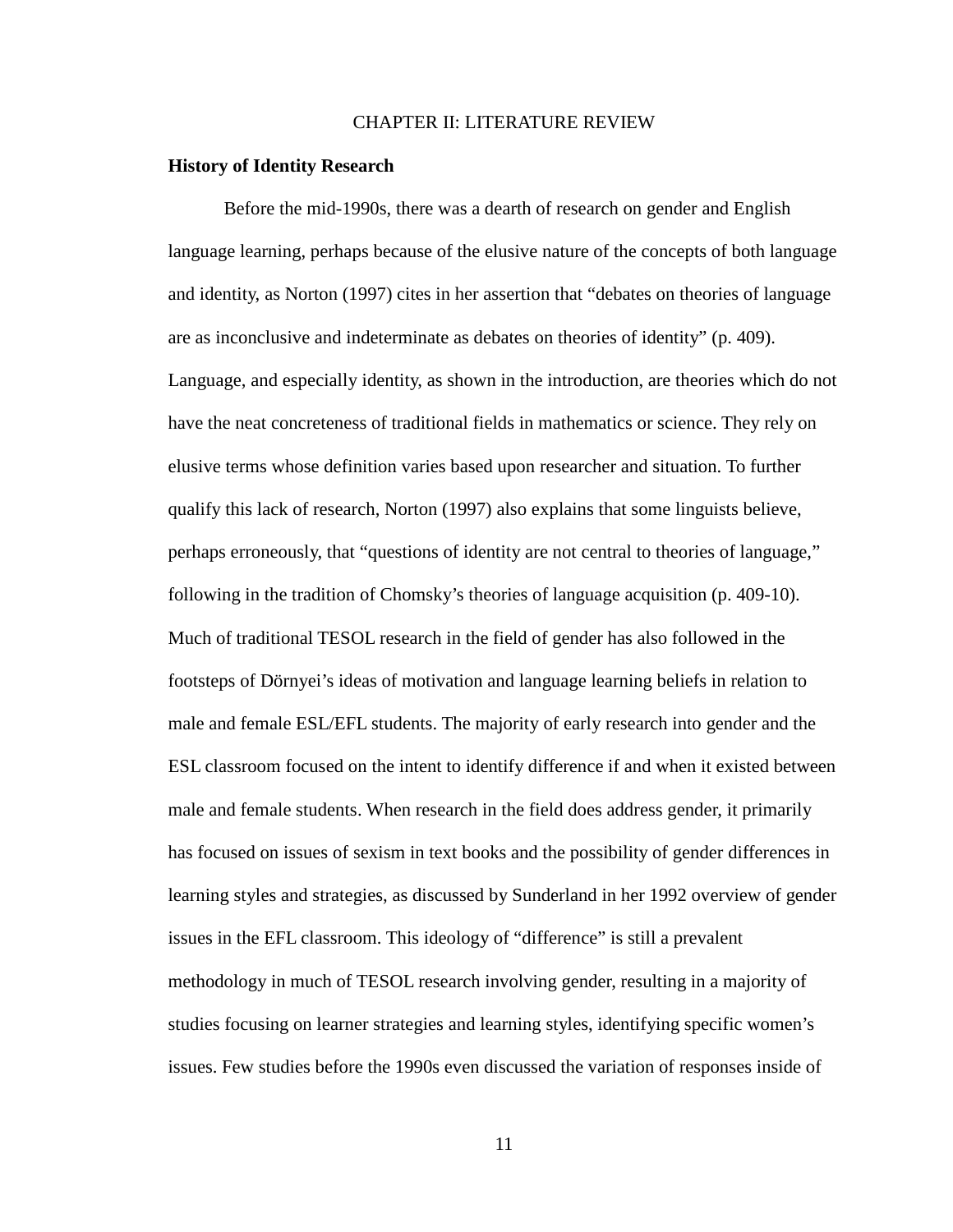## CHAPTER II: LITERATURE REVIEW

## **History of Identity Research**

Before the mid-1990s, there was a dearth of research on gender and English language learning, perhaps because of the elusive nature of the concepts of both language and identity, as Norton (1997) cites in her assertion that "debates on theories of language are as inconclusive and indeterminate as debates on theories of identity" (p. 409). Language, and especially identity, as shown in the introduction, are theories which do not have the neat concreteness of traditional fields in mathematics or science. They rely on elusive terms whose definition varies based upon researcher and situation. To further qualify this lack of research, Norton (1997) also explains that some linguists believe, perhaps erroneously, that "questions of identity are not central to theories of language," following in the tradition of Chomsky's theories of language acquisition (p. 409-10). Much of traditional TESOL research in the field of gender has also followed in the footsteps of Dörnyei's ideas of motivation and language learning beliefs in relation to male and female ESL/EFL students. The majority of early research into gender and the ESL classroom focused on the intent to identify difference if and when it existed between male and female students. When research in the field does address gender, it primarily has focused on issues of sexism in text books and the possibility of gender differences in learning styles and strategies, as discussed by Sunderland in her 1992 overview of gender issues in the EFL classroom. This ideology of "difference" is still a prevalent methodology in much of TESOL research involving gender, resulting in a majority of studies focusing on learner strategies and learning styles, identifying specific women's issues. Few studies before the 1990s even discussed the variation of responses inside of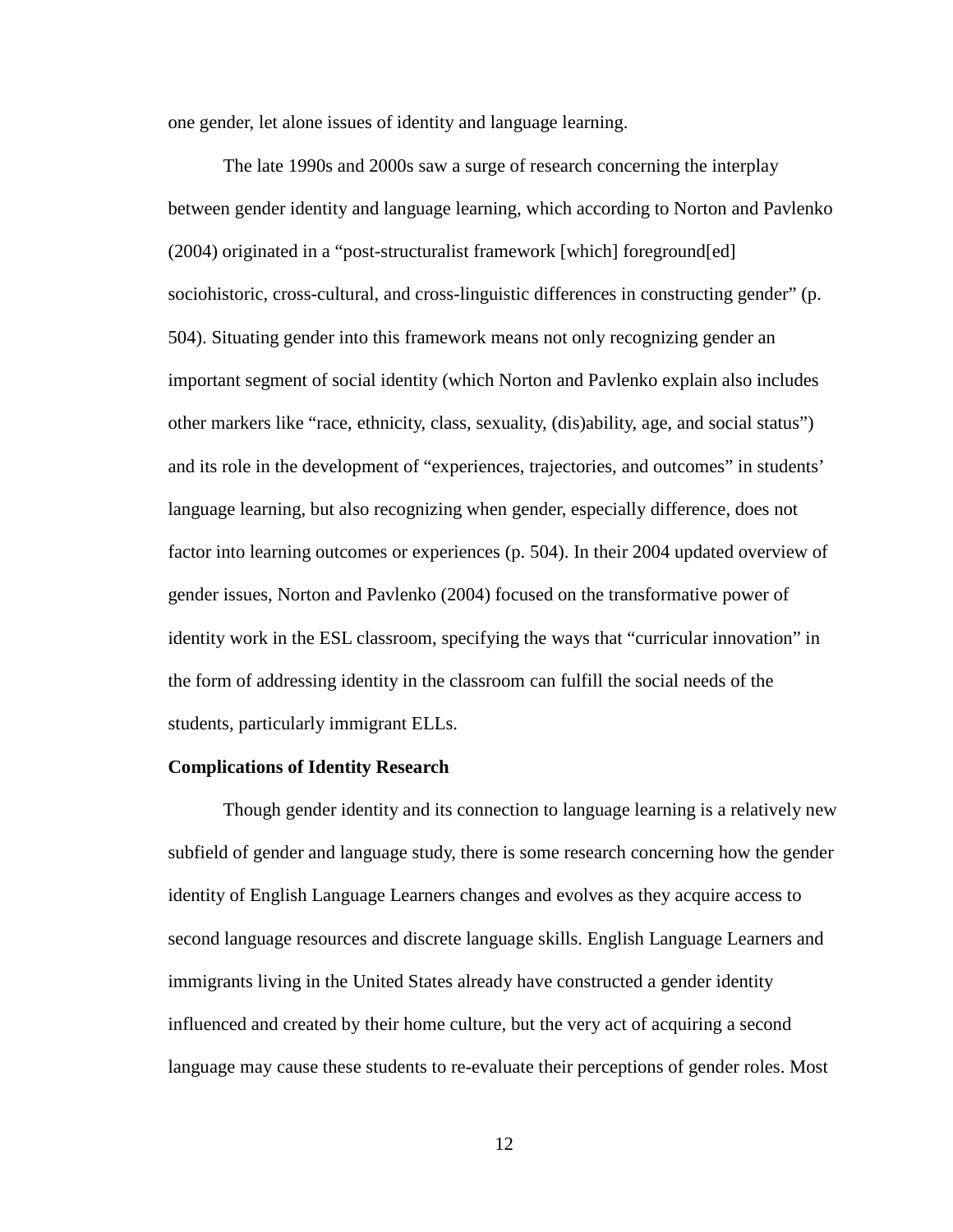one gender, let alone issues of identity and language learning.

The late 1990s and 2000s saw a surge of research concerning the interplay between gender identity and language learning, which according to Norton and Pavlenko (2004) originated in a "post-structuralist framework [which] foreground[ed] sociohistoric, cross-cultural, and cross-linguistic differences in constructing gender" (p. 504). Situating gender into this framework means not only recognizing gender an important segment of social identity (which Norton and Pavlenko explain also includes other markers like "race, ethnicity, class, sexuality, (dis)ability, age, and social status") and its role in the development of "experiences, trajectories, and outcomes" in students' language learning, but also recognizing when gender, especially difference, does not factor into learning outcomes or experiences (p. 504). In their 2004 updated overview of gender issues, Norton and Pavlenko (2004) focused on the transformative power of identity work in the ESL classroom, specifying the ways that "curricular innovation" in the form of addressing identity in the classroom can fulfill the social needs of the students, particularly immigrant ELLs.

# **Complications of Identity Research**

Though gender identity and its connection to language learning is a relatively new subfield of gender and language study, there is some research concerning how the gender identity of English Language Learners changes and evolves as they acquire access to second language resources and discrete language skills. English Language Learners and immigrants living in the United States already have constructed a gender identity influenced and created by their home culture, but the very act of acquiring a second language may cause these students to re-evaluate their perceptions of gender roles. Most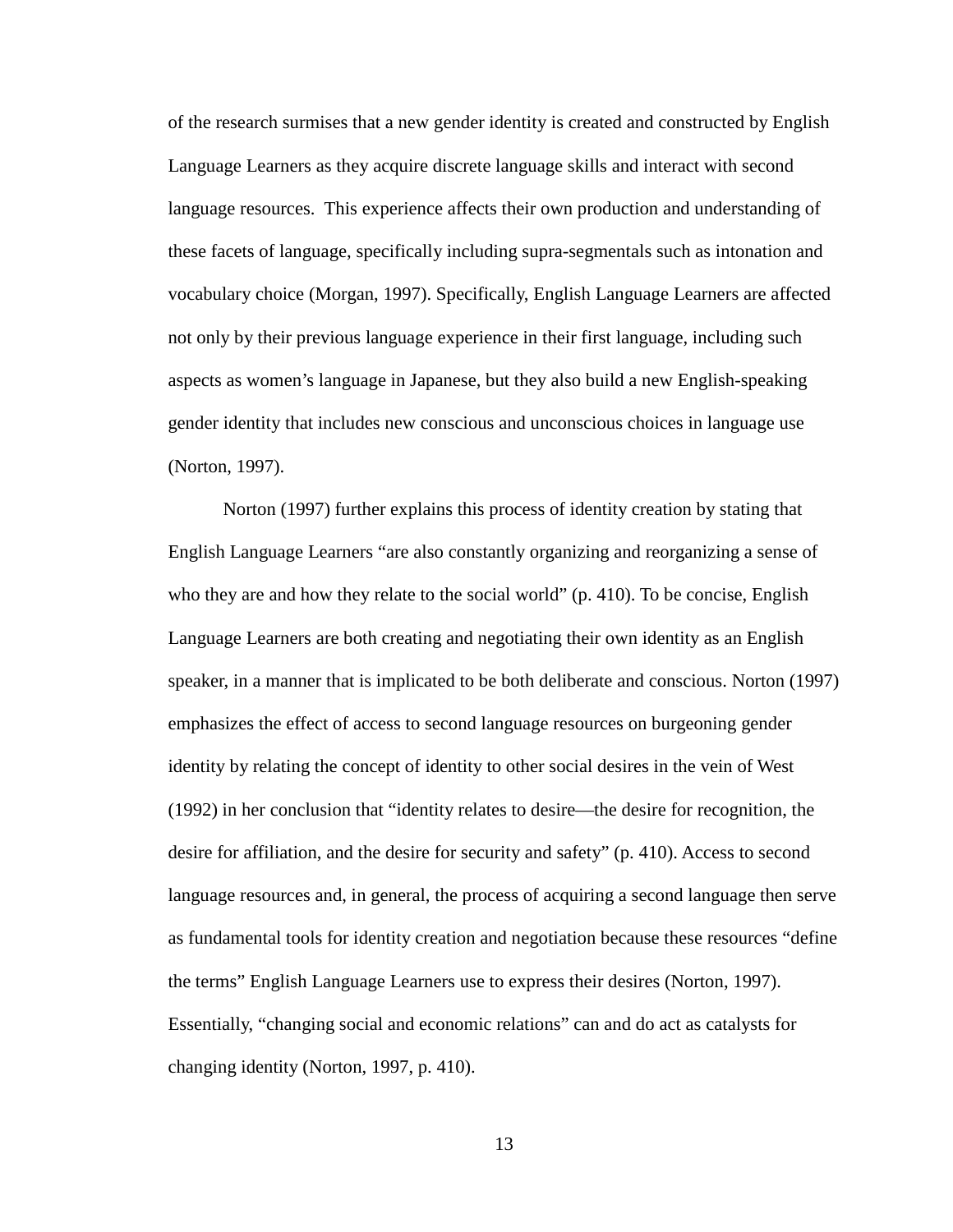of the research surmises that a new gender identity is created and constructed by English Language Learners as they acquire discrete language skills and interact with second language resources. This experience affects their own production and understanding of these facets of language, specifically including supra-segmentals such as intonation and vocabulary choice (Morgan, 1997). Specifically, English Language Learners are affected not only by their previous language experience in their first language, including such aspects as women's language in Japanese, but they also build a new English-speaking gender identity that includes new conscious and unconscious choices in language use (Norton, 1997).

Norton (1997) further explains this process of identity creation by stating that English Language Learners "are also constantly organizing and reorganizing a sense of who they are and how they relate to the social world" (p. 410). To be concise, English Language Learners are both creating and negotiating their own identity as an English speaker, in a manner that is implicated to be both deliberate and conscious. Norton (1997) emphasizes the effect of access to second language resources on burgeoning gender identity by relating the concept of identity to other social desires in the vein of West (1992) in her conclusion that "identity relates to desire—the desire for recognition, the desire for affiliation, and the desire for security and safety" (p. 410). Access to second language resources and, in general, the process of acquiring a second language then serve as fundamental tools for identity creation and negotiation because these resources "define the terms" English Language Learners use to express their desires (Norton, 1997). Essentially, "changing social and economic relations" can and do act as catalysts for changing identity (Norton, 1997, p. 410).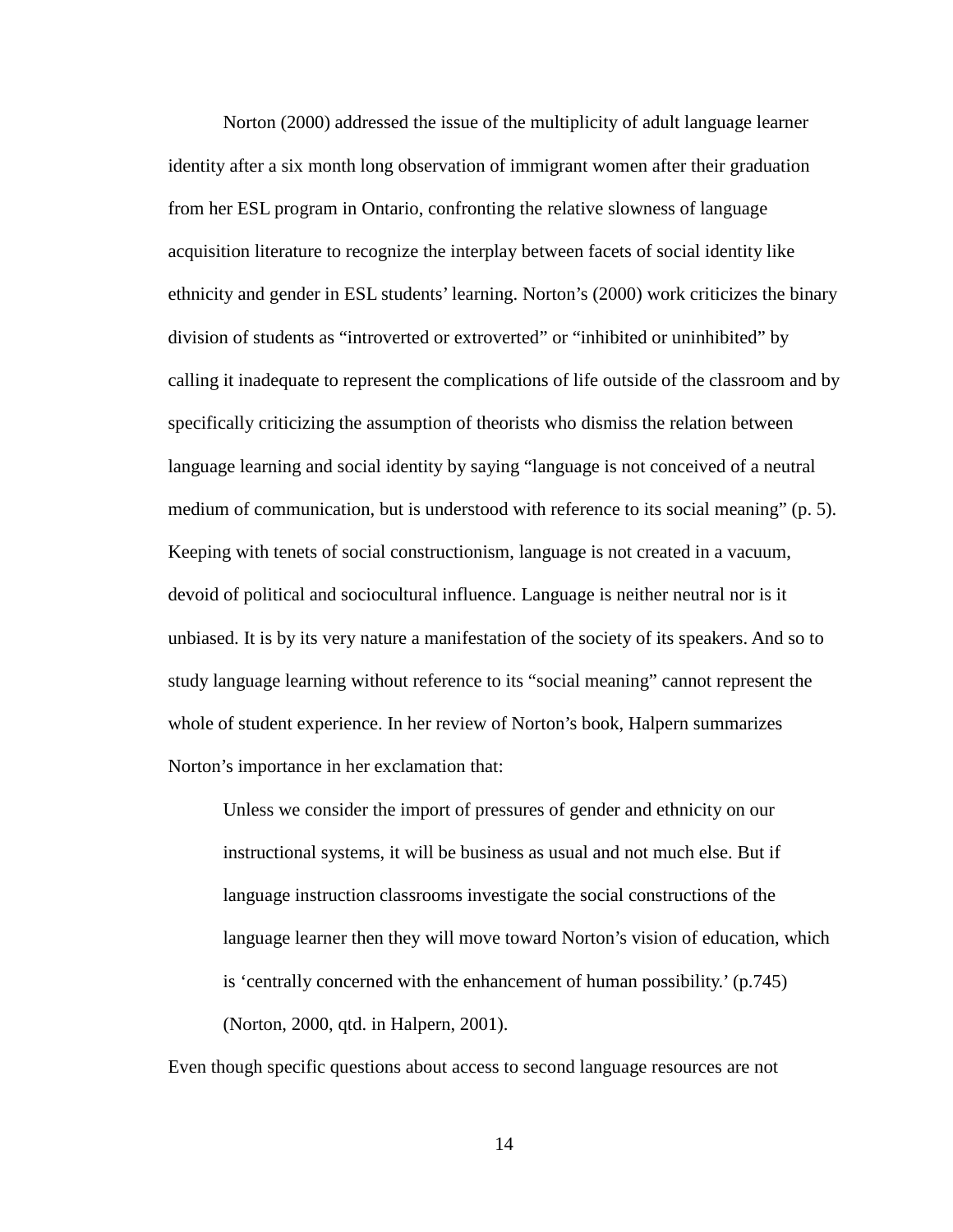Norton (2000) addressed the issue of the multiplicity of adult language learner identity after a six month long observation of immigrant women after their graduation from her ESL program in Ontario, confronting the relative slowness of language acquisition literature to recognize the interplay between facets of social identity like ethnicity and gender in ESL students' learning. Norton's (2000) work criticizes the binary division of students as "introverted or extroverted" or "inhibited or uninhibited" by calling it inadequate to represent the complications of life outside of the classroom and by specifically criticizing the assumption of theorists who dismiss the relation between language learning and social identity by saying "language is not conceived of a neutral medium of communication, but is understood with reference to its social meaning" (p. 5). Keeping with tenets of social constructionism, language is not created in a vacuum, devoid of political and sociocultural influence. Language is neither neutral nor is it unbiased. It is by its very nature a manifestation of the society of its speakers. And so to study language learning without reference to its "social meaning" cannot represent the whole of student experience. In her review of Norton's book, Halpern summarizes Norton's importance in her exclamation that:

Unless we consider the import of pressures of gender and ethnicity on our instructional systems, it will be business as usual and not much else. But if language instruction classrooms investigate the social constructions of the language learner then they will move toward Norton's vision of education, which is 'centrally concerned with the enhancement of human possibility.' (p.745) (Norton, 2000, qtd. in Halpern, 2001).

Even though specific questions about access to second language resources are not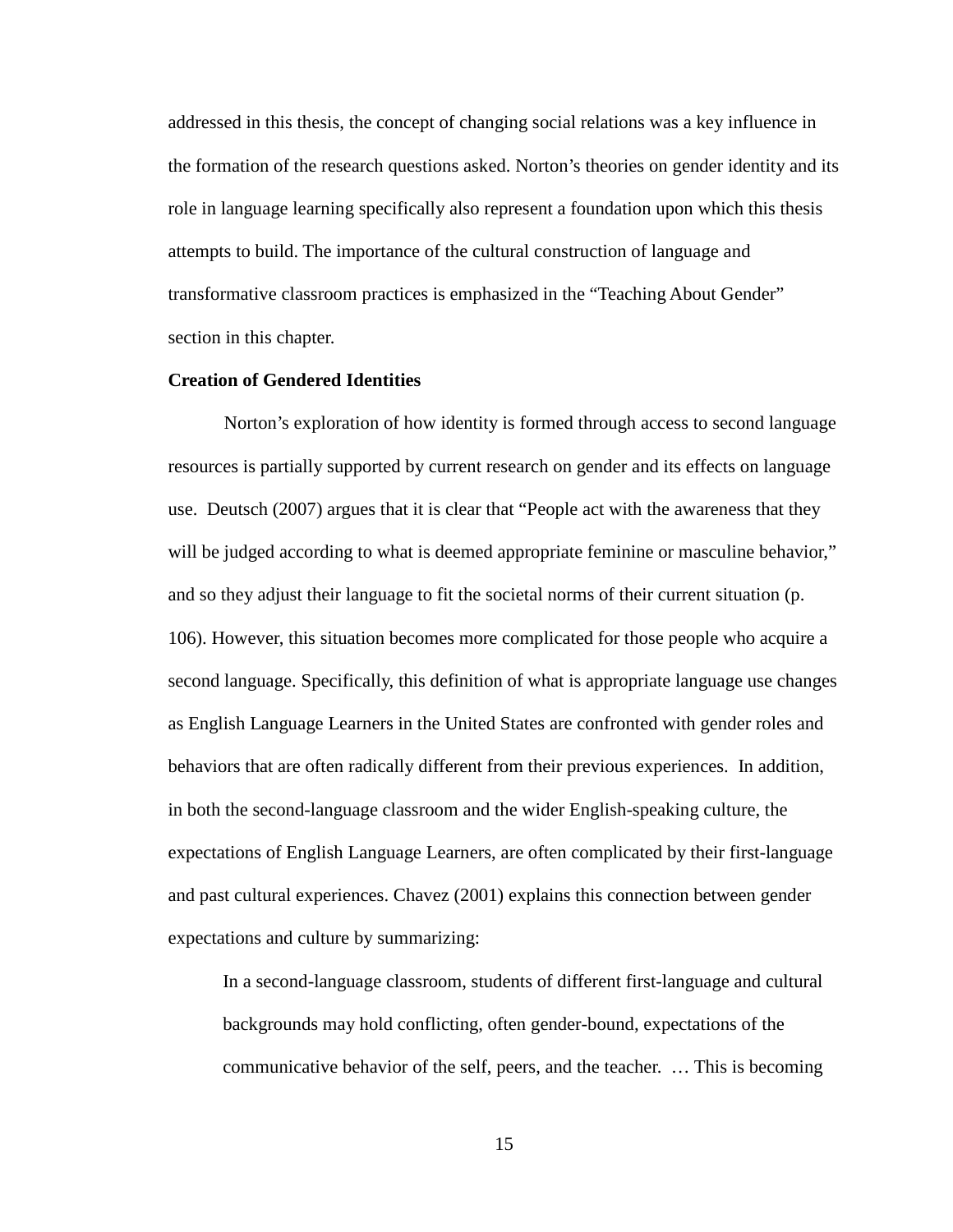addressed in this thesis, the concept of changing social relations was a key influence in the formation of the research questions asked. Norton's theories on gender identity and its role in language learning specifically also represent a foundation upon which this thesis attempts to build. The importance of the cultural construction of language and transformative classroom practices is emphasized in the "Teaching About Gender" section in this chapter.

# **Creation of Gendered Identities**

Norton's exploration of how identity is formed through access to second language resources is partially supported by current research on gender and its effects on language use. Deutsch (2007) argues that it is clear that "People act with the awareness that they will be judged according to what is deemed appropriate feminine or masculine behavior," and so they adjust their language to fit the societal norms of their current situation (p. 106). However, this situation becomes more complicated for those people who acquire a second language. Specifically, this definition of what is appropriate language use changes as English Language Learners in the United States are confronted with gender roles and behaviors that are often radically different from their previous experiences. In addition, in both the second-language classroom and the wider English-speaking culture, the expectations of English Language Learners, are often complicated by their first-language and past cultural experiences. Chavez (2001) explains this connection between gender expectations and culture by summarizing:

In a second-language classroom, students of different first-language and cultural backgrounds may hold conflicting, often gender-bound, expectations of the communicative behavior of the self, peers, and the teacher. … This is becoming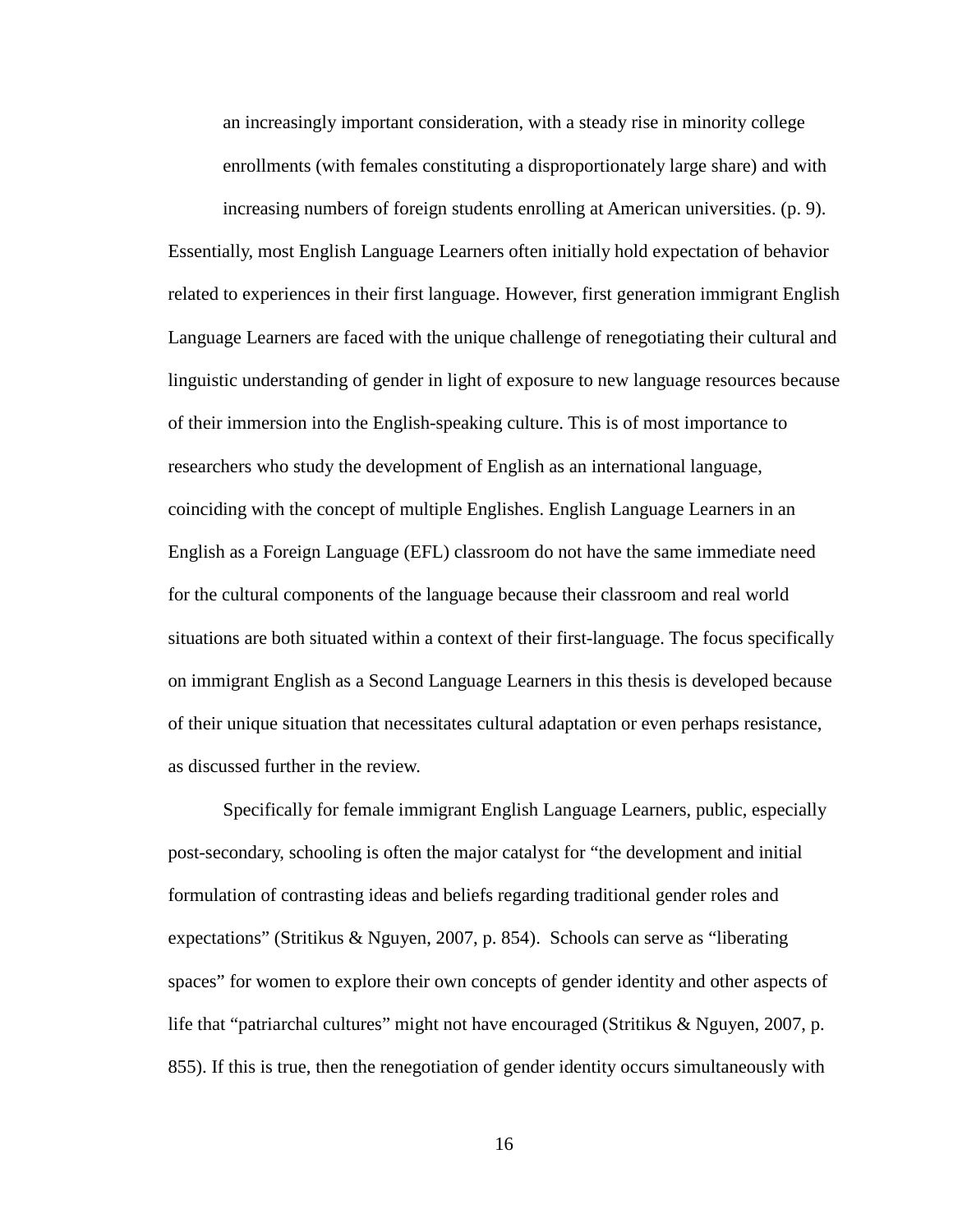an increasingly important consideration, with a steady rise in minority college enrollments (with females constituting a disproportionately large share) and with

increasing numbers of foreign students enrolling at American universities. (p. 9). Essentially, most English Language Learners often initially hold expectation of behavior related to experiences in their first language. However, first generation immigrant English Language Learners are faced with the unique challenge of renegotiating their cultural and linguistic understanding of gender in light of exposure to new language resources because of their immersion into the English-speaking culture. This is of most importance to researchers who study the development of English as an international language, coinciding with the concept of multiple Englishes. English Language Learners in an English as a Foreign Language (EFL) classroom do not have the same immediate need for the cultural components of the language because their classroom and real world situations are both situated within a context of their first-language. The focus specifically on immigrant English as a Second Language Learners in this thesis is developed because of their unique situation that necessitates cultural adaptation or even perhaps resistance, as discussed further in the review.

Specifically for female immigrant English Language Learners, public, especially post-secondary, schooling is often the major catalyst for "the development and initial formulation of contrasting ideas and beliefs regarding traditional gender roles and expectations" (Stritikus & Nguyen, 2007, p. 854). Schools can serve as "liberating spaces" for women to explore their own concepts of gender identity and other aspects of life that "patriarchal cultures" might not have encouraged (Stritikus & Nguyen, 2007, p. 855). If this is true, then the renegotiation of gender identity occurs simultaneously with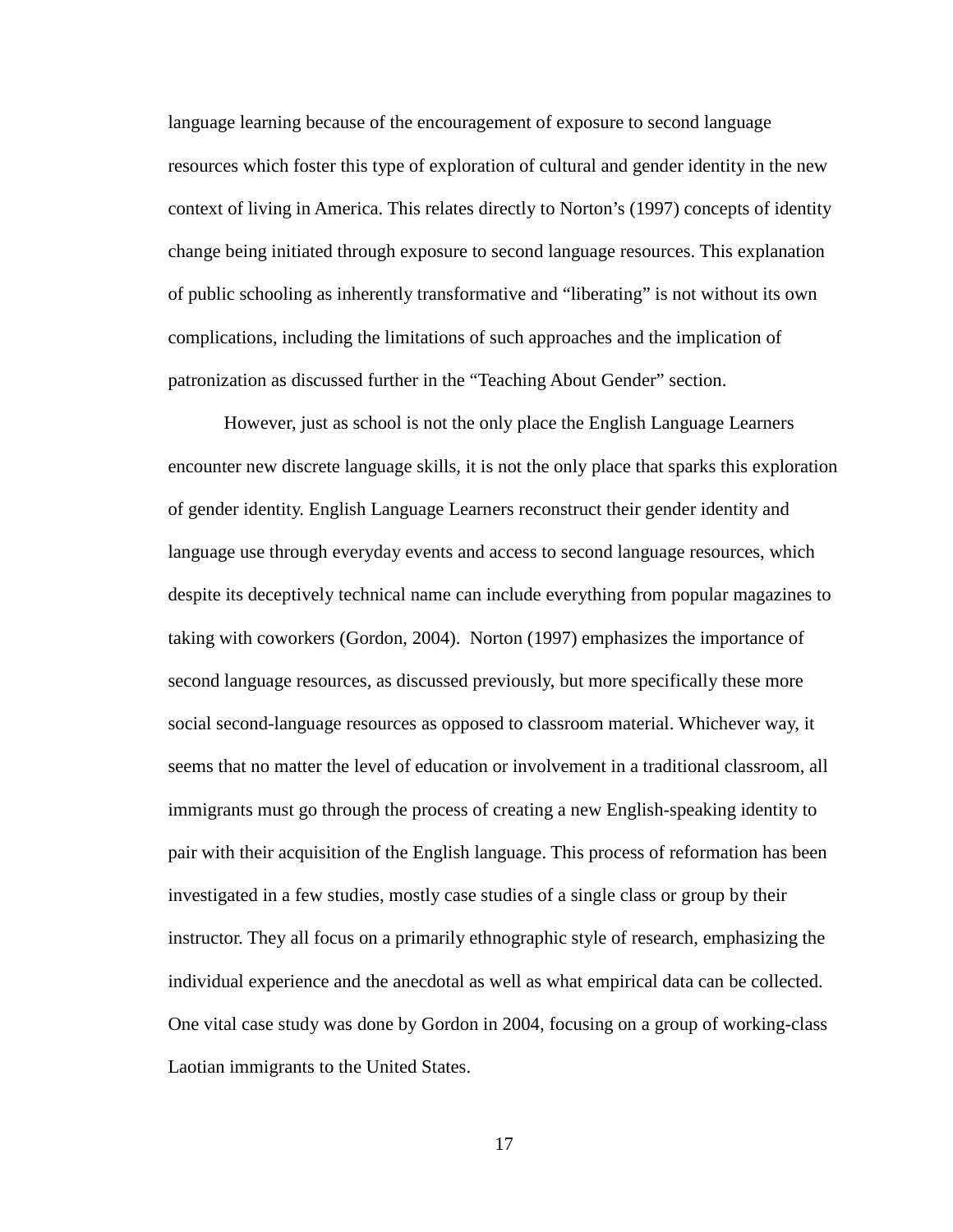language learning because of the encouragement of exposure to second language resources which foster this type of exploration of cultural and gender identity in the new context of living in America. This relates directly to Norton's (1997) concepts of identity change being initiated through exposure to second language resources. This explanation of public schooling as inherently transformative and "liberating" is not without its own complications, including the limitations of such approaches and the implication of patronization as discussed further in the "Teaching About Gender" section.

However, just as school is not the only place the English Language Learners encounter new discrete language skills, it is not the only place that sparks this exploration of gender identity. English Language Learners reconstruct their gender identity and language use through everyday events and access to second language resources, which despite its deceptively technical name can include everything from popular magazines to taking with coworkers (Gordon, 2004). Norton (1997) emphasizes the importance of second language resources, as discussed previously, but more specifically these more social second-language resources as opposed to classroom material. Whichever way, it seems that no matter the level of education or involvement in a traditional classroom, all immigrants must go through the process of creating a new English-speaking identity to pair with their acquisition of the English language. This process of reformation has been investigated in a few studies, mostly case studies of a single class or group by their instructor. They all focus on a primarily ethnographic style of research, emphasizing the individual experience and the anecdotal as well as what empirical data can be collected. One vital case study was done by Gordon in 2004, focusing on a group of working-class Laotian immigrants to the United States.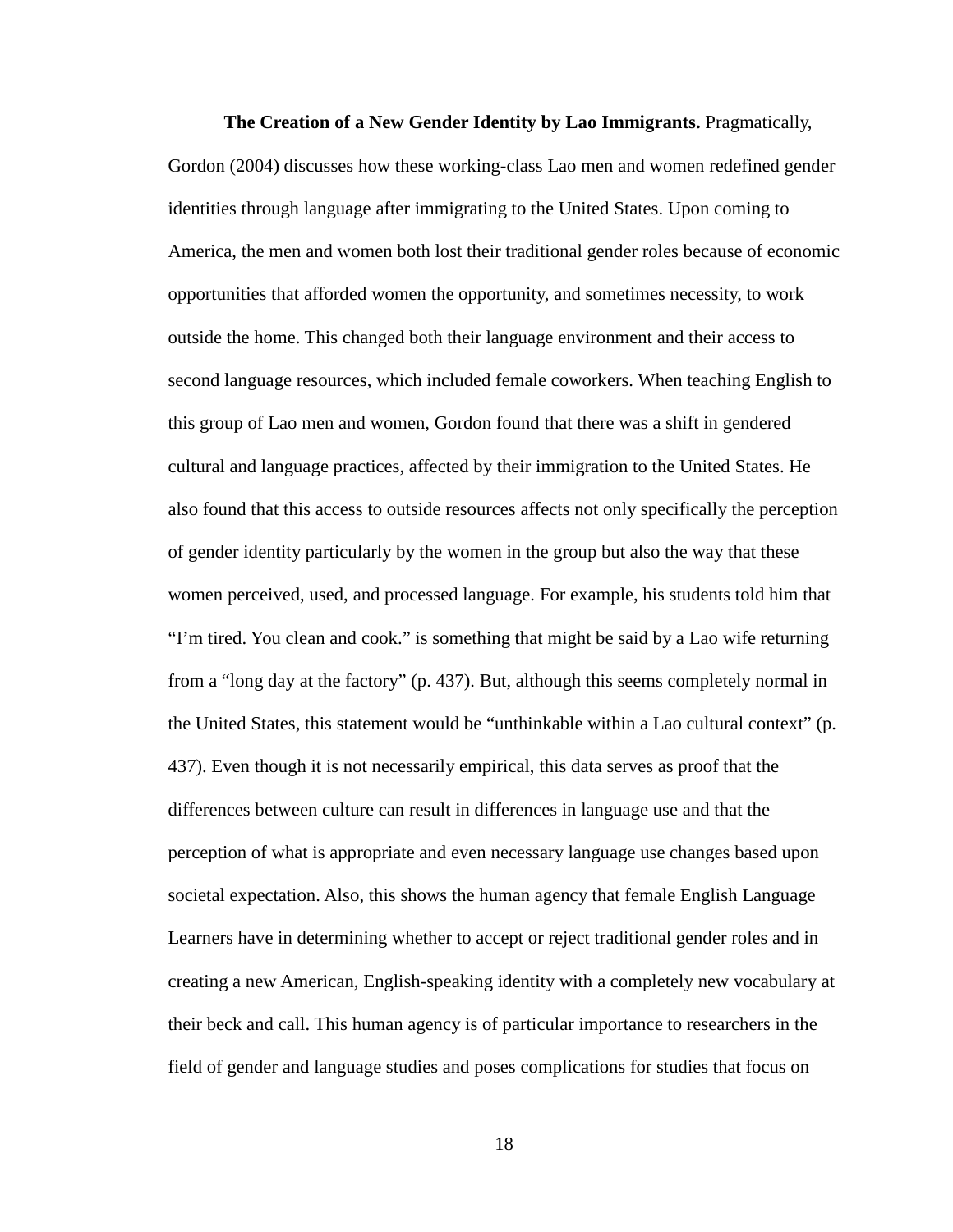**The Creation of a New Gender Identity by Lao Immigrants.** Pragmatically, Gordon (2004) discusses how these working-class Lao men and women redefined gender identities through language after immigrating to the United States. Upon coming to America, the men and women both lost their traditional gender roles because of economic opportunities that afforded women the opportunity, and sometimes necessity, to work outside the home. This changed both their language environment and their access to second language resources, which included female coworkers. When teaching English to this group of Lao men and women, Gordon found that there was a shift in gendered cultural and language practices, affected by their immigration to the United States. He also found that this access to outside resources affects not only specifically the perception of gender identity particularly by the women in the group but also the way that these women perceived, used, and processed language. For example, his students told him that "I'm tired. You clean and cook." is something that might be said by a Lao wife returning from a "long day at the factory" (p. 437). But, although this seems completely normal in the United States, this statement would be "unthinkable within a Lao cultural context" (p. 437). Even though it is not necessarily empirical, this data serves as proof that the differences between culture can result in differences in language use and that the perception of what is appropriate and even necessary language use changes based upon societal expectation. Also, this shows the human agency that female English Language Learners have in determining whether to accept or reject traditional gender roles and in creating a new American, English-speaking identity with a completely new vocabulary at their beck and call. This human agency is of particular importance to researchers in the field of gender and language studies and poses complications for studies that focus on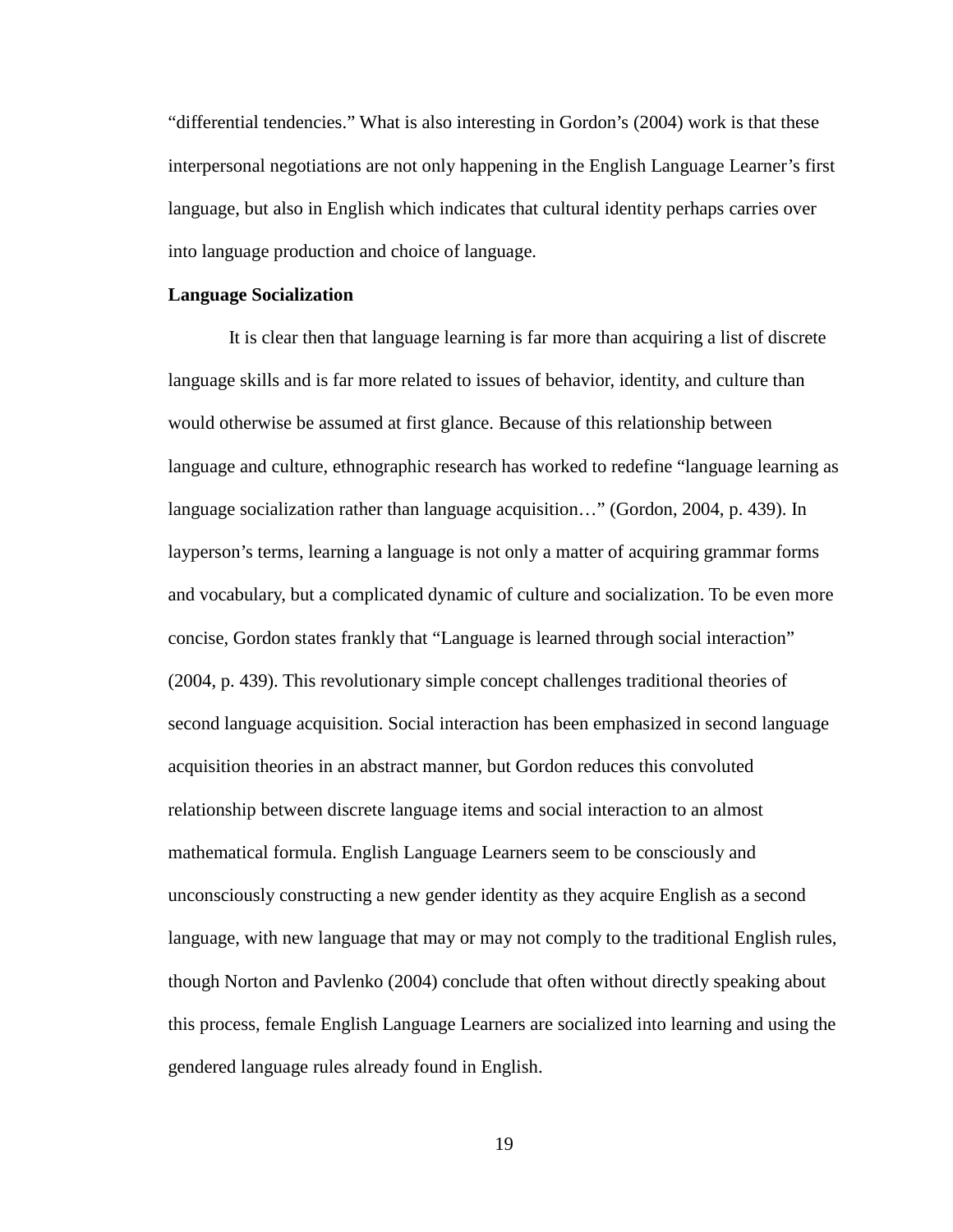"differential tendencies." What is also interesting in Gordon's (2004) work is that these interpersonal negotiations are not only happening in the English Language Learner's first language, but also in English which indicates that cultural identity perhaps carries over into language production and choice of language.

# **Language Socialization**

It is clear then that language learning is far more than acquiring a list of discrete language skills and is far more related to issues of behavior, identity, and culture than would otherwise be assumed at first glance. Because of this relationship between language and culture, ethnographic research has worked to redefine "language learning as language socialization rather than language acquisition…" (Gordon, 2004, p. 439). In layperson's terms, learning a language is not only a matter of acquiring grammar forms and vocabulary, but a complicated dynamic of culture and socialization. To be even more concise, Gordon states frankly that "Language is learned through social interaction" (2004, p. 439). This revolutionary simple concept challenges traditional theories of second language acquisition. Social interaction has been emphasized in second language acquisition theories in an abstract manner, but Gordon reduces this convoluted relationship between discrete language items and social interaction to an almost mathematical formula. English Language Learners seem to be consciously and unconsciously constructing a new gender identity as they acquire English as a second language, with new language that may or may not comply to the traditional English rules, though Norton and Pavlenko (2004) conclude that often without directly speaking about this process, female English Language Learners are socialized into learning and using the gendered language rules already found in English.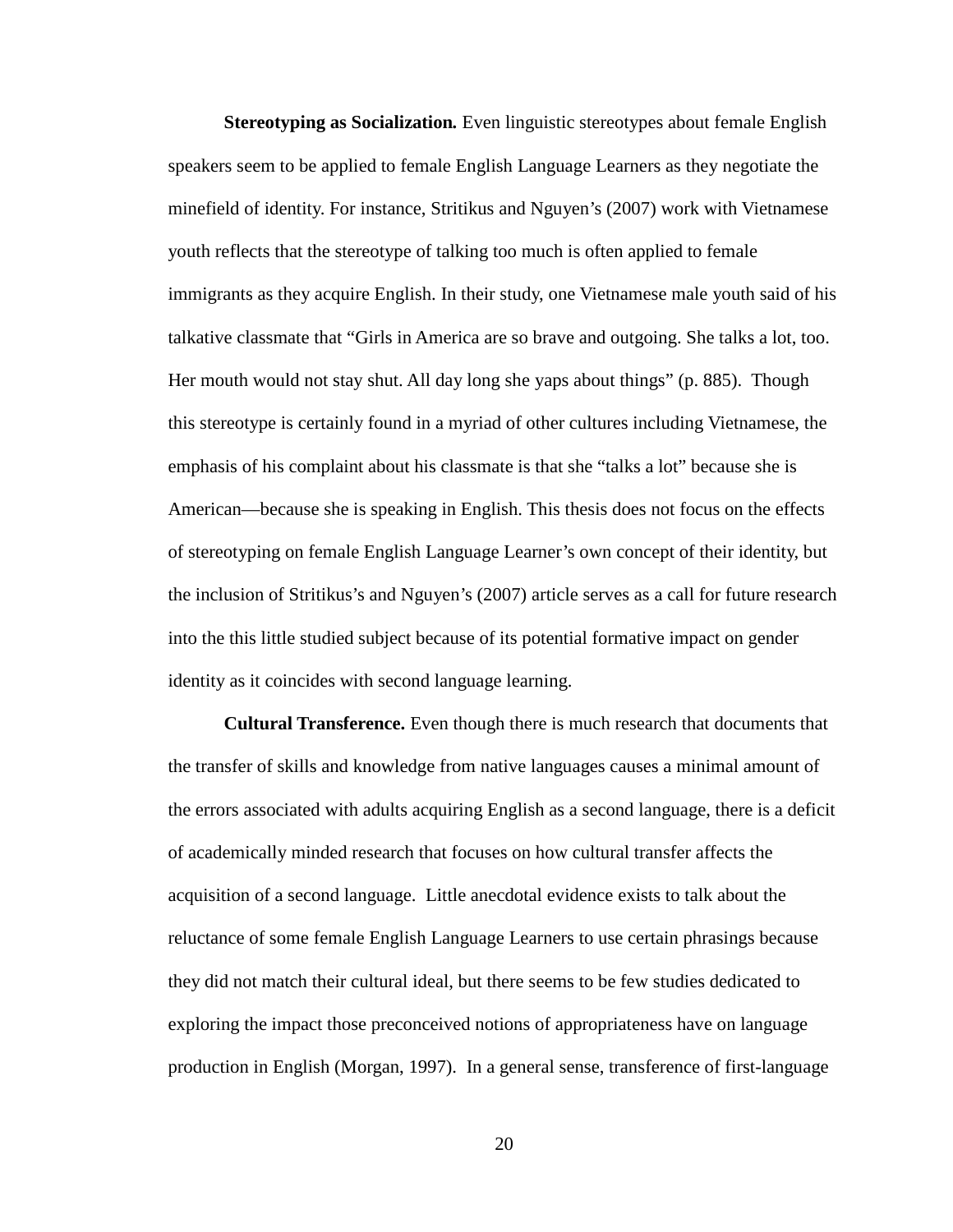**Stereotyping as Socialization***.* Even linguistic stereotypes about female English speakers seem to be applied to female English Language Learners as they negotiate the minefield of identity. For instance, Stritikus and Nguyen's (2007) work with Vietnamese youth reflects that the stereotype of talking too much is often applied to female immigrants as they acquire English. In their study, one Vietnamese male youth said of his talkative classmate that "Girls in America are so brave and outgoing. She talks a lot, too. Her mouth would not stay shut. All day long she yaps about things" (p. 885). Though this stereotype is certainly found in a myriad of other cultures including Vietnamese, the emphasis of his complaint about his classmate is that she "talks a lot" because she is American—because she is speaking in English. This thesis does not focus on the effects of stereotyping on female English Language Learner's own concept of their identity, but the inclusion of Stritikus's and Nguyen's (2007) article serves as a call for future research into the this little studied subject because of its potential formative impact on gender identity as it coincides with second language learning.

**Cultural Transference.** Even though there is much research that documents that the transfer of skills and knowledge from native languages causes a minimal amount of the errors associated with adults acquiring English as a second language, there is a deficit of academically minded research that focuses on how cultural transfer affects the acquisition of a second language. Little anecdotal evidence exists to talk about the reluctance of some female English Language Learners to use certain phrasings because they did not match their cultural ideal, but there seems to be few studies dedicated to exploring the impact those preconceived notions of appropriateness have on language production in English (Morgan, 1997). In a general sense, transference of first-language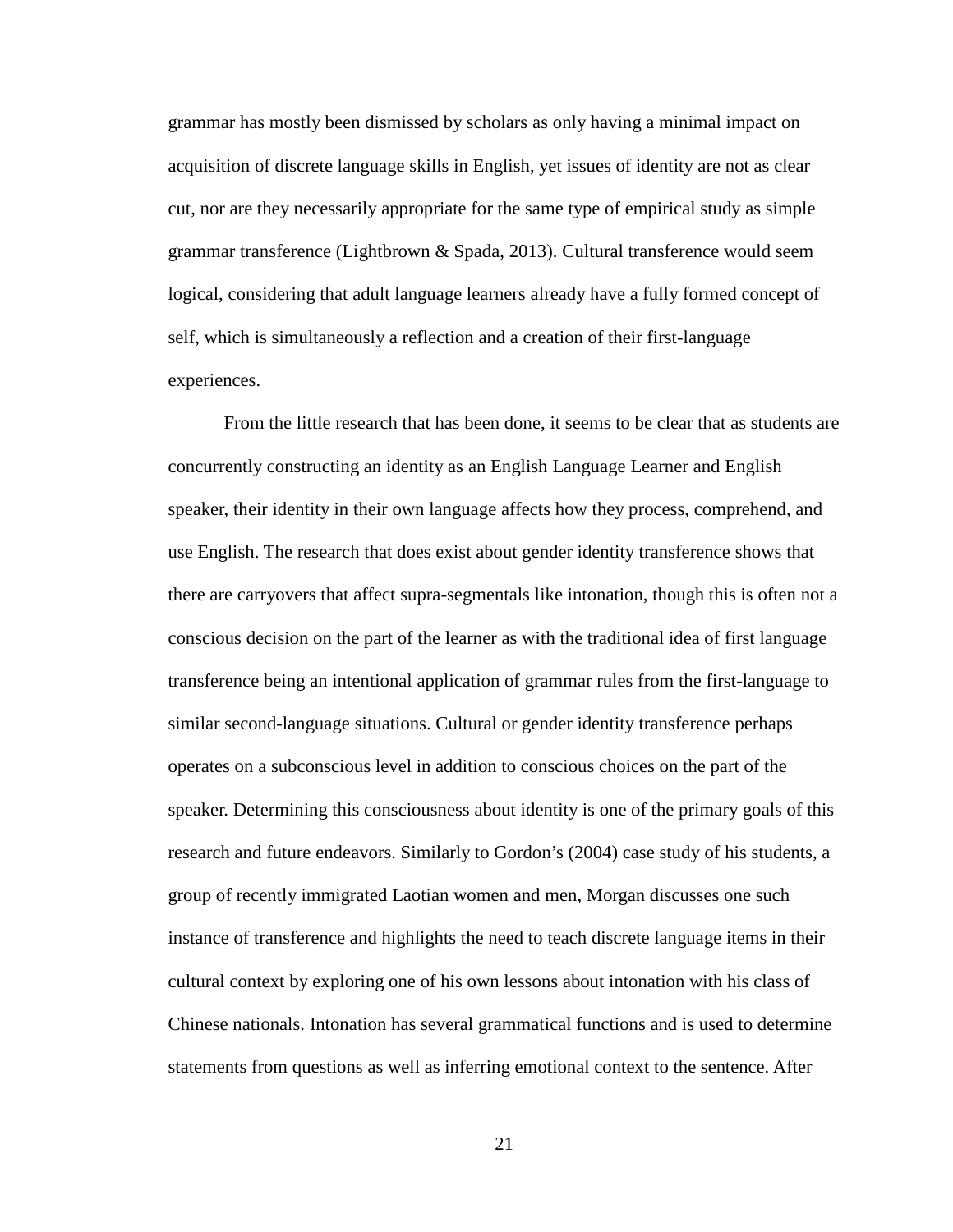grammar has mostly been dismissed by scholars as only having a minimal impact on acquisition of discrete language skills in English, yet issues of identity are not as clear cut, nor are they necessarily appropriate for the same type of empirical study as simple grammar transference (Lightbrown & Spada, 2013). Cultural transference would seem logical, considering that adult language learners already have a fully formed concept of self, which is simultaneously a reflection and a creation of their first-language experiences.

From the little research that has been done, it seems to be clear that as students are concurrently constructing an identity as an English Language Learner and English speaker, their identity in their own language affects how they process, comprehend, and use English. The research that does exist about gender identity transference shows that there are carryovers that affect supra-segmentals like intonation, though this is often not a conscious decision on the part of the learner as with the traditional idea of first language transference being an intentional application of grammar rules from the first-language to similar second-language situations. Cultural or gender identity transference perhaps operates on a subconscious level in addition to conscious choices on the part of the speaker. Determining this consciousness about identity is one of the primary goals of this research and future endeavors. Similarly to Gordon's (2004) case study of his students, a group of recently immigrated Laotian women and men, Morgan discusses one such instance of transference and highlights the need to teach discrete language items in their cultural context by exploring one of his own lessons about intonation with his class of Chinese nationals. Intonation has several grammatical functions and is used to determine statements from questions as well as inferring emotional context to the sentence. After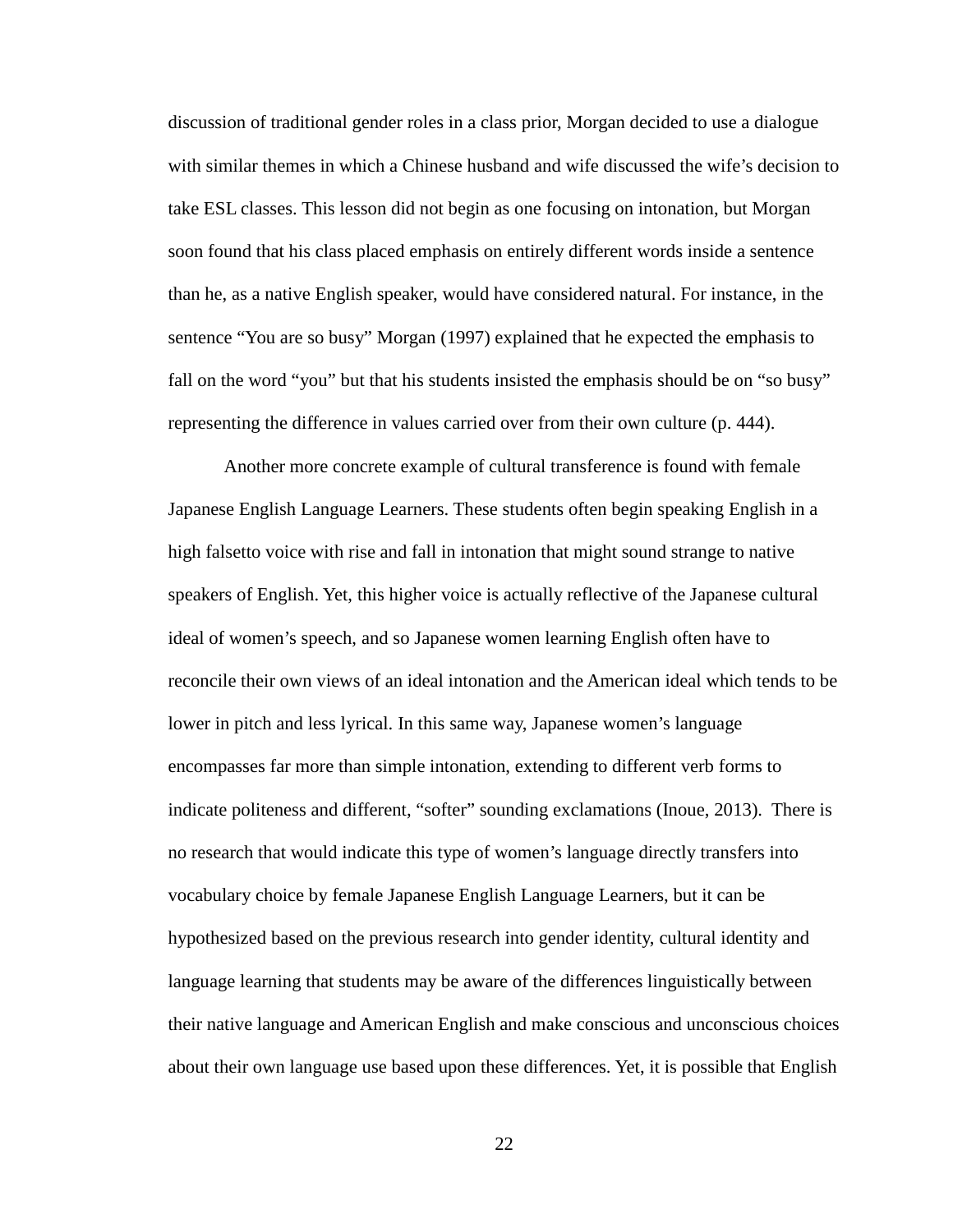discussion of traditional gender roles in a class prior, Morgan decided to use a dialogue with similar themes in which a Chinese husband and wife discussed the wife's decision to take ESL classes. This lesson did not begin as one focusing on intonation, but Morgan soon found that his class placed emphasis on entirely different words inside a sentence than he, as a native English speaker, would have considered natural. For instance, in the sentence "You are so busy" Morgan (1997) explained that he expected the emphasis to fall on the word "you" but that his students insisted the emphasis should be on "so busy" representing the difference in values carried over from their own culture (p. 444).

Another more concrete example of cultural transference is found with female Japanese English Language Learners. These students often begin speaking English in a high falsetto voice with rise and fall in intonation that might sound strange to native speakers of English. Yet, this higher voice is actually reflective of the Japanese cultural ideal of women's speech, and so Japanese women learning English often have to reconcile their own views of an ideal intonation and the American ideal which tends to be lower in pitch and less lyrical. In this same way, Japanese women's language encompasses far more than simple intonation, extending to different verb forms to indicate politeness and different, "softer" sounding exclamations (Inoue, 2013). There is no research that would indicate this type of women's language directly transfers into vocabulary choice by female Japanese English Language Learners, but it can be hypothesized based on the previous research into gender identity, cultural identity and language learning that students may be aware of the differences linguistically between their native language and American English and make conscious and unconscious choices about their own language use based upon these differences. Yet, it is possible that English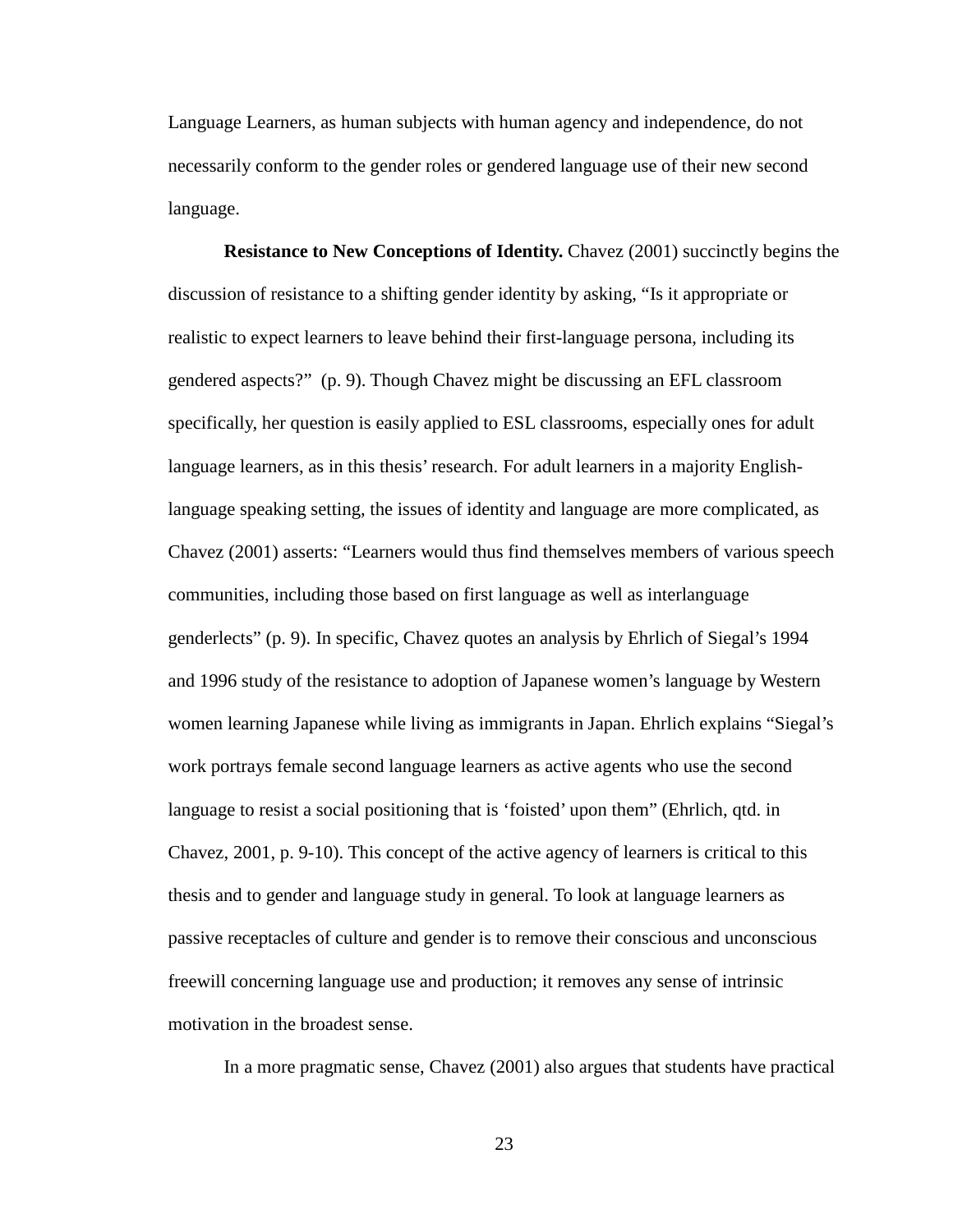Language Learners, as human subjects with human agency and independence, do not necessarily conform to the gender roles or gendered language use of their new second language.

**Resistance to New Conceptions of Identity.** Chavez (2001) succinctly begins the discussion of resistance to a shifting gender identity by asking, "Is it appropriate or realistic to expect learners to leave behind their first-language persona, including its gendered aspects?" (p. 9). Though Chavez might be discussing an EFL classroom specifically, her question is easily applied to ESL classrooms, especially ones for adult language learners, as in this thesis' research. For adult learners in a majority Englishlanguage speaking setting, the issues of identity and language are more complicated, as Chavez (2001) asserts: "Learners would thus find themselves members of various speech communities, including those based on first language as well as interlanguage genderlects" (p. 9). In specific, Chavez quotes an analysis by Ehrlich of Siegal's 1994 and 1996 study of the resistance to adoption of Japanese women's language by Western women learning Japanese while living as immigrants in Japan. Ehrlich explains "Siegal's work portrays female second language learners as active agents who use the second language to resist a social positioning that is 'foisted' upon them" (Ehrlich, qtd. in Chavez, 2001, p. 9-10). This concept of the active agency of learners is critical to this thesis and to gender and language study in general. To look at language learners as passive receptacles of culture and gender is to remove their conscious and unconscious freewill concerning language use and production; it removes any sense of intrinsic motivation in the broadest sense.

In a more pragmatic sense, Chavez (2001) also argues that students have practical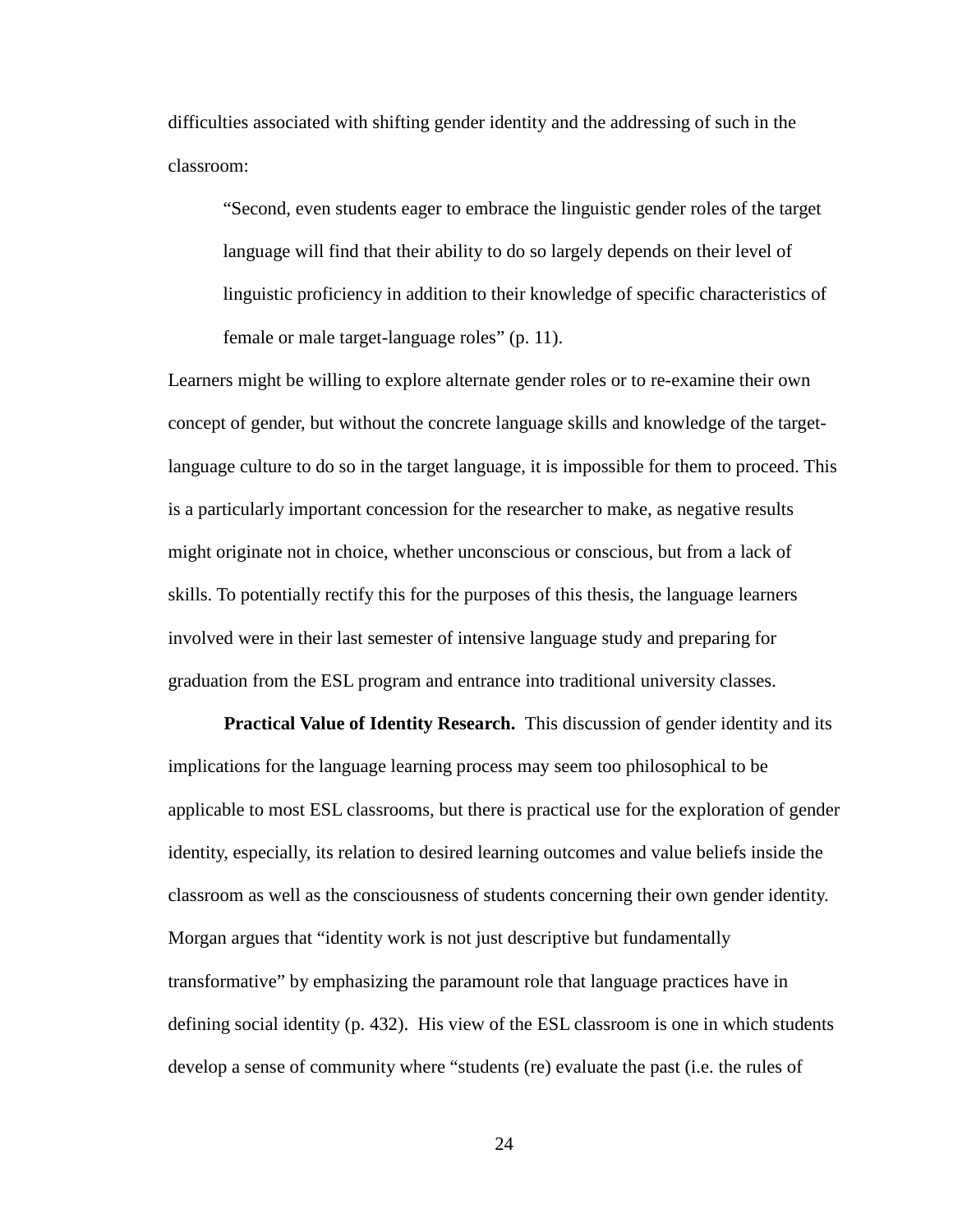difficulties associated with shifting gender identity and the addressing of such in the classroom:

"Second, even students eager to embrace the linguistic gender roles of the target language will find that their ability to do so largely depends on their level of linguistic proficiency in addition to their knowledge of specific characteristics of female or male target-language roles" (p. 11).

Learners might be willing to explore alternate gender roles or to re-examine their own concept of gender, but without the concrete language skills and knowledge of the targetlanguage culture to do so in the target language, it is impossible for them to proceed. This is a particularly important concession for the researcher to make, as negative results might originate not in choice, whether unconscious or conscious, but from a lack of skills. To potentially rectify this for the purposes of this thesis, the language learners involved were in their last semester of intensive language study and preparing for graduation from the ESL program and entrance into traditional university classes.

**Practical Value of Identity Research.** This discussion of gender identity and its implications for the language learning process may seem too philosophical to be applicable to most ESL classrooms, but there is practical use for the exploration of gender identity, especially, its relation to desired learning outcomes and value beliefs inside the classroom as well as the consciousness of students concerning their own gender identity. Morgan argues that "identity work is not just descriptive but fundamentally transformative" by emphasizing the paramount role that language practices have in defining social identity (p. 432). His view of the ESL classroom is one in which students develop a sense of community where "students (re) evaluate the past (i.e. the rules of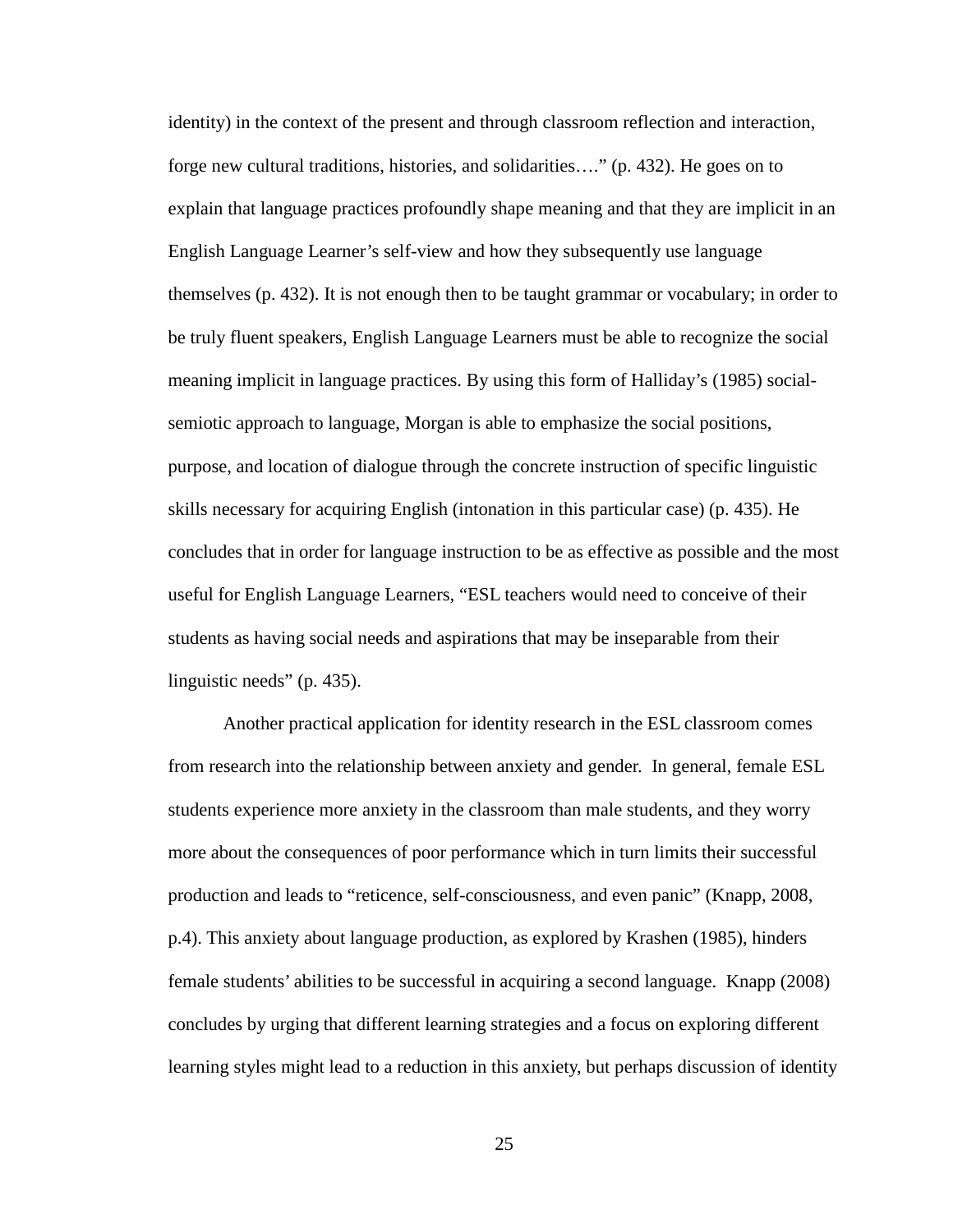identity) in the context of the present and through classroom reflection and interaction, forge new cultural traditions, histories, and solidarities…." (p. 432). He goes on to explain that language practices profoundly shape meaning and that they are implicit in an English Language Learner's self-view and how they subsequently use language themselves (p. 432). It is not enough then to be taught grammar or vocabulary; in order to be truly fluent speakers, English Language Learners must be able to recognize the social meaning implicit in language practices. By using this form of Halliday's (1985) socialsemiotic approach to language, Morgan is able to emphasize the social positions, purpose, and location of dialogue through the concrete instruction of specific linguistic skills necessary for acquiring English (intonation in this particular case) (p. 435). He concludes that in order for language instruction to be as effective as possible and the most useful for English Language Learners, "ESL teachers would need to conceive of their students as having social needs and aspirations that may be inseparable from their linguistic needs" (p. 435).

Another practical application for identity research in the ESL classroom comes from research into the relationship between anxiety and gender. In general, female ESL students experience more anxiety in the classroom than male students, and they worry more about the consequences of poor performance which in turn limits their successful production and leads to "reticence, self-consciousness, and even panic" (Knapp, 2008, p.4). This anxiety about language production, as explored by Krashen (1985), hinders female students' abilities to be successful in acquiring a second language. Knapp (2008) concludes by urging that different learning strategies and a focus on exploring different learning styles might lead to a reduction in this anxiety, but perhaps discussion of identity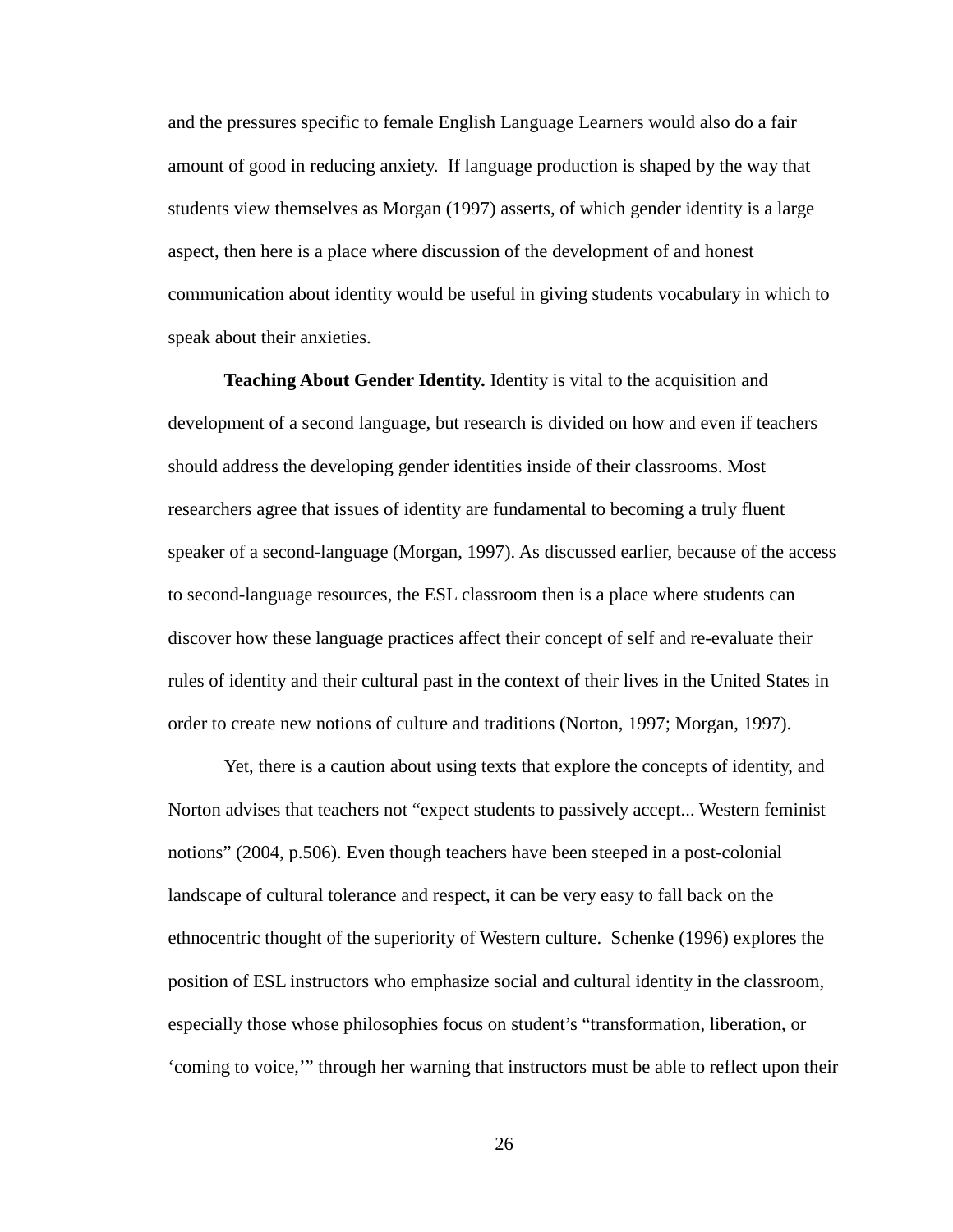and the pressures specific to female English Language Learners would also do a fair amount of good in reducing anxiety. If language production is shaped by the way that students view themselves as Morgan (1997) asserts, of which gender identity is a large aspect, then here is a place where discussion of the development of and honest communication about identity would be useful in giving students vocabulary in which to speak about their anxieties.

**Teaching About Gender Identity.** Identity is vital to the acquisition and development of a second language, but research is divided on how and even if teachers should address the developing gender identities inside of their classrooms. Most researchers agree that issues of identity are fundamental to becoming a truly fluent speaker of a second-language (Morgan, 1997). As discussed earlier, because of the access to second-language resources, the ESL classroom then is a place where students can discover how these language practices affect their concept of self and re-evaluate their rules of identity and their cultural past in the context of their lives in the United States in order to create new notions of culture and traditions (Norton, 1997; Morgan, 1997).

Yet, there is a caution about using texts that explore the concepts of identity, and Norton advises that teachers not "expect students to passively accept... Western feminist notions" (2004, p.506). Even though teachers have been steeped in a post-colonial landscape of cultural tolerance and respect, it can be very easy to fall back on the ethnocentric thought of the superiority of Western culture. Schenke (1996) explores the position of ESL instructors who emphasize social and cultural identity in the classroom, especially those whose philosophies focus on student's "transformation, liberation, or 'coming to voice,'" through her warning that instructors must be able to reflect upon their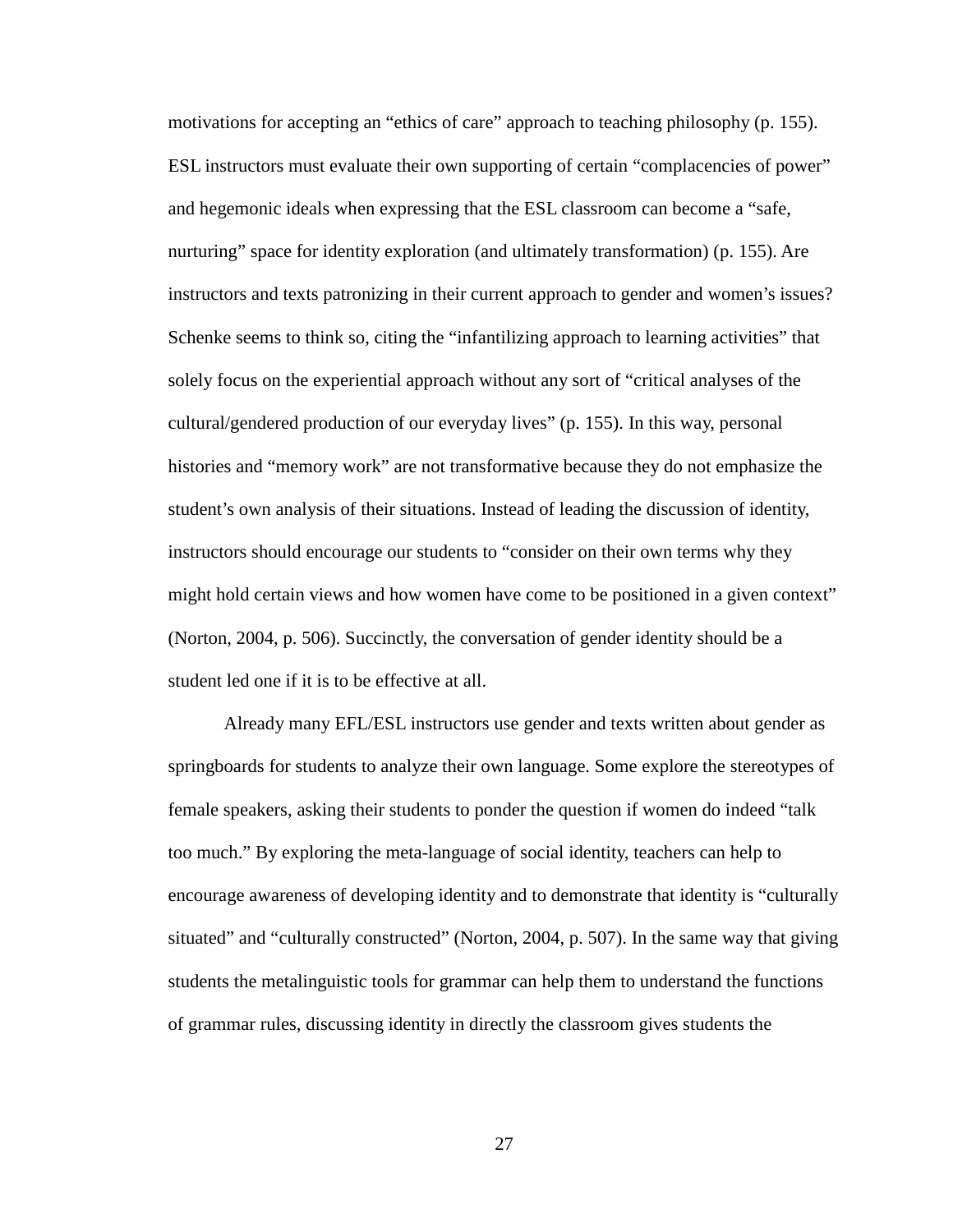motivations for accepting an "ethics of care" approach to teaching philosophy (p. 155). ESL instructors must evaluate their own supporting of certain "complacencies of power" and hegemonic ideals when expressing that the ESL classroom can become a "safe, nurturing" space for identity exploration (and ultimately transformation) (p. 155). Are instructors and texts patronizing in their current approach to gender and women's issues? Schenke seems to think so, citing the "infantilizing approach to learning activities" that solely focus on the experiential approach without any sort of "critical analyses of the cultural/gendered production of our everyday lives" (p. 155). In this way, personal histories and "memory work" are not transformative because they do not emphasize the student's own analysis of their situations. Instead of leading the discussion of identity, instructors should encourage our students to "consider on their own terms why they might hold certain views and how women have come to be positioned in a given context" (Norton, 2004, p. 506). Succinctly, the conversation of gender identity should be a student led one if it is to be effective at all.

Already many EFL/ESL instructors use gender and texts written about gender as springboards for students to analyze their own language. Some explore the stereotypes of female speakers, asking their students to ponder the question if women do indeed "talk too much." By exploring the meta-language of social identity, teachers can help to encourage awareness of developing identity and to demonstrate that identity is "culturally situated" and "culturally constructed" (Norton, 2004, p. 507). In the same way that giving students the metalinguistic tools for grammar can help them to understand the functions of grammar rules, discussing identity in directly the classroom gives students the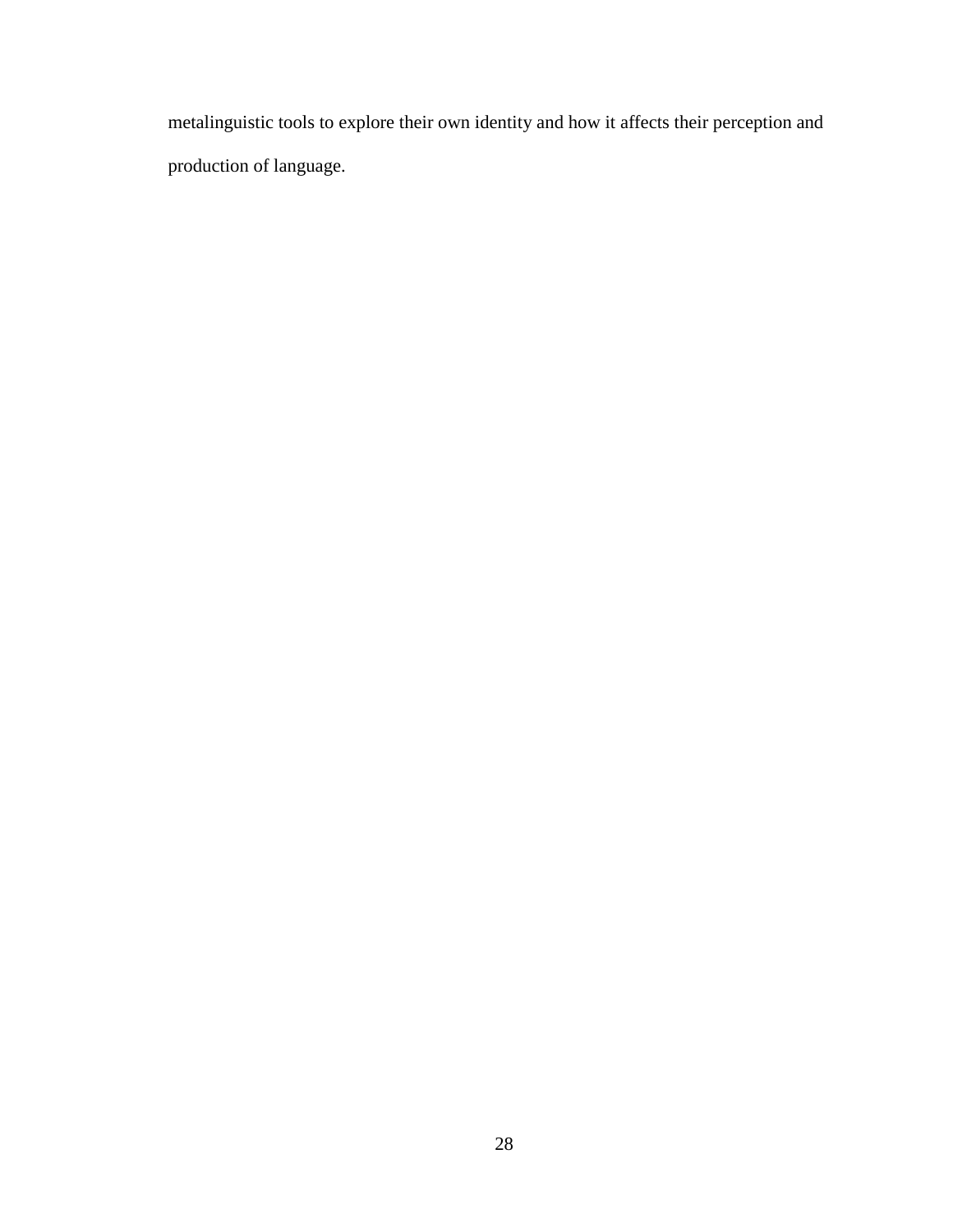metalinguistic tools to explore their own identity and how it affects their perception and production of language.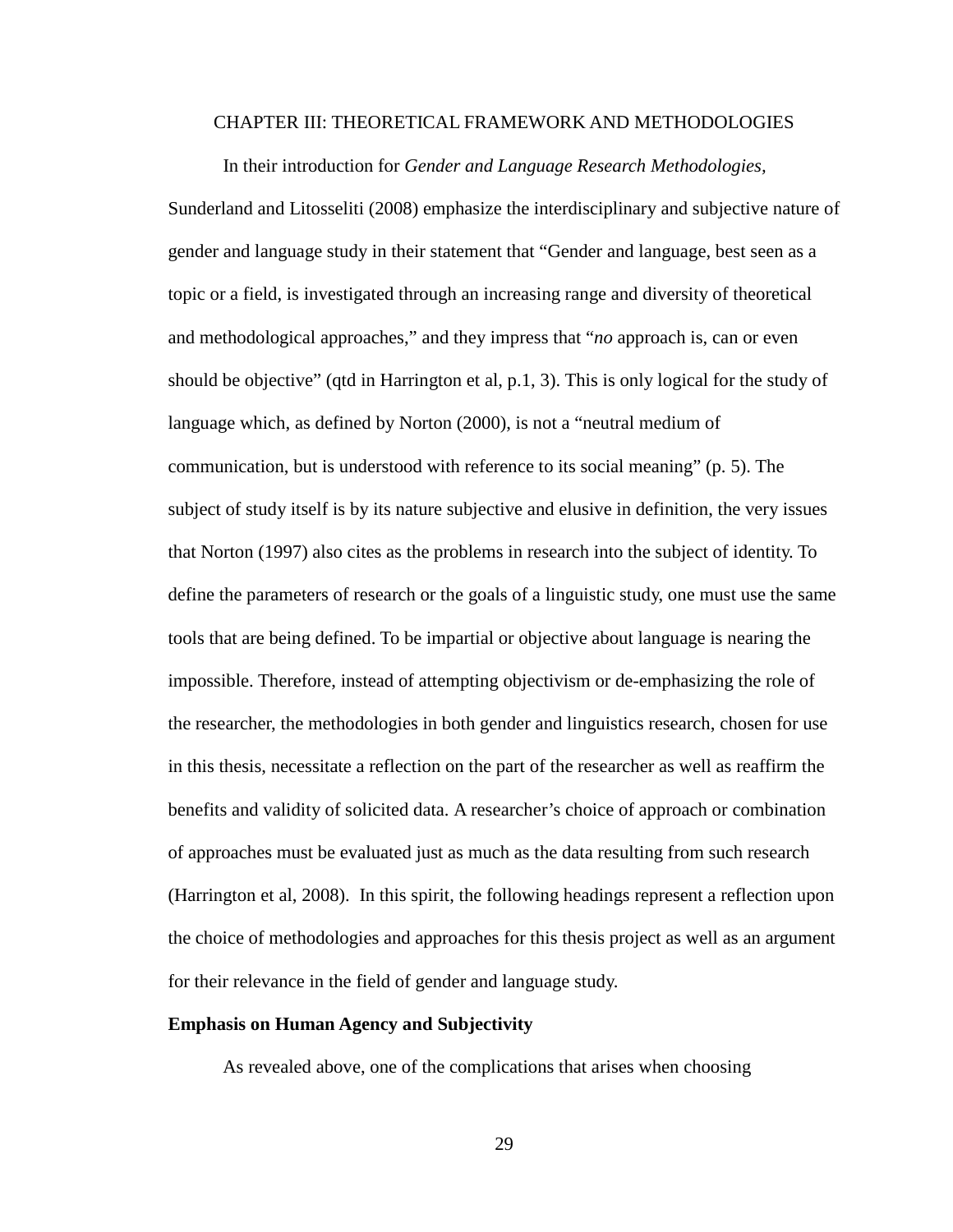#### CHAPTER III: THEORETICAL FRAMEWORK AND METHODOLOGIES

In their introduction for *Gender and Language Research Methodologies,*  Sunderland and Litosseliti (2008) emphasize the interdisciplinary and subjective nature of gender and language study in their statement that "Gender and language, best seen as a topic or a field, is investigated through an increasing range and diversity of theoretical and methodological approaches," and they impress that "*no* approach is, can or even should be objective" (qtd in Harrington et al, p.1, 3). This is only logical for the study of language which, as defined by Norton (2000), is not a "neutral medium of communication, but is understood with reference to its social meaning" (p. 5). The subject of study itself is by its nature subjective and elusive in definition, the very issues that Norton (1997) also cites as the problems in research into the subject of identity. To define the parameters of research or the goals of a linguistic study, one must use the same tools that are being defined. To be impartial or objective about language is nearing the impossible. Therefore, instead of attempting objectivism or de-emphasizing the role of the researcher, the methodologies in both gender and linguistics research, chosen for use in this thesis, necessitate a reflection on the part of the researcher as well as reaffirm the benefits and validity of solicited data. A researcher's choice of approach or combination of approaches must be evaluated just as much as the data resulting from such research (Harrington et al, 2008). In this spirit, the following headings represent a reflection upon the choice of methodologies and approaches for this thesis project as well as an argument for their relevance in the field of gender and language study.

# **Emphasis on Human Agency and Subjectivity**

As revealed above, one of the complications that arises when choosing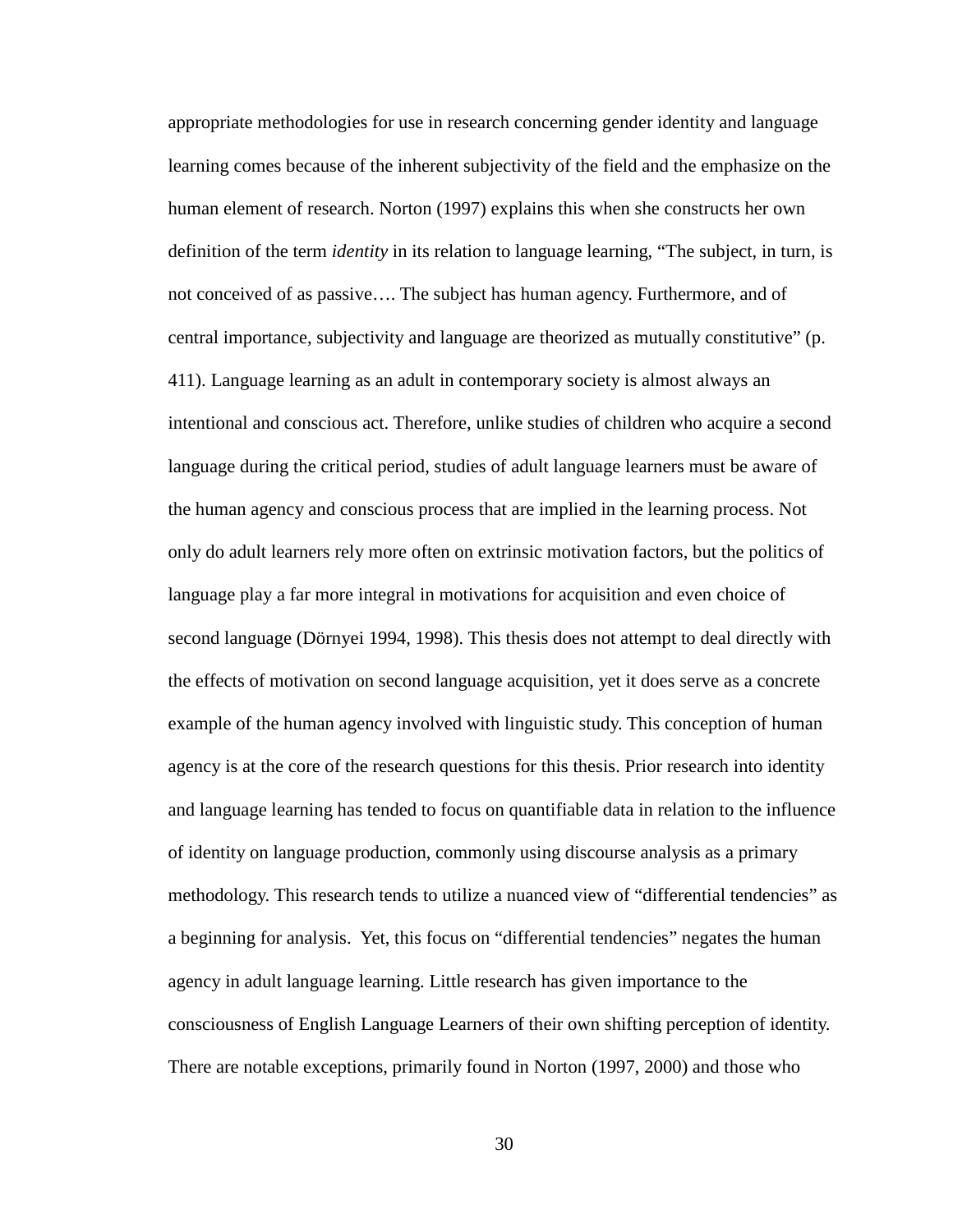appropriate methodologies for use in research concerning gender identity and language learning comes because of the inherent subjectivity of the field and the emphasize on the human element of research. Norton (1997) explains this when she constructs her own definition of the term *identity* in its relation to language learning, "The subject, in turn, is not conceived of as passive…. The subject has human agency. Furthermore, and of central importance, subjectivity and language are theorized as mutually constitutive" (p. 411). Language learning as an adult in contemporary society is almost always an intentional and conscious act. Therefore, unlike studies of children who acquire a second language during the critical period, studies of adult language learners must be aware of the human agency and conscious process that are implied in the learning process. Not only do adult learners rely more often on extrinsic motivation factors, but the politics of language play a far more integral in motivations for acquisition and even choice of second language (Dörnyei 1994, 1998). This thesis does not attempt to deal directly with the effects of motivation on second language acquisition, yet it does serve as a concrete example of the human agency involved with linguistic study. This conception of human agency is at the core of the research questions for this thesis. Prior research into identity and language learning has tended to focus on quantifiable data in relation to the influence of identity on language production, commonly using discourse analysis as a primary methodology. This research tends to utilize a nuanced view of "differential tendencies" as a beginning for analysis. Yet, this focus on "differential tendencies" negates the human agency in adult language learning. Little research has given importance to the consciousness of English Language Learners of their own shifting perception of identity. There are notable exceptions, primarily found in Norton (1997, 2000) and those who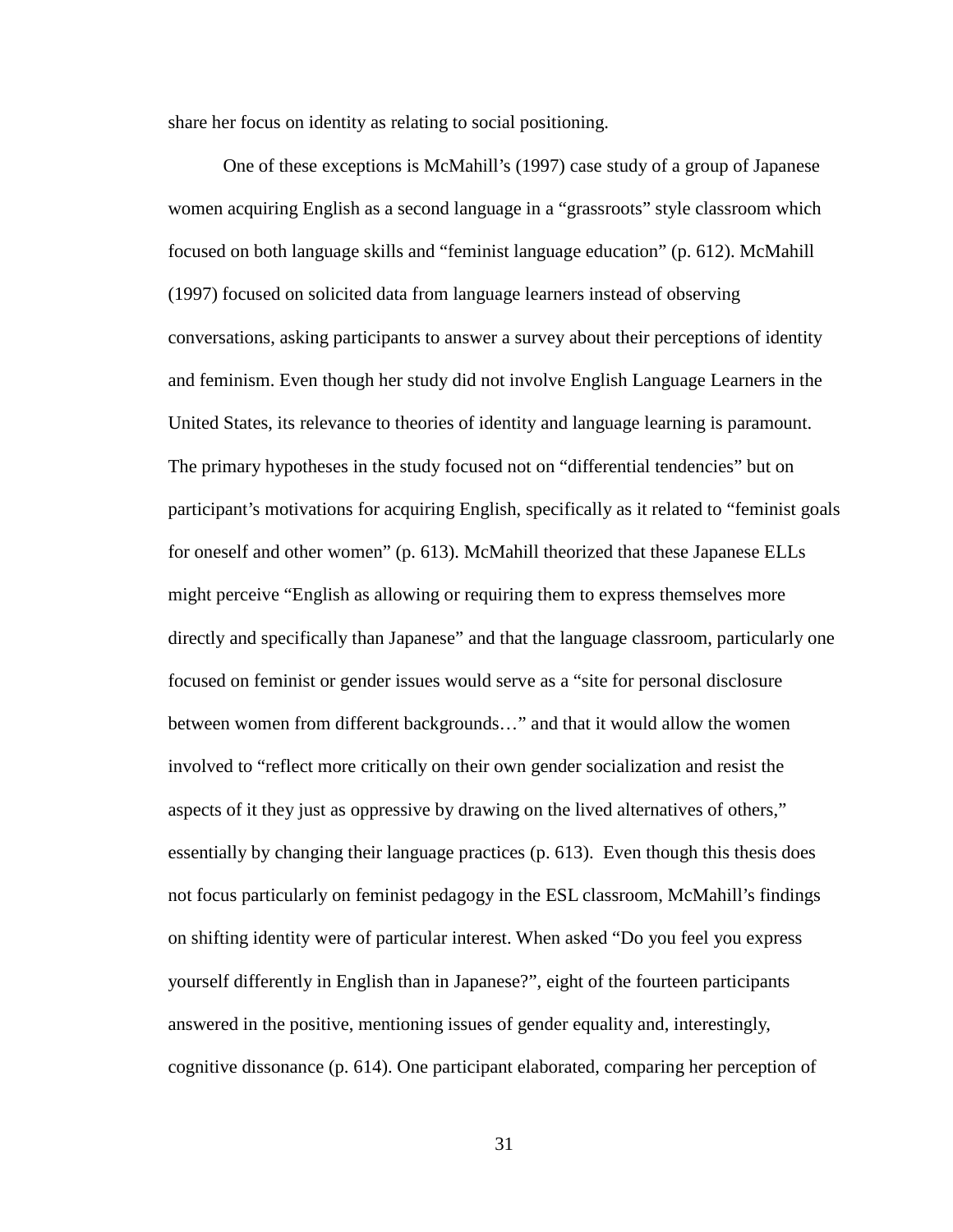share her focus on identity as relating to social positioning.

One of these exceptions is McMahill's (1997) case study of a group of Japanese women acquiring English as a second language in a "grassroots" style classroom which focused on both language skills and "feminist language education" (p. 612). McMahill (1997) focused on solicited data from language learners instead of observing conversations, asking participants to answer a survey about their perceptions of identity and feminism. Even though her study did not involve English Language Learners in the United States, its relevance to theories of identity and language learning is paramount. The primary hypotheses in the study focused not on "differential tendencies" but on participant's motivations for acquiring English, specifically as it related to "feminist goals for oneself and other women" (p. 613). McMahill theorized that these Japanese ELLs might perceive "English as allowing or requiring them to express themselves more directly and specifically than Japanese" and that the language classroom, particularly one focused on feminist or gender issues would serve as a "site for personal disclosure between women from different backgrounds…" and that it would allow the women involved to "reflect more critically on their own gender socialization and resist the aspects of it they just as oppressive by drawing on the lived alternatives of others," essentially by changing their language practices (p. 613). Even though this thesis does not focus particularly on feminist pedagogy in the ESL classroom, McMahill's findings on shifting identity were of particular interest. When asked "Do you feel you express yourself differently in English than in Japanese?", eight of the fourteen participants answered in the positive, mentioning issues of gender equality and, interestingly, cognitive dissonance (p. 614). One participant elaborated, comparing her perception of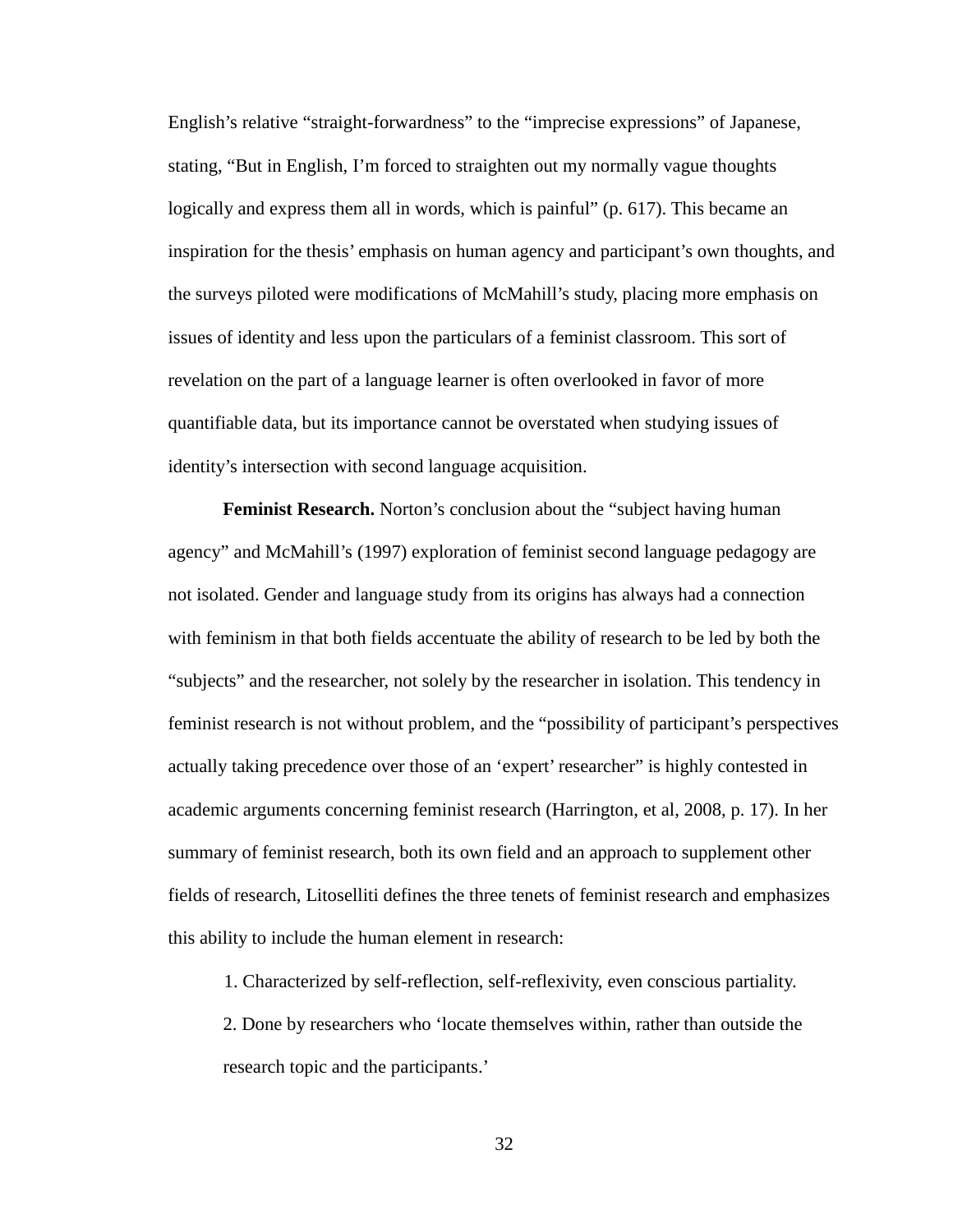English's relative "straight-forwardness" to the "imprecise expressions" of Japanese, stating, "But in English, I'm forced to straighten out my normally vague thoughts logically and express them all in words, which is painful" (p. 617). This became an inspiration for the thesis' emphasis on human agency and participant's own thoughts, and the surveys piloted were modifications of McMahill's study, placing more emphasis on issues of identity and less upon the particulars of a feminist classroom. This sort of revelation on the part of a language learner is often overlooked in favor of more quantifiable data, but its importance cannot be overstated when studying issues of identity's intersection with second language acquisition.

**Feminist Research.** Norton's conclusion about the "subject having human agency" and McMahill's (1997) exploration of feminist second language pedagogy are not isolated. Gender and language study from its origins has always had a connection with feminism in that both fields accentuate the ability of research to be led by both the "subjects" and the researcher, not solely by the researcher in isolation. This tendency in feminist research is not without problem, and the "possibility of participant's perspectives actually taking precedence over those of an 'expert' researcher" is highly contested in academic arguments concerning feminist research (Harrington, et al, 2008, p. 17). In her summary of feminist research, both its own field and an approach to supplement other fields of research, Litoselliti defines the three tenets of feminist research and emphasizes this ability to include the human element in research:

1. Characterized by self-reflection, self-reflexivity, even conscious partiality.

2. Done by researchers who 'locate themselves within, rather than outside the research topic and the participants.'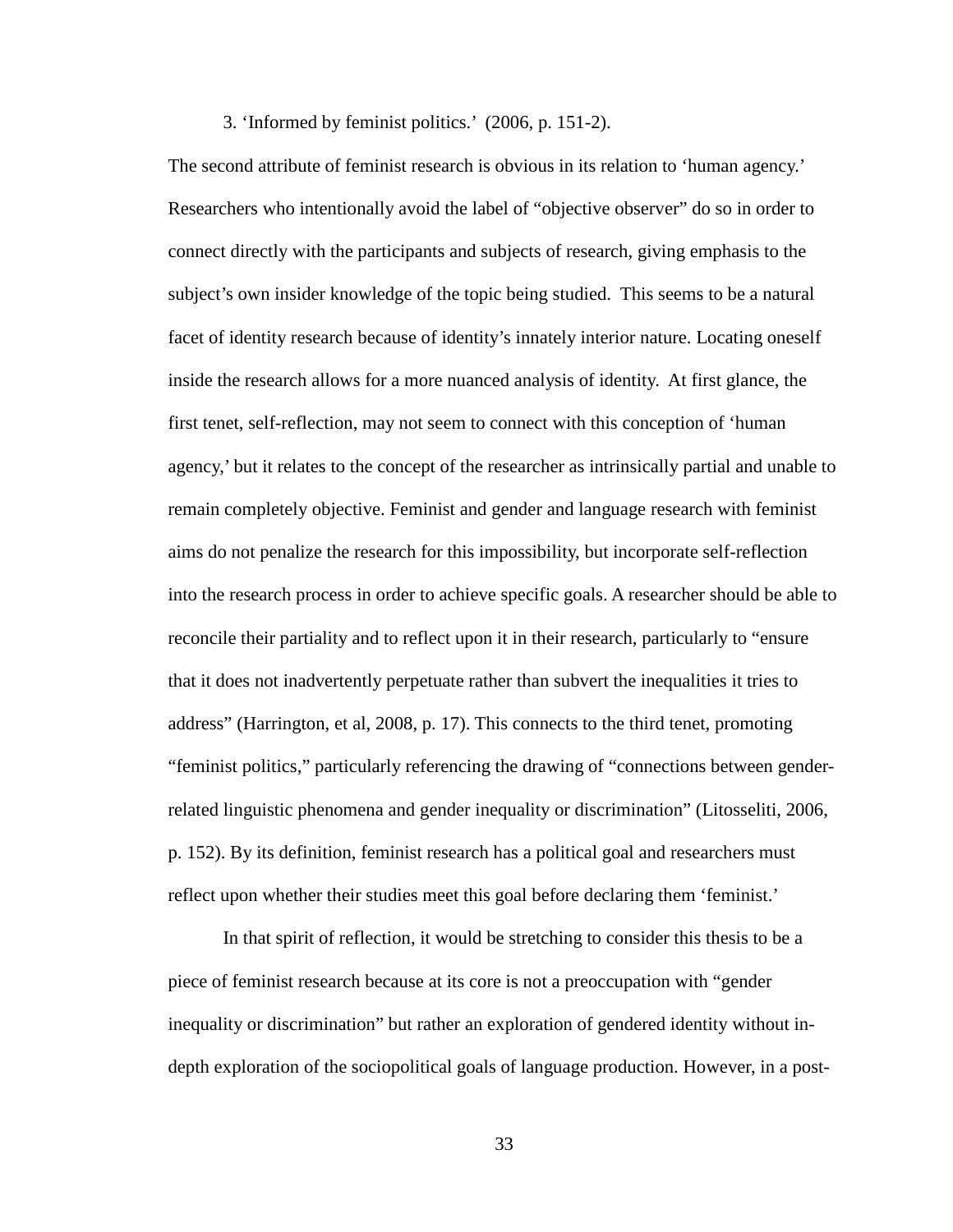#### 3. 'Informed by feminist politics.' (2006, p. 151-2).

The second attribute of feminist research is obvious in its relation to 'human agency.' Researchers who intentionally avoid the label of "objective observer" do so in order to connect directly with the participants and subjects of research, giving emphasis to the subject's own insider knowledge of the topic being studied. This seems to be a natural facet of identity research because of identity's innately interior nature. Locating oneself inside the research allows for a more nuanced analysis of identity. At first glance, the first tenet, self-reflection, may not seem to connect with this conception of 'human agency,' but it relates to the concept of the researcher as intrinsically partial and unable to remain completely objective. Feminist and gender and language research with feminist aims do not penalize the research for this impossibility, but incorporate self-reflection into the research process in order to achieve specific goals. A researcher should be able to reconcile their partiality and to reflect upon it in their research, particularly to "ensure that it does not inadvertently perpetuate rather than subvert the inequalities it tries to address" (Harrington, et al, 2008, p. 17). This connects to the third tenet, promoting "feminist politics," particularly referencing the drawing of "connections between genderrelated linguistic phenomena and gender inequality or discrimination" (Litosseliti, 2006, p. 152). By its definition, feminist research has a political goal and researchers must reflect upon whether their studies meet this goal before declaring them 'feminist.'

In that spirit of reflection, it would be stretching to consider this thesis to be a piece of feminist research because at its core is not a preoccupation with "gender inequality or discrimination" but rather an exploration of gendered identity without indepth exploration of the sociopolitical goals of language production. However, in a post-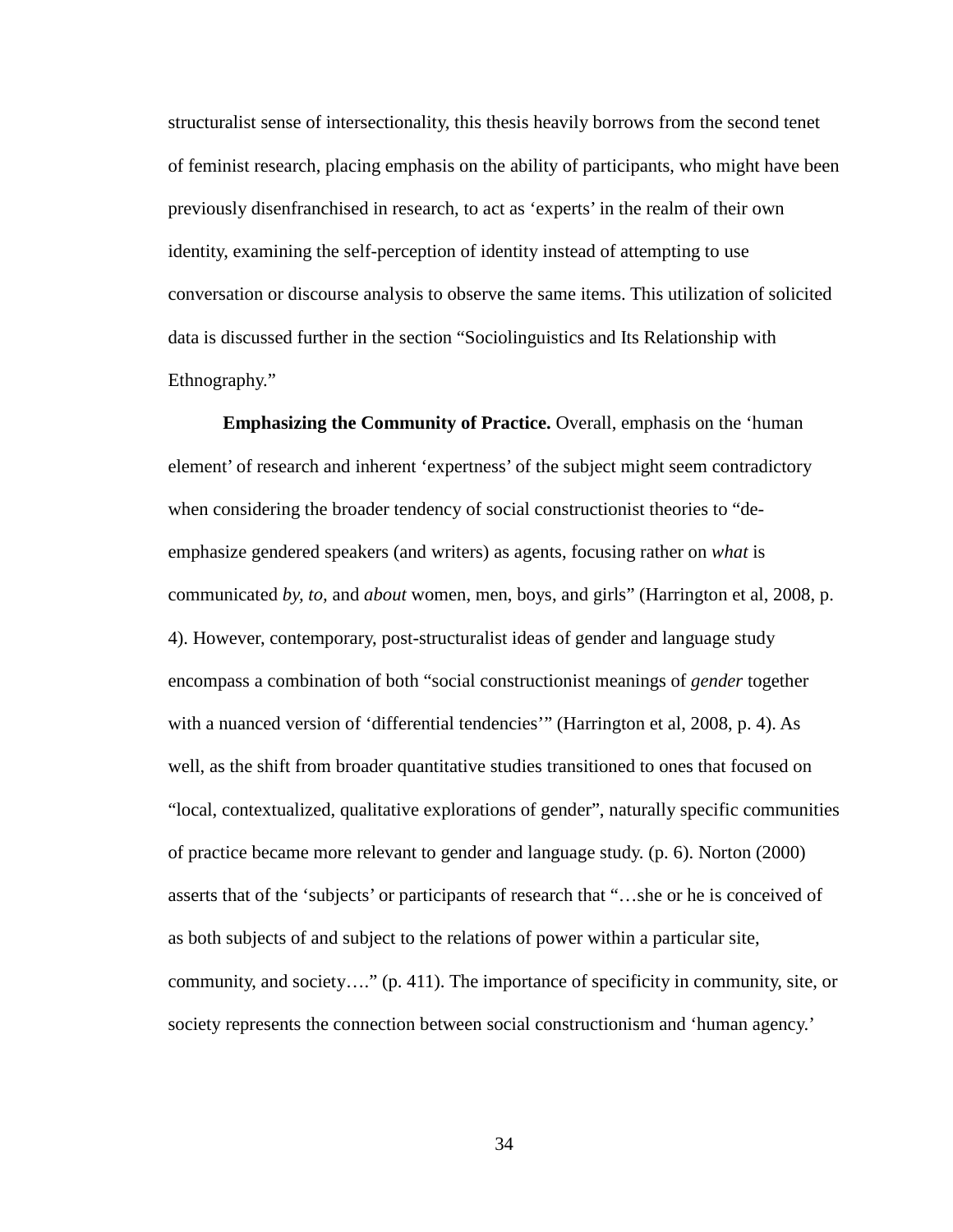structuralist sense of intersectionality, this thesis heavily borrows from the second tenet of feminist research, placing emphasis on the ability of participants, who might have been previously disenfranchised in research, to act as 'experts' in the realm of their own identity, examining the self-perception of identity instead of attempting to use conversation or discourse analysis to observe the same items. This utilization of solicited data is discussed further in the section "Sociolinguistics and Its Relationship with Ethnography."

**Emphasizing the Community of Practice.** Overall, emphasis on the 'human element' of research and inherent 'expertness' of the subject might seem contradictory when considering the broader tendency of social constructionist theories to "deemphasize gendered speakers (and writers) as agents, focusing rather on *what* is communicated *by, to,* and *about* women, men, boys, and girls" (Harrington et al, 2008, p. 4). However, contemporary, post-structuralist ideas of gender and language study encompass a combination of both "social constructionist meanings of *gender* together with a nuanced version of 'differential tendencies'" (Harrington et al, 2008, p. 4). As well, as the shift from broader quantitative studies transitioned to ones that focused on "local, contextualized, qualitative explorations of gender", naturally specific communities of practice became more relevant to gender and language study. (p. 6). Norton (2000) asserts that of the 'subjects' or participants of research that "…she or he is conceived of as both subjects of and subject to the relations of power within a particular site, community, and society…." (p. 411). The importance of specificity in community, site, or society represents the connection between social constructionism and 'human agency.'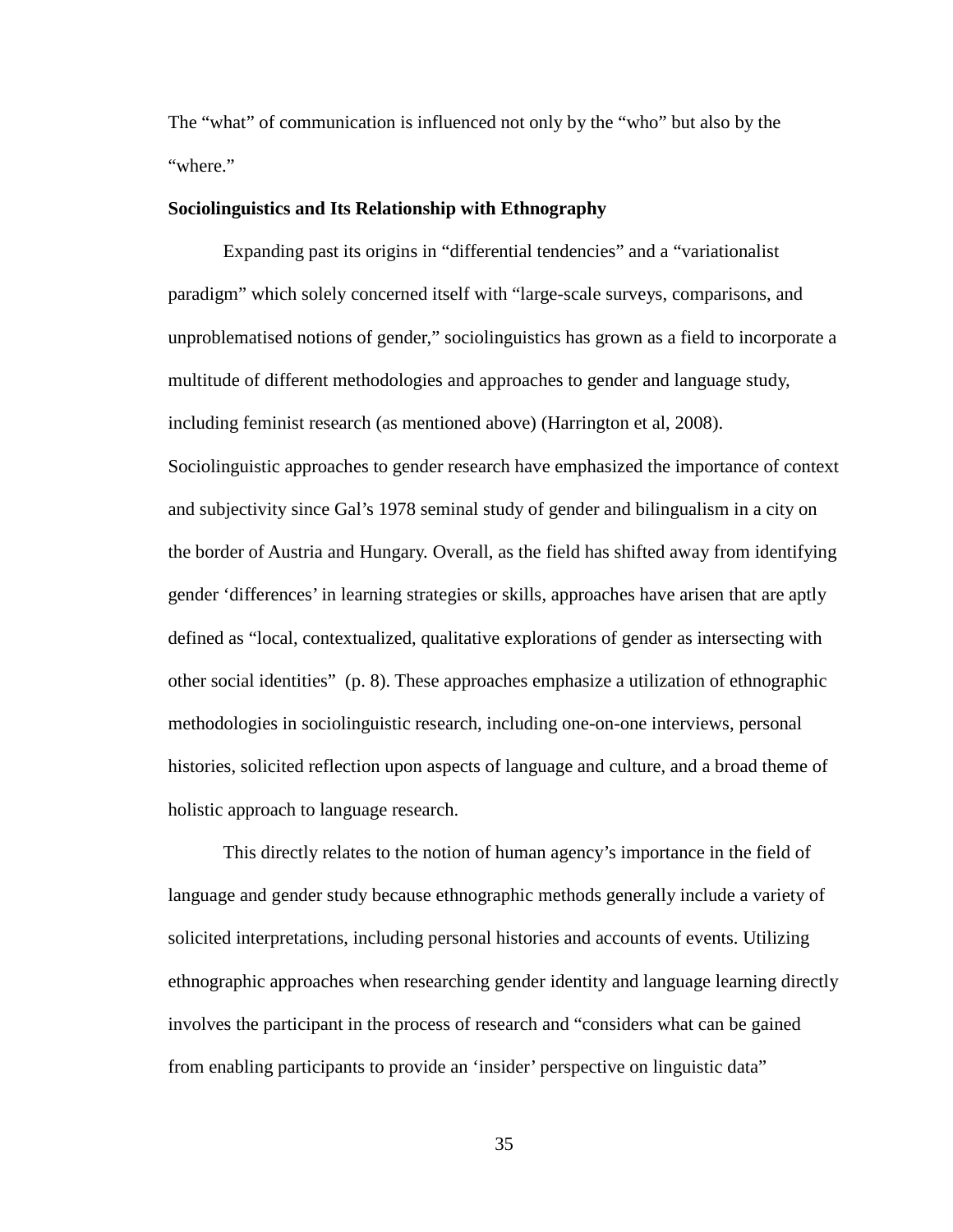The "what" of communication is influenced not only by the "who" but also by the "where."

## **Sociolinguistics and Its Relationship with Ethnography**

Expanding past its origins in "differential tendencies" and a "variationalist paradigm" which solely concerned itself with "large-scale surveys, comparisons, and unproblematised notions of gender," sociolinguistics has grown as a field to incorporate a multitude of different methodologies and approaches to gender and language study, including feminist research (as mentioned above) (Harrington et al, 2008). Sociolinguistic approaches to gender research have emphasized the importance of context and subjectivity since Gal's 1978 seminal study of gender and bilingualism in a city on the border of Austria and Hungary. Overall, as the field has shifted away from identifying gender 'differences' in learning strategies or skills, approaches have arisen that are aptly defined as "local, contextualized, qualitative explorations of gender as intersecting with other social identities" (p. 8). These approaches emphasize a utilization of ethnographic methodologies in sociolinguistic research, including one-on-one interviews, personal histories, solicited reflection upon aspects of language and culture, and a broad theme of holistic approach to language research.

This directly relates to the notion of human agency's importance in the field of language and gender study because ethnographic methods generally include a variety of solicited interpretations, including personal histories and accounts of events. Utilizing ethnographic approaches when researching gender identity and language learning directly involves the participant in the process of research and "considers what can be gained from enabling participants to provide an 'insider' perspective on linguistic data"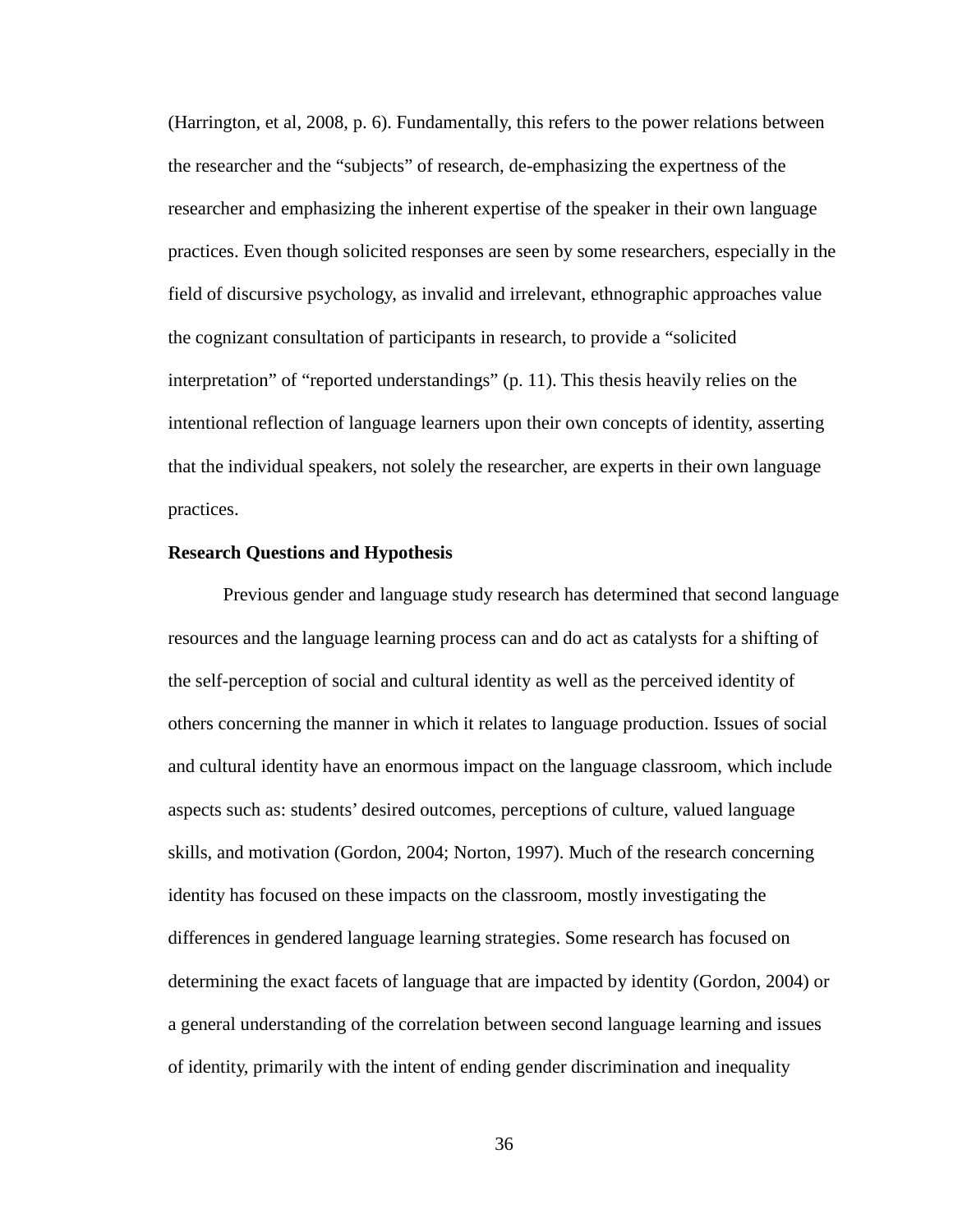(Harrington, et al, 2008, p. 6). Fundamentally, this refers to the power relations between the researcher and the "subjects" of research, de-emphasizing the expertness of the researcher and emphasizing the inherent expertise of the speaker in their own language practices. Even though solicited responses are seen by some researchers, especially in the field of discursive psychology, as invalid and irrelevant, ethnographic approaches value the cognizant consultation of participants in research, to provide a "solicited interpretation" of "reported understandings" (p. 11). This thesis heavily relies on the intentional reflection of language learners upon their own concepts of identity, asserting that the individual speakers, not solely the researcher, are experts in their own language practices.

## **Research Questions and Hypothesis**

Previous gender and language study research has determined that second language resources and the language learning process can and do act as catalysts for a shifting of the self-perception of social and cultural identity as well as the perceived identity of others concerning the manner in which it relates to language production. Issues of social and cultural identity have an enormous impact on the language classroom, which include aspects such as: students' desired outcomes, perceptions of culture, valued language skills, and motivation (Gordon, 2004; Norton, 1997). Much of the research concerning identity has focused on these impacts on the classroom, mostly investigating the differences in gendered language learning strategies. Some research has focused on determining the exact facets of language that are impacted by identity (Gordon, 2004) or a general understanding of the correlation between second language learning and issues of identity, primarily with the intent of ending gender discrimination and inequality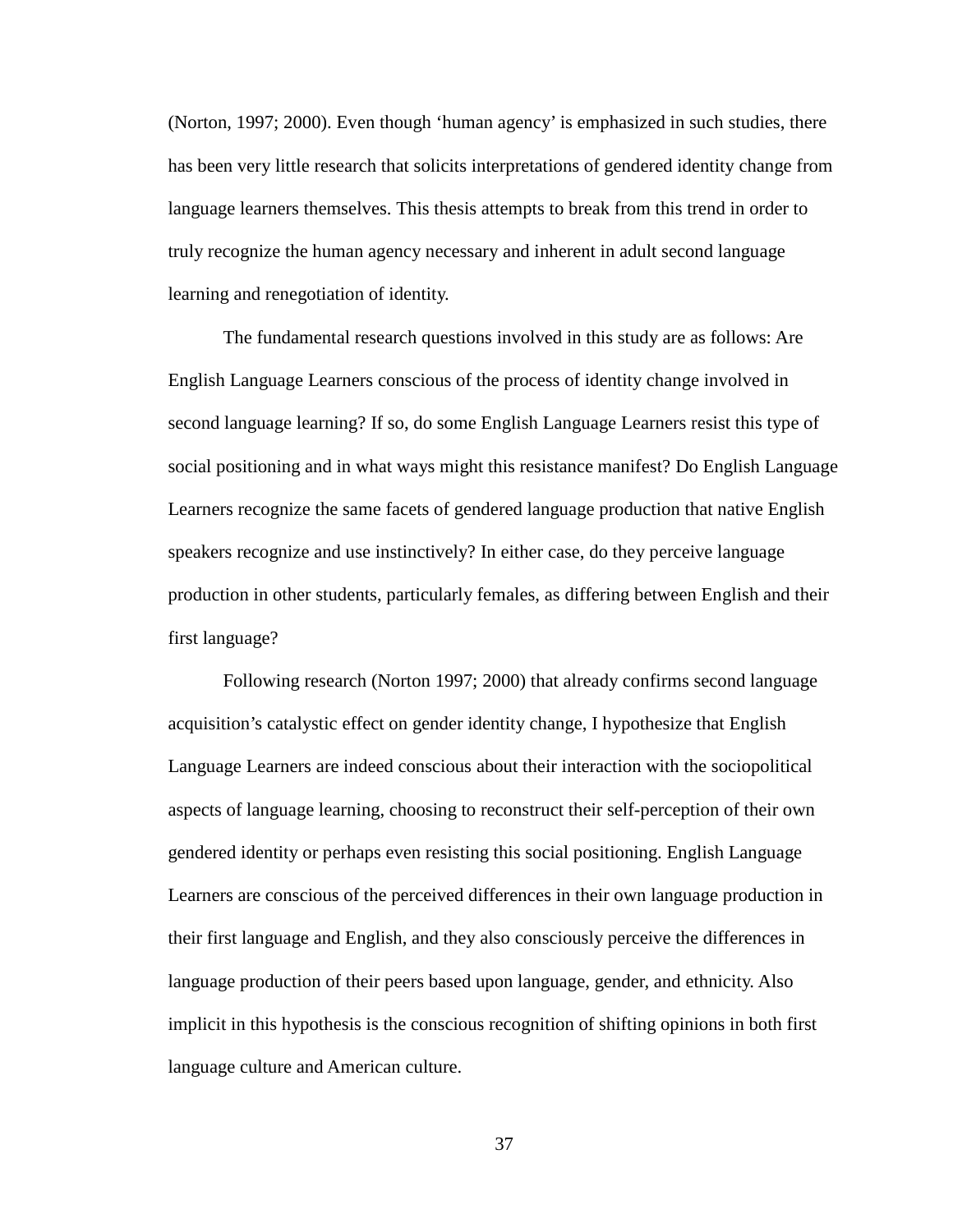(Norton, 1997; 2000). Even though 'human agency' is emphasized in such studies, there has been very little research that solicits interpretations of gendered identity change from language learners themselves. This thesis attempts to break from this trend in order to truly recognize the human agency necessary and inherent in adult second language learning and renegotiation of identity.

The fundamental research questions involved in this study are as follows: Are English Language Learners conscious of the process of identity change involved in second language learning? If so, do some English Language Learners resist this type of social positioning and in what ways might this resistance manifest? Do English Language Learners recognize the same facets of gendered language production that native English speakers recognize and use instinctively? In either case, do they perceive language production in other students, particularly females, as differing between English and their first language?

Following research (Norton 1997; 2000) that already confirms second language acquisition's catalystic effect on gender identity change, I hypothesize that English Language Learners are indeed conscious about their interaction with the sociopolitical aspects of language learning, choosing to reconstruct their self-perception of their own gendered identity or perhaps even resisting this social positioning. English Language Learners are conscious of the perceived differences in their own language production in their first language and English, and they also consciously perceive the differences in language production of their peers based upon language, gender, and ethnicity. Also implicit in this hypothesis is the conscious recognition of shifting opinions in both first language culture and American culture.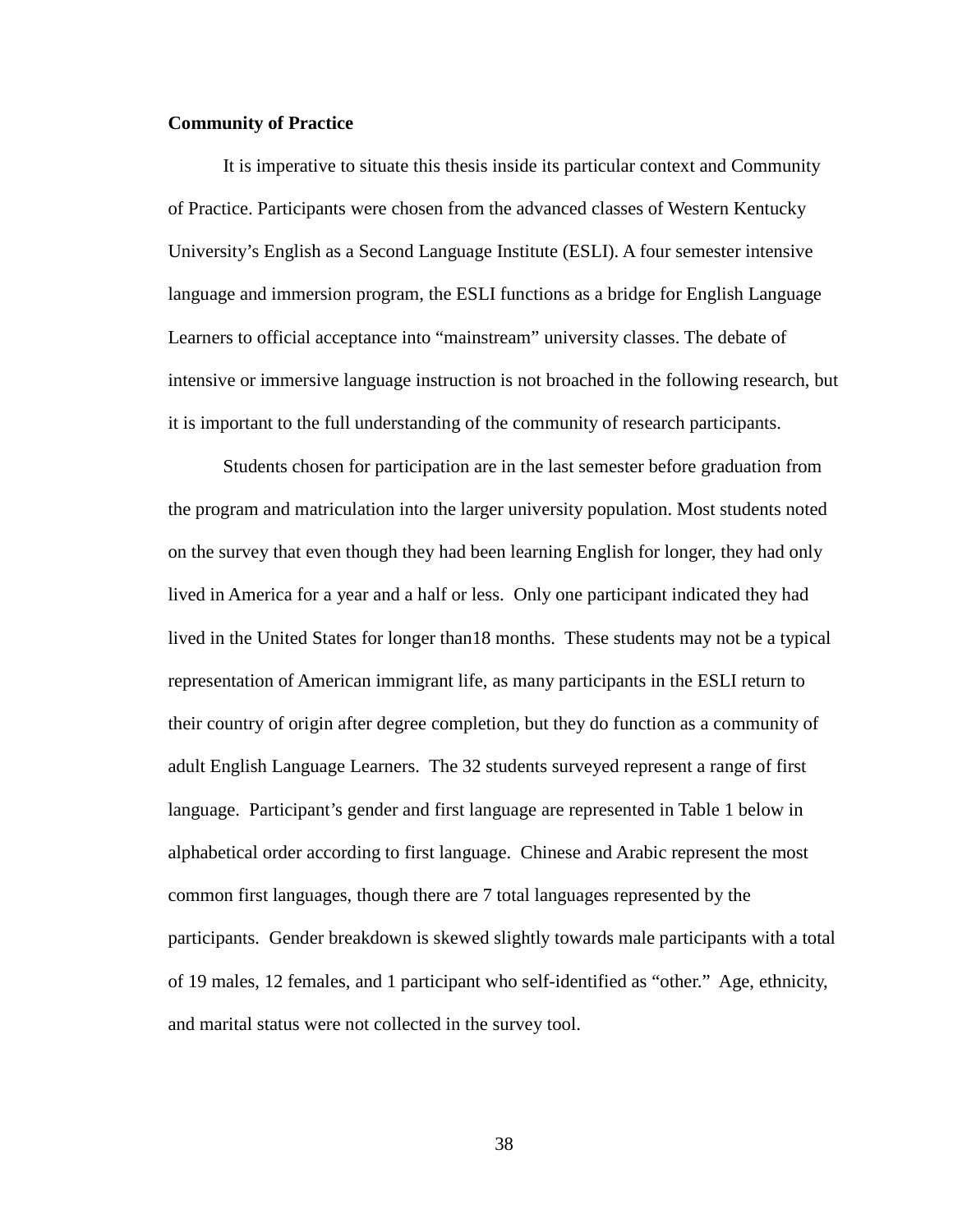# **Community of Practice**

It is imperative to situate this thesis inside its particular context and Community of Practice. Participants were chosen from the advanced classes of Western Kentucky University's English as a Second Language Institute (ESLI). A four semester intensive language and immersion program, the ESLI functions as a bridge for English Language Learners to official acceptance into "mainstream" university classes. The debate of intensive or immersive language instruction is not broached in the following research, but it is important to the full understanding of the community of research participants.

Students chosen for participation are in the last semester before graduation from the program and matriculation into the larger university population. Most students noted on the survey that even though they had been learning English for longer, they had only lived in America for a year and a half or less. Only one participant indicated they had lived in the United States for longer than18 months. These students may not be a typical representation of American immigrant life, as many participants in the ESLI return to their country of origin after degree completion, but they do function as a community of adult English Language Learners. The 32 students surveyed represent a range of first language. Participant's gender and first language are represented in Table 1 below in alphabetical order according to first language. Chinese and Arabic represent the most common first languages, though there are 7 total languages represented by the participants. Gender breakdown is skewed slightly towards male participants with a total of 19 males, 12 females, and 1 participant who self-identified as "other." Age, ethnicity, and marital status were not collected in the survey tool.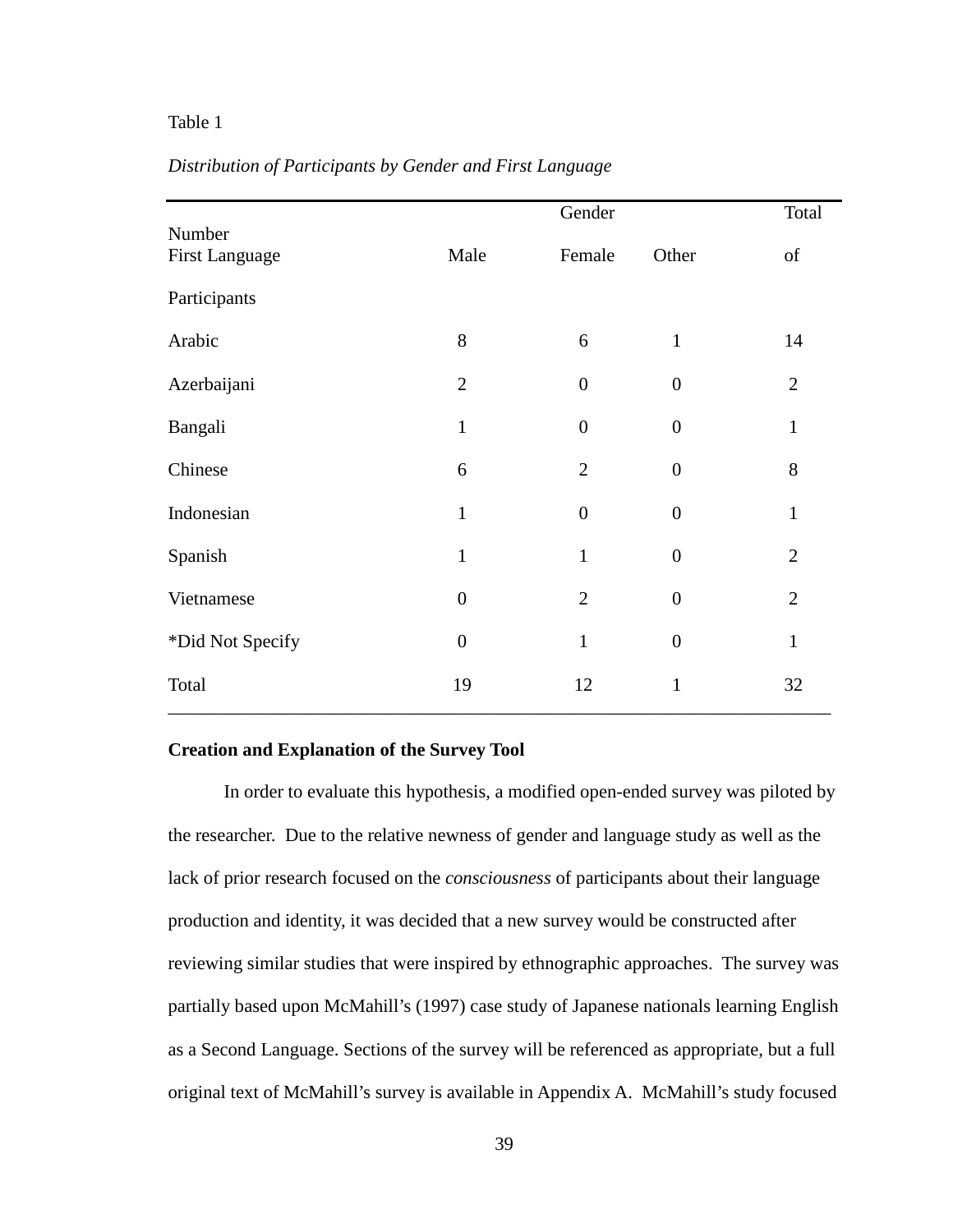# Table 1

|                                 |                | Gender           |                  | Total          |
|---------------------------------|----------------|------------------|------------------|----------------|
| Number<br><b>First Language</b> | Male           | Female           | Other            | of             |
| Participants                    |                |                  |                  |                |
| Arabic                          | 8              | 6                | $\mathbf{1}$     | 14             |
| Azerbaijani                     | $\overline{2}$ | $\boldsymbol{0}$ | $\overline{0}$   | $\overline{2}$ |
| Bangali                         | $\mathbf{1}$   | $\boldsymbol{0}$ | $\boldsymbol{0}$ | $\mathbf{1}$   |
| Chinese                         | 6              | $\overline{2}$   | $\boldsymbol{0}$ | 8              |
| Indonesian                      | $\mathbf{1}$   | $\boldsymbol{0}$ | $\boldsymbol{0}$ | $\mathbf{1}$   |
| Spanish                         | $\mathbf{1}$   | $\mathbf{1}$     | $\boldsymbol{0}$ | $\overline{2}$ |
| Vietnamese                      | $\overline{0}$ | $\overline{2}$   | $\overline{0}$   | $\overline{2}$ |
| *Did Not Specify                | $\overline{0}$ | $\mathbf{1}$     | $\boldsymbol{0}$ | $\mathbf{1}$   |
| Total                           | 19             | 12               | $\mathbf{1}$     | 32             |

# *Distribution of Participants by Gender and First Language*

# **Creation and Explanation of the Survey Tool**

In order to evaluate this hypothesis, a modified open-ended survey was piloted by the researcher. Due to the relative newness of gender and language study as well as the lack of prior research focused on the *consciousness* of participants about their language production and identity, it was decided that a new survey would be constructed after reviewing similar studies that were inspired by ethnographic approaches. The survey was partially based upon McMahill's (1997) case study of Japanese nationals learning English as a Second Language. Sections of the survey will be referenced as appropriate, but a full original text of McMahill's survey is available in Appendix A. McMahill's study focused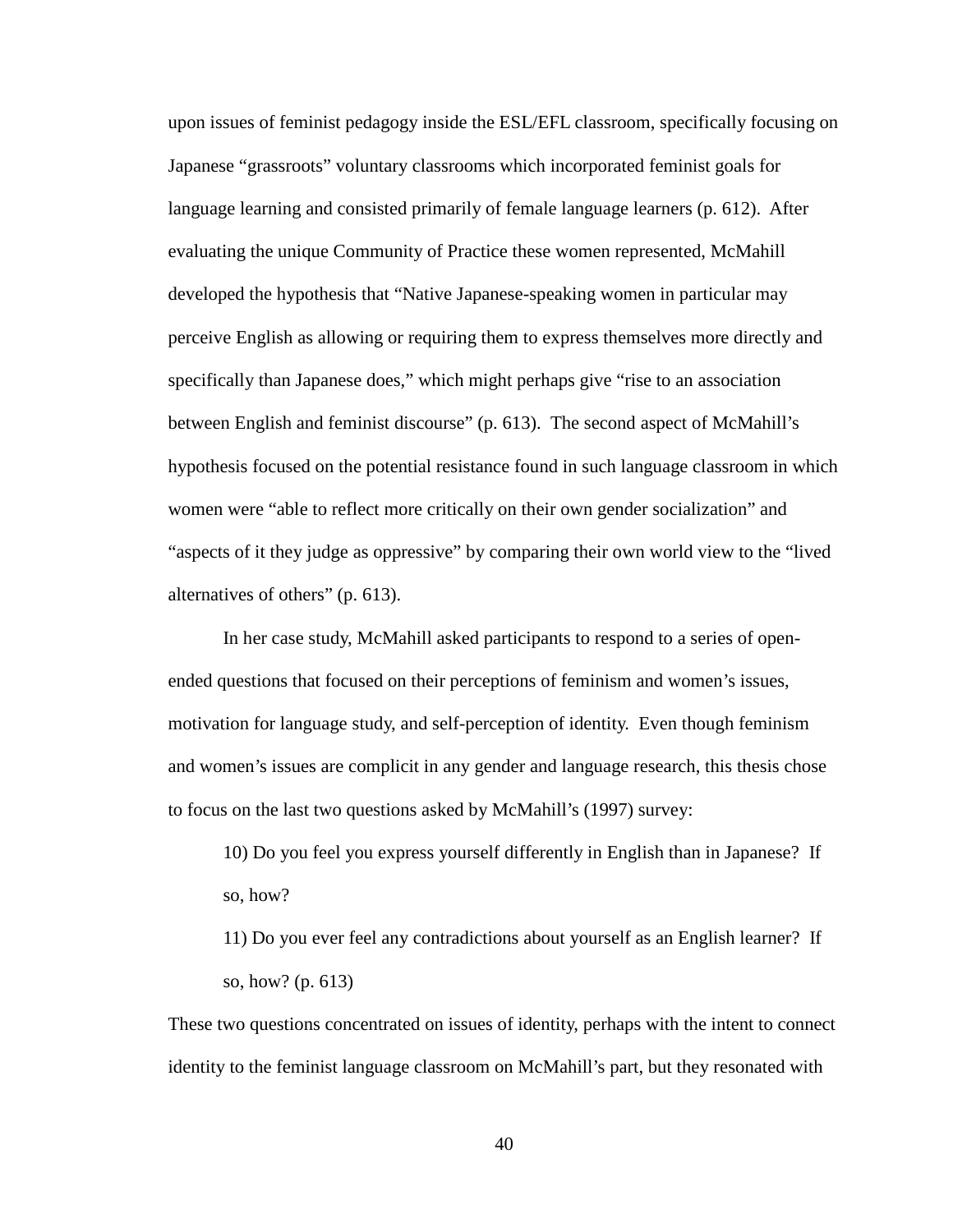upon issues of feminist pedagogy inside the ESL/EFL classroom, specifically focusing on Japanese "grassroots" voluntary classrooms which incorporated feminist goals for language learning and consisted primarily of female language learners (p. 612). After evaluating the unique Community of Practice these women represented, McMahill developed the hypothesis that "Native Japanese-speaking women in particular may perceive English as allowing or requiring them to express themselves more directly and specifically than Japanese does," which might perhaps give "rise to an association between English and feminist discourse" (p. 613). The second aspect of McMahill's hypothesis focused on the potential resistance found in such language classroom in which women were "able to reflect more critically on their own gender socialization" and "aspects of it they judge as oppressive" by comparing their own world view to the "lived alternatives of others" (p. 613).

In her case study, McMahill asked participants to respond to a series of openended questions that focused on their perceptions of feminism and women's issues, motivation for language study, and self-perception of identity. Even though feminism and women's issues are complicit in any gender and language research, this thesis chose to focus on the last two questions asked by McMahill's (1997) survey:

10) Do you feel you express yourself differently in English than in Japanese? If so, how?

11) Do you ever feel any contradictions about yourself as an English learner? If so, how? (p. 613)

These two questions concentrated on issues of identity, perhaps with the intent to connect identity to the feminist language classroom on McMahill's part, but they resonated with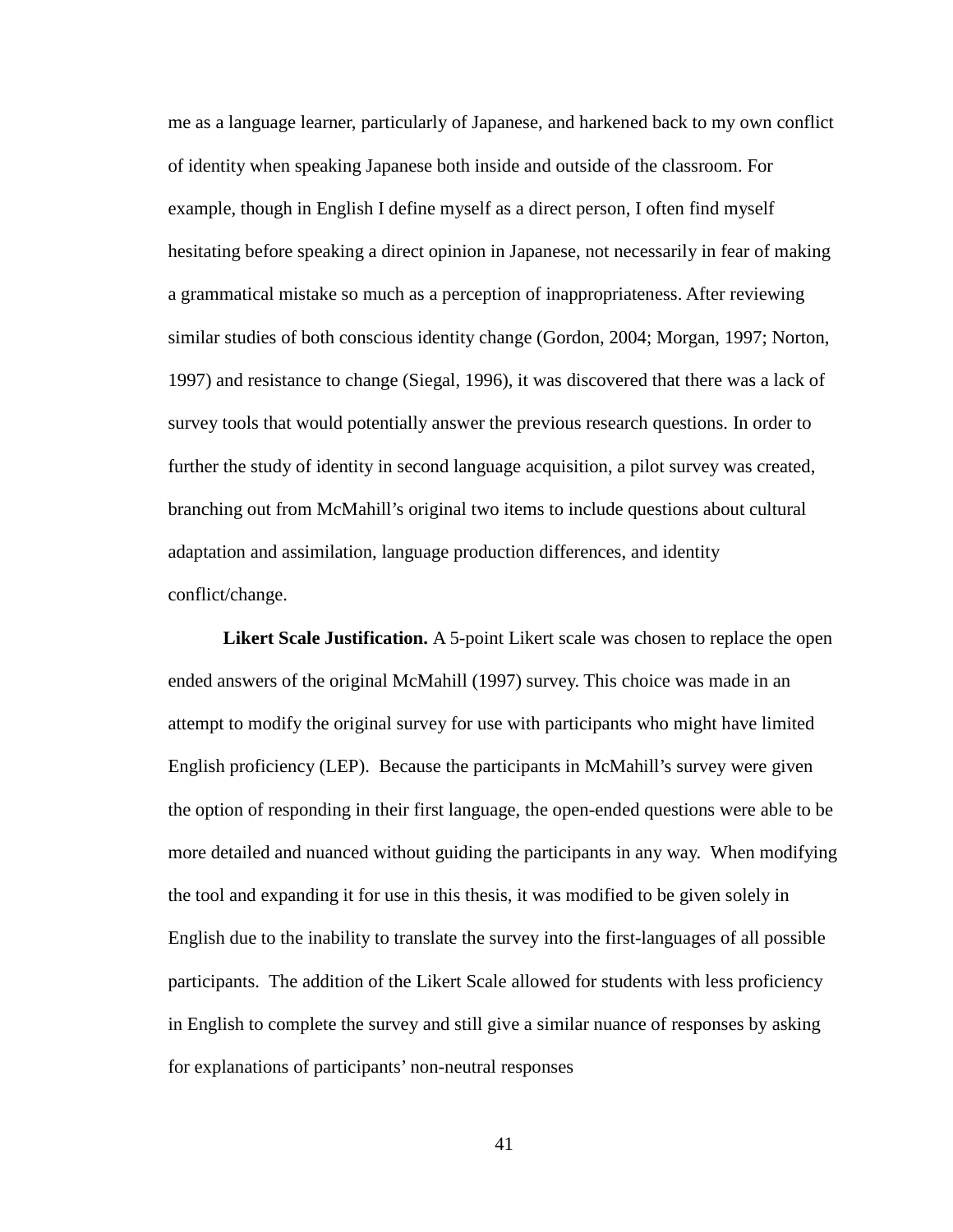me as a language learner, particularly of Japanese, and harkened back to my own conflict of identity when speaking Japanese both inside and outside of the classroom. For example, though in English I define myself as a direct person, I often find myself hesitating before speaking a direct opinion in Japanese, not necessarily in fear of making a grammatical mistake so much as a perception of inappropriateness. After reviewing similar studies of both conscious identity change (Gordon, 2004; Morgan, 1997; Norton, 1997) and resistance to change (Siegal, 1996), it was discovered that there was a lack of survey tools that would potentially answer the previous research questions. In order to further the study of identity in second language acquisition, a pilot survey was created, branching out from McMahill's original two items to include questions about cultural adaptation and assimilation, language production differences, and identity conflict/change.

**Likert Scale Justification.** A 5-point Likert scale was chosen to replace the open ended answers of the original McMahill (1997) survey. This choice was made in an attempt to modify the original survey for use with participants who might have limited English proficiency (LEP). Because the participants in McMahill's survey were given the option of responding in their first language, the open-ended questions were able to be more detailed and nuanced without guiding the participants in any way. When modifying the tool and expanding it for use in this thesis, it was modified to be given solely in English due to the inability to translate the survey into the first-languages of all possible participants. The addition of the Likert Scale allowed for students with less proficiency in English to complete the survey and still give a similar nuance of responses by asking for explanations of participants' non-neutral responses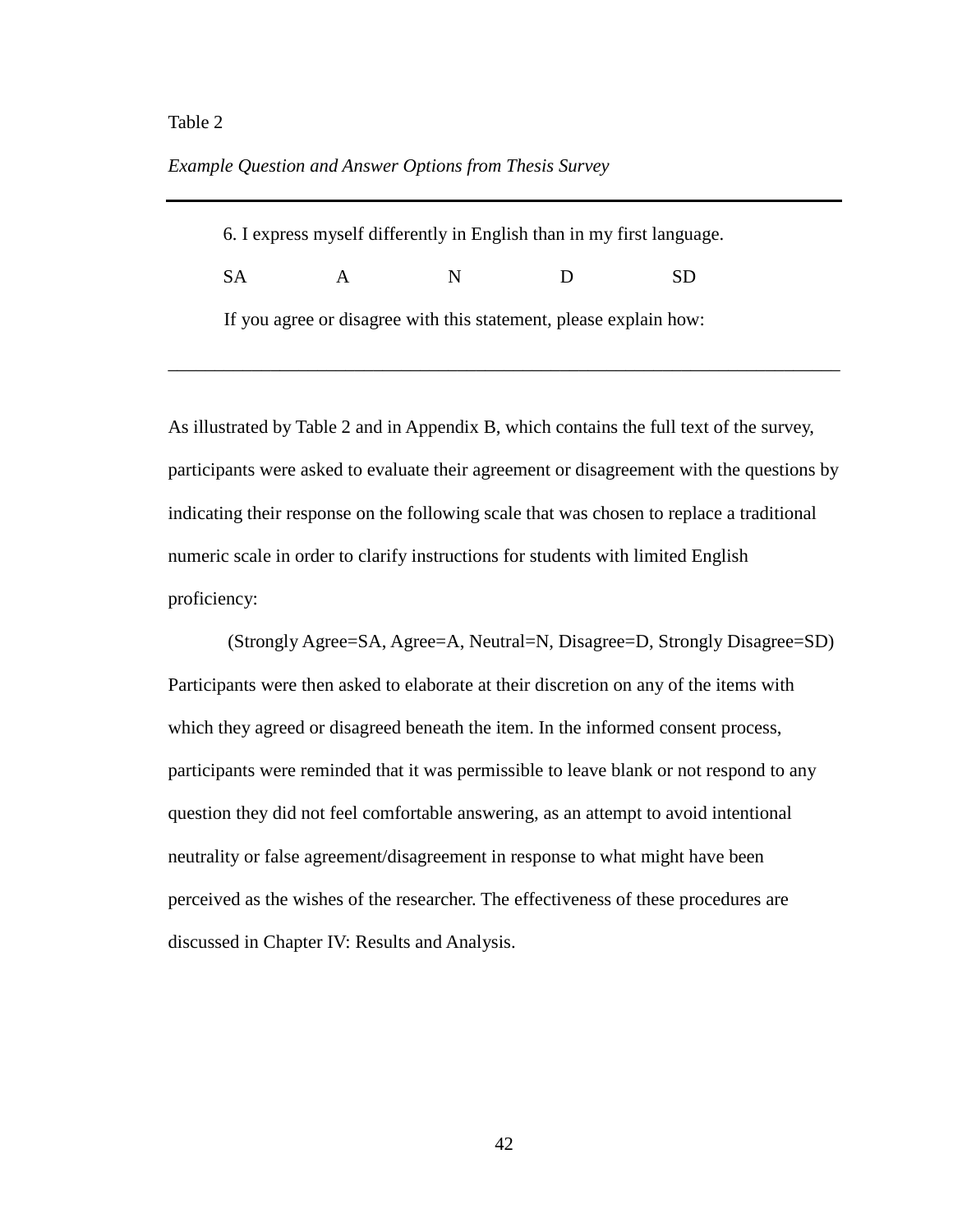## Table 2

# *Example Question and Answer Options from Thesis Survey*

| 6. I express myself differently in English than in my first language. |              |   |     |     |  |
|-----------------------------------------------------------------------|--------------|---|-----|-----|--|
| -SA                                                                   | $\mathbf{A}$ | N | -13 | SD. |  |
| If you agree or disagree with this statement, please explain how:     |              |   |     |     |  |

As illustrated by Table 2 and in Appendix B, which contains the full text of the survey, participants were asked to evaluate their agreement or disagreement with the questions by indicating their response on the following scale that was chosen to replace a traditional numeric scale in order to clarify instructions for students with limited English proficiency:

\_\_\_\_\_\_\_\_\_\_\_\_\_\_\_\_\_\_\_\_\_\_\_\_\_\_\_\_\_\_\_\_\_\_\_\_\_\_\_\_\_\_\_\_\_\_\_\_\_\_\_\_\_\_\_\_\_\_\_\_\_\_\_\_\_\_\_\_\_\_\_\_

(Strongly Agree=SA, Agree=A, Neutral=N, Disagree=D, Strongly Disagree=SD) Participants were then asked to elaborate at their discretion on any of the items with which they agreed or disagreed beneath the item. In the informed consent process, participants were reminded that it was permissible to leave blank or not respond to any question they did not feel comfortable answering, as an attempt to avoid intentional neutrality or false agreement/disagreement in response to what might have been perceived as the wishes of the researcher. The effectiveness of these procedures are discussed in Chapter IV: Results and Analysis.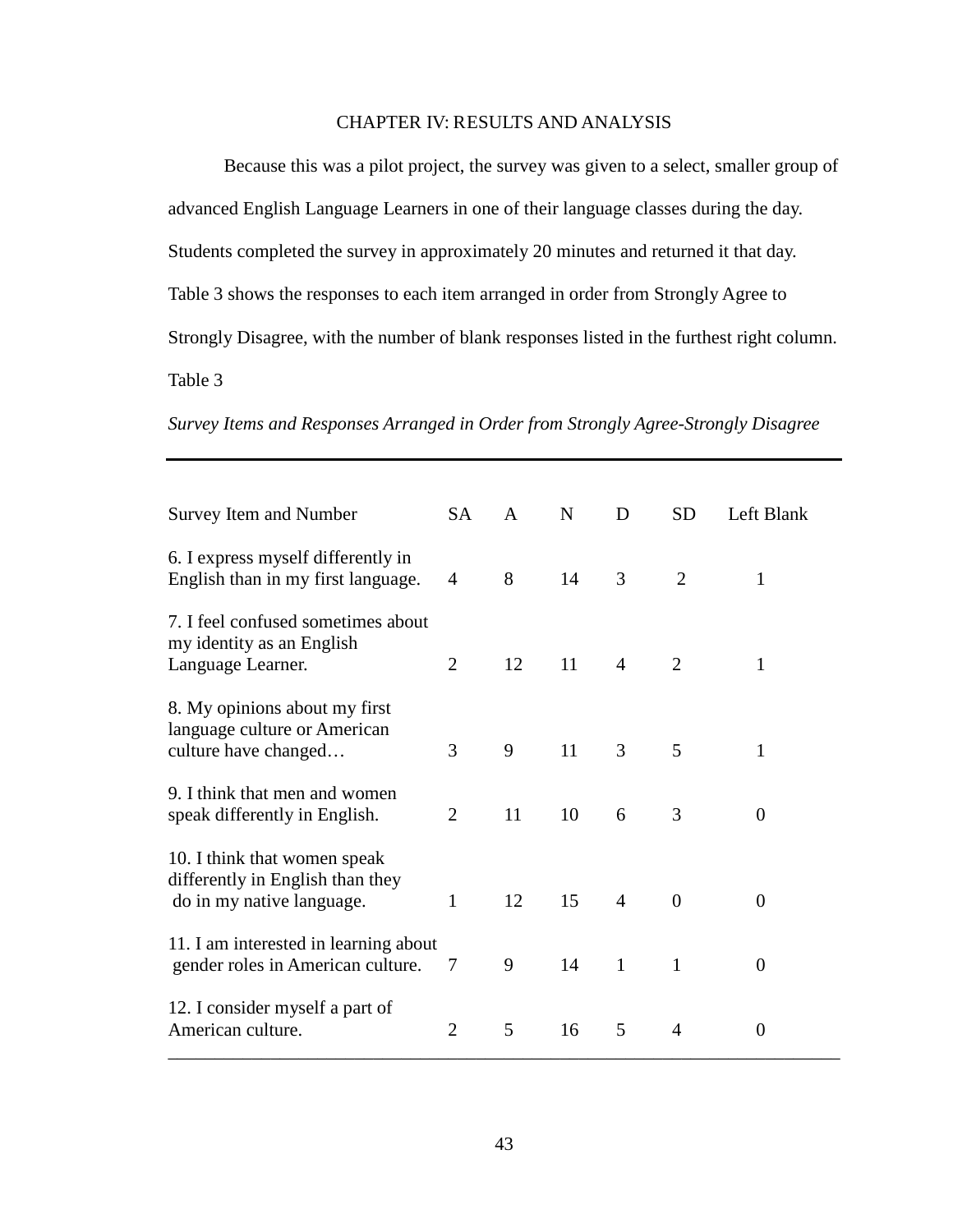# CHAPTER IV: RESULTS AND ANALYSIS

Because this was a pilot project, the survey was given to a select, smaller group of advanced English Language Learners in one of their language classes during the day. Students completed the survey in approximately 20 minutes and returned it that day. Table 3 shows the responses to each item arranged in order from Strongly Agree to Strongly Disagree, with the number of blank responses listed in the furthest right column. Table 3

*Survey Items and Responses Arranged in Order from Strongly Agree-Strongly Disagree*

| <b>Survey Item and Number</b>                                                                 | <b>SA</b>      | $\mathsf{A}$ | N  | D              | <b>SD</b>      | Left Blank     |
|-----------------------------------------------------------------------------------------------|----------------|--------------|----|----------------|----------------|----------------|
| 6. I express myself differently in<br>English than in my first language.                      | 4              | 8            | 14 | 3              | $\overline{2}$ | 1              |
| 7. I feel confused sometimes about<br>my identity as an English<br>Language Learner.          | $\overline{2}$ | 12           | 11 | $\overline{4}$ | $\overline{2}$ | 1              |
| 8. My opinions about my first<br>language culture or American<br>culture have changed         | 3              | 9            | 11 | 3              | 5              | 1              |
| 9. I think that men and women<br>speak differently in English.                                | $\overline{2}$ | 11           | 10 | 6              | 3              | $\overline{0}$ |
| 10. I think that women speak<br>differently in English than they<br>do in my native language. | 1              | 12           | 15 | $\overline{4}$ | $\overline{0}$ | $\Omega$       |
| 11. I am interested in learning about<br>gender roles in American culture.                    | 7              | 9            | 14 | $\mathbf{1}$   | 1              | 0              |
| 12. I consider myself a part of<br>American culture.                                          | $\overline{2}$ | 5            | 16 | 5              | 4              | $\Omega$       |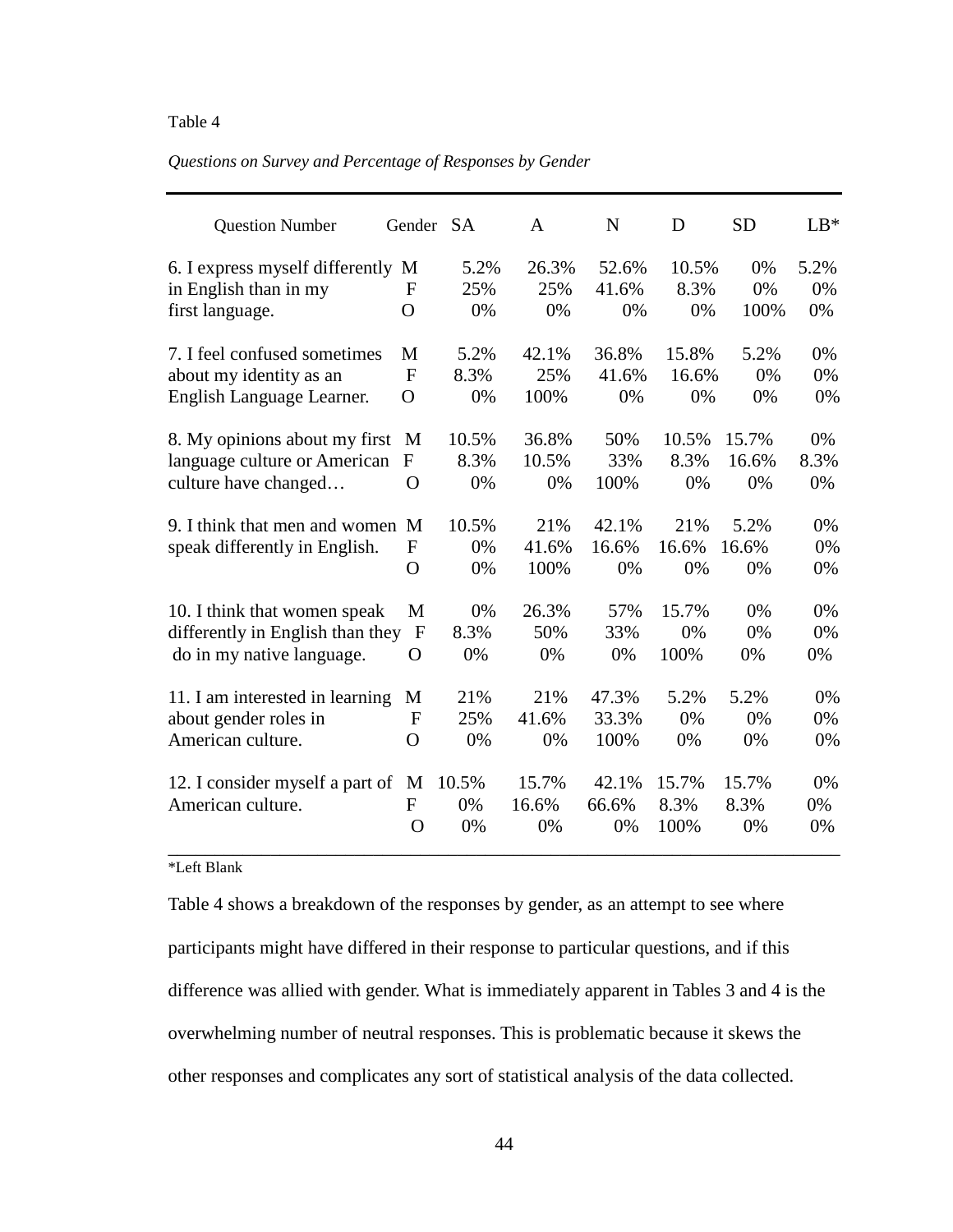# Table 4

### *Questions on Survey and Percentage of Responses by Gender*

| <b>Question Number</b>            | Gender SA      |       | A     | N     | D     | <b>SD</b> | $LB*$ |
|-----------------------------------|----------------|-------|-------|-------|-------|-----------|-------|
| 6. I express myself differently M |                | 5.2%  | 26.3% | 52.6% | 10.5% | 0%        | 5.2%  |
| in English than in my             | F              | 25%   | 25%   | 41.6% | 8.3%  | 0%        | 0%    |
| first language.                   | $\Omega$       | 0%    | 0%    | 0%    | 0%    | 100%      | 0%    |
| 7. I feel confused sometimes      | M              | 5.2%  | 42.1% | 36.8% | 15.8% | 5.2%      | 0%    |
| about my identity as an           | $\mathbf{F}$   | 8.3%  | 25%   | 41.6% | 16.6% | 0%        | 0%    |
| English Language Learner.         | $\overline{O}$ | 0%    | 100%  | 0%    | 0%    | 0%        | 0%    |
| 8. My opinions about my first     | М              | 10.5% | 36.8% | 50%   | 10.5% | 15.7%     | 0%    |
| language culture or American      | $\mathbf{F}$   | 8.3%  | 10.5% | 33%   | 8.3%  | 16.6%     | 8.3%  |
| culture have changed              | $\overline{O}$ | 0%    | 0%    | 100%  | 0%    | 0%        | 0%    |
| 9. I think that men and women     | M              | 10.5% | 21%   | 42.1% | 21%   | 5.2%      | 0%    |
| speak differently in English.     | F              | 0%    | 41.6% | 16.6% | 16.6% | 16.6%     | 0%    |
|                                   | $\mathbf O$    | 0%    | 100%  | 0%    | 0%    | 0%        | 0%    |
| 10. I think that women speak      | M              | 0%    | 26.3% | 57%   | 15.7% | 0%        | 0%    |
| differently in English than they  | $\mathbf F$    | 8.3%  | 50%   | 33%   | 0%    | 0%        | 0%    |
| do in my native language.         | O              | 0%    | 0%    | 0%    | 100%  | 0%        | 0%    |
| 11. I am interested in learning   | M              | 21%   | 21%   | 47.3% | 5.2%  | 5.2%      | 0%    |
| about gender roles in             | $\mathbf{F}$   | 25%   | 41.6% | 33.3% | 0%    | 0%        | 0%    |
| American culture.                 | O              | 0%    | 0%    | 100%  | 0%    | 0%        | 0%    |
| 12. I consider myself a part of   | M              | 10.5% | 15.7% | 42.1% | 15.7% | 15.7%     | 0%    |
| American culture.                 | F              | 0%    | 16.6% | 66.6% | 8.3%  | 8.3%      | 0%    |
|                                   | $\Omega$       | 0%    | 0%    | 0%    | 100%  | 0%        | 0%    |

# \*Left Blank

Table 4 shows a breakdown of the responses by gender, as an attempt to see where participants might have differed in their response to particular questions, and if this difference was allied with gender. What is immediately apparent in Tables 3 and 4 is the overwhelming number of neutral responses. This is problematic because it skews the other responses and complicates any sort of statistical analysis of the data collected.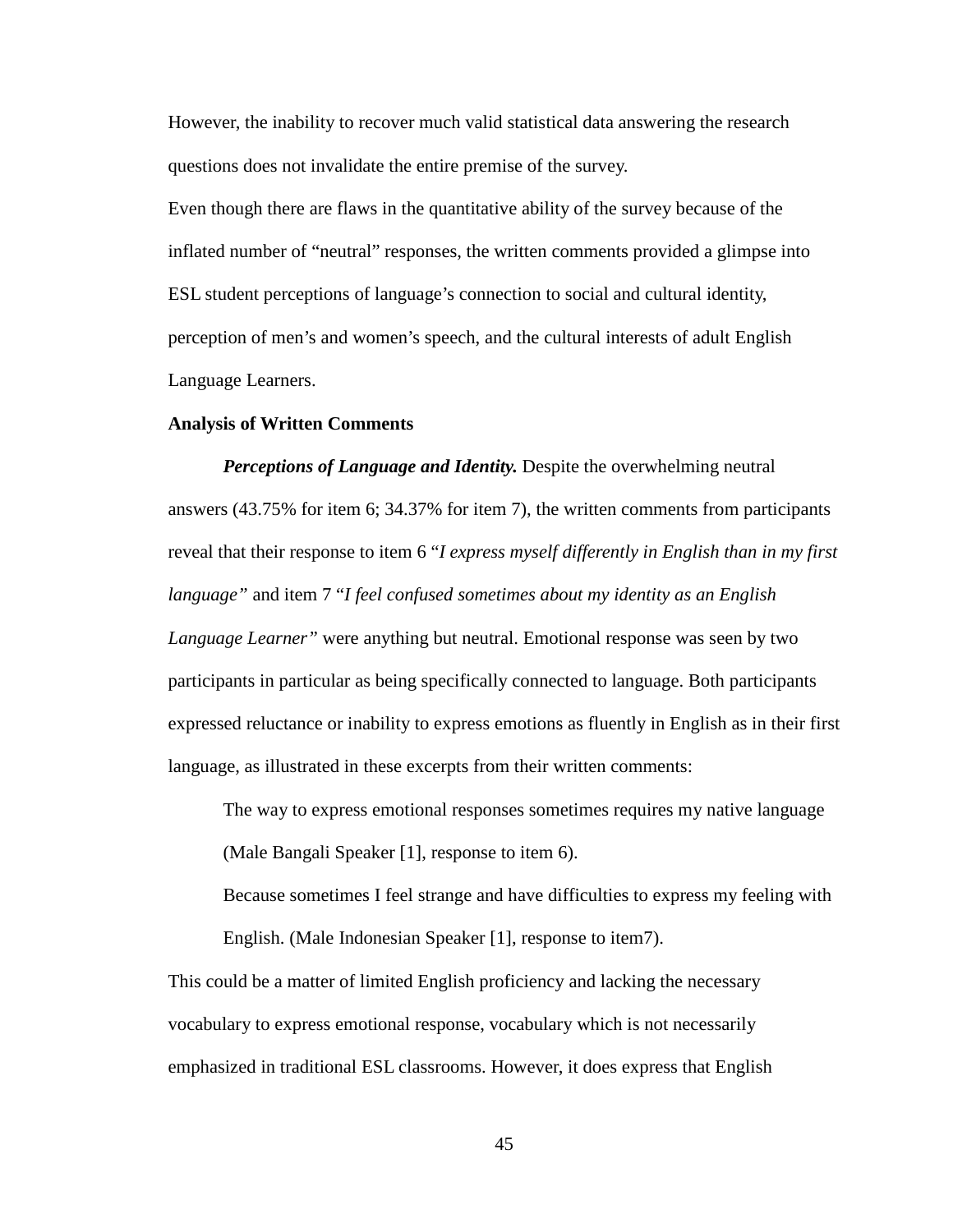However, the inability to recover much valid statistical data answering the research questions does not invalidate the entire premise of the survey.

Even though there are flaws in the quantitative ability of the survey because of the inflated number of "neutral" responses, the written comments provided a glimpse into ESL student perceptions of language's connection to social and cultural identity, perception of men's and women's speech, and the cultural interests of adult English Language Learners.

#### **Analysis of Written Comments**

*Perceptions of Language and Identity.* Despite the overwhelming neutral answers (43.75% for item 6; 34.37% for item 7), the written comments from participants reveal that their response to item 6 "*I express myself differently in English than in my first language"* and item 7 "*I feel confused sometimes about my identity as an English Language Learner"* were anything but neutral. Emotional response was seen by two participants in particular as being specifically connected to language. Both participants expressed reluctance or inability to express emotions as fluently in English as in their first language, as illustrated in these excerpts from their written comments:

The way to express emotional responses sometimes requires my native language

(Male Bangali Speaker [1], response to item 6).

Because sometimes I feel strange and have difficulties to express my feeling with English. (Male Indonesian Speaker [1], response to item7).

This could be a matter of limited English proficiency and lacking the necessary vocabulary to express emotional response, vocabulary which is not necessarily emphasized in traditional ESL classrooms. However, it does express that English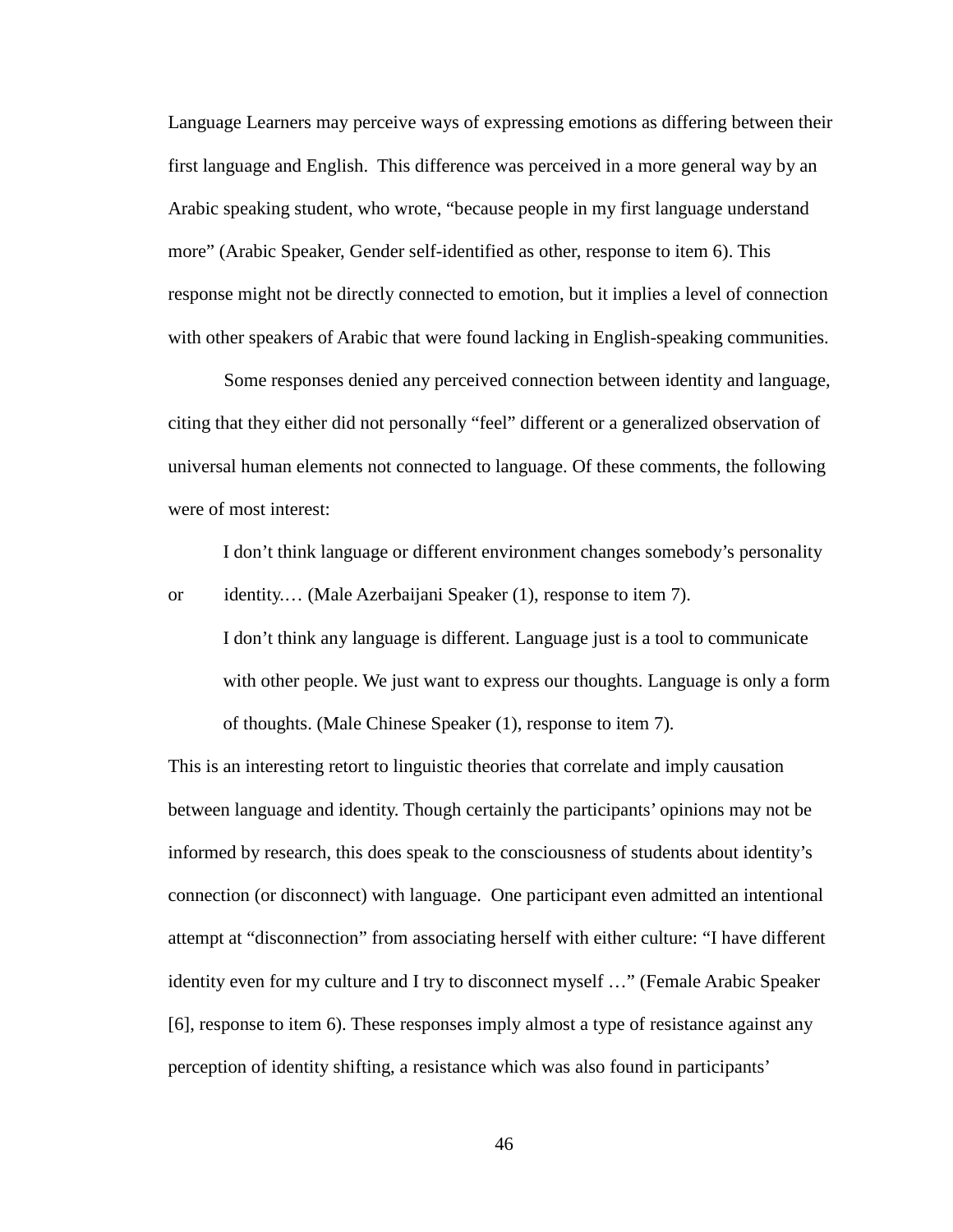Language Learners may perceive ways of expressing emotions as differing between their first language and English. This difference was perceived in a more general way by an Arabic speaking student, who wrote, "because people in my first language understand more" (Arabic Speaker, Gender self-identified as other, response to item 6). This response might not be directly connected to emotion, but it implies a level of connection with other speakers of Arabic that were found lacking in English-speaking communities.

Some responses denied any perceived connection between identity and language, citing that they either did not personally "feel" different or a generalized observation of universal human elements not connected to language. Of these comments, the following were of most interest:

I don't think language or different environment changes somebody's personality or identity.… (Male Azerbaijani Speaker (1), response to item 7).

I don't think any language is different. Language just is a tool to communicate with other people. We just want to express our thoughts. Language is only a form of thoughts. (Male Chinese Speaker (1), response to item 7).

This is an interesting retort to linguistic theories that correlate and imply causation between language and identity. Though certainly the participants' opinions may not be informed by research, this does speak to the consciousness of students about identity's connection (or disconnect) with language. One participant even admitted an intentional attempt at "disconnection" from associating herself with either culture: "I have different identity even for my culture and I try to disconnect myself …" (Female Arabic Speaker [6], response to item 6). These responses imply almost a type of resistance against any perception of identity shifting, a resistance which was also found in participants'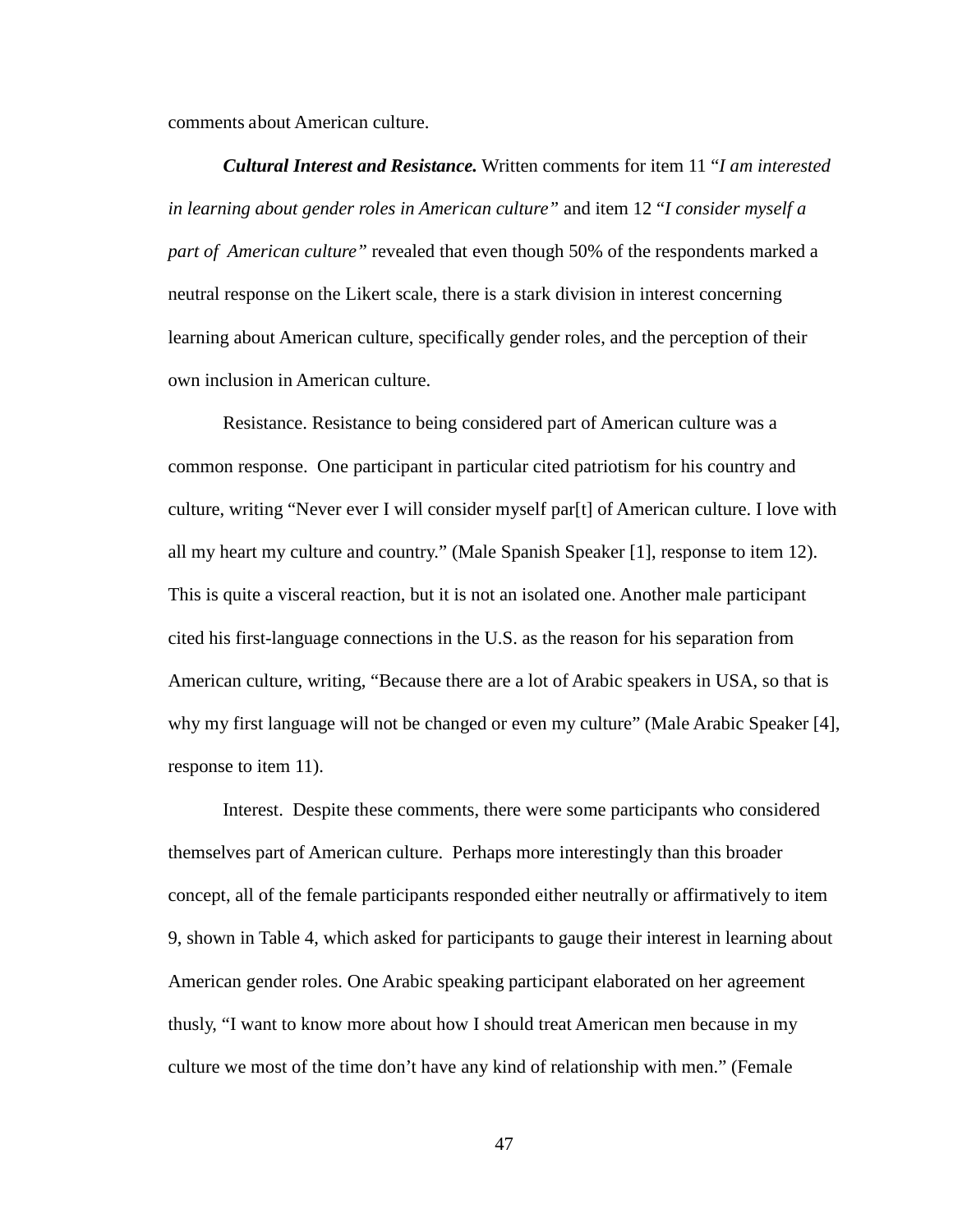comments about American culture.

*Cultural Interest and Resistance.* Written comments for item 11 "*I am interested in learning about gender roles in American culture"* and item 12 "*I consider myself a part of American culture"* revealed that even though 50% of the respondents marked a neutral response on the Likert scale, there is a stark division in interest concerning learning about American culture, specifically gender roles, and the perception of their own inclusion in American culture.

Resistance. Resistance to being considered part of American culture was a common response. One participant in particular cited patriotism for his country and culture, writing "Never ever I will consider myself par[t] of American culture. I love with all my heart my culture and country." (Male Spanish Speaker [1], response to item 12). This is quite a visceral reaction, but it is not an isolated one. Another male participant cited his first-language connections in the U.S. as the reason for his separation from American culture, writing, "Because there are a lot of Arabic speakers in USA, so that is why my first language will not be changed or even my culture" (Male Arabic Speaker [4], response to item 11).

Interest. Despite these comments, there were some participants who considered themselves part of American culture. Perhaps more interestingly than this broader concept, all of the female participants responded either neutrally or affirmatively to item 9, shown in Table 4, which asked for participants to gauge their interest in learning about American gender roles. One Arabic speaking participant elaborated on her agreement thusly, "I want to know more about how I should treat American men because in my culture we most of the time don't have any kind of relationship with men." (Female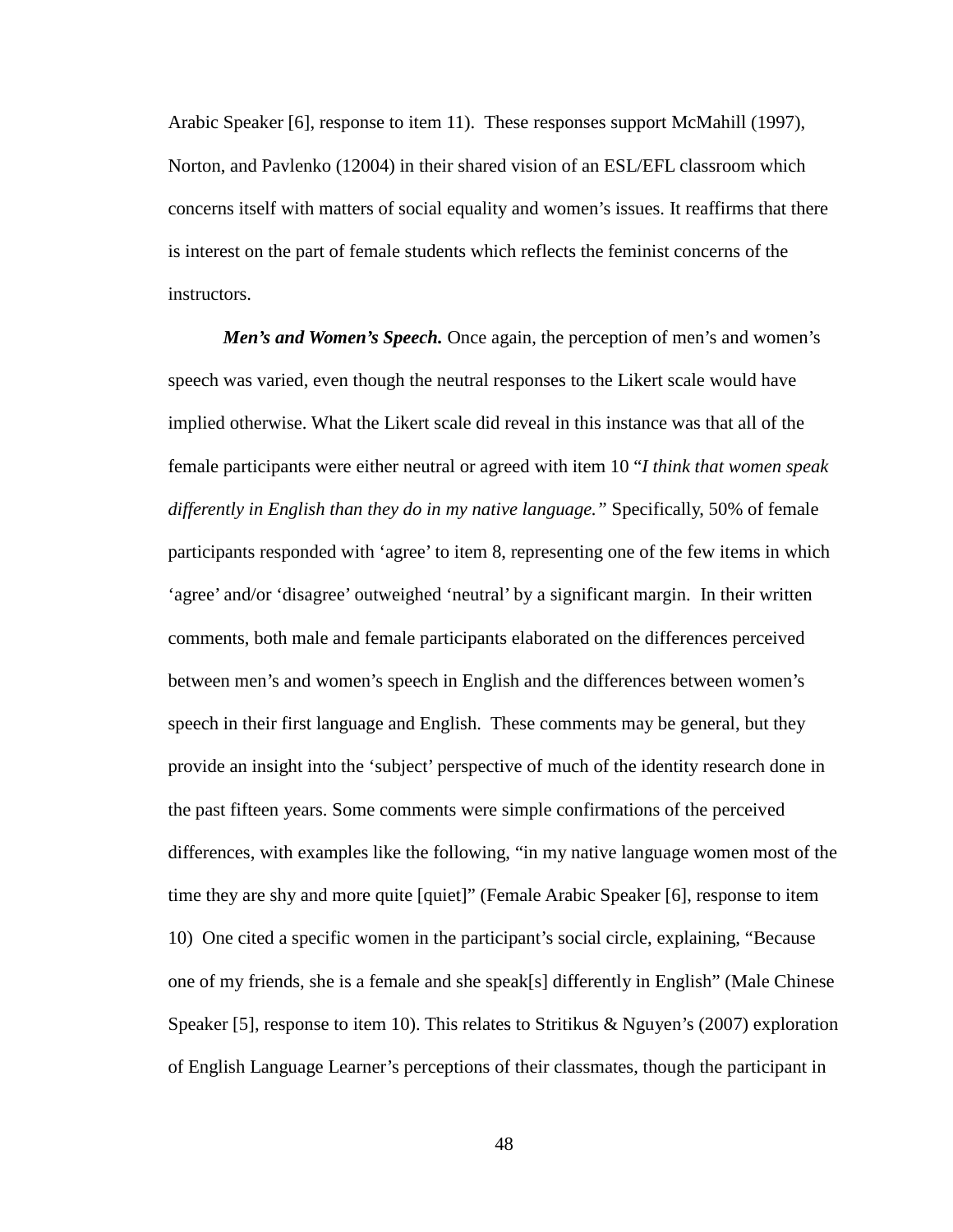Arabic Speaker [6], response to item 11). These responses support McMahill (1997), Norton, and Pavlenko (12004) in their shared vision of an ESL/EFL classroom which concerns itself with matters of social equality and women's issues. It reaffirms that there is interest on the part of female students which reflects the feminist concerns of the instructors.

*Men's and Women's Speech.* Once again, the perception of men's and women's speech was varied, even though the neutral responses to the Likert scale would have implied otherwise. What the Likert scale did reveal in this instance was that all of the female participants were either neutral or agreed with item 10 "*I think that women speak differently in English than they do in my native language."* Specifically, 50% of female participants responded with 'agree' to item 8, representing one of the few items in which 'agree' and/or 'disagree' outweighed 'neutral' by a significant margin. In their written comments, both male and female participants elaborated on the differences perceived between men's and women's speech in English and the differences between women's speech in their first language and English. These comments may be general, but they provide an insight into the 'subject' perspective of much of the identity research done in the past fifteen years. Some comments were simple confirmations of the perceived differences, with examples like the following, "in my native language women most of the time they are shy and more quite [quiet]" (Female Arabic Speaker [6], response to item 10) One cited a specific women in the participant's social circle, explaining, "Because one of my friends, she is a female and she speak[s] differently in English" (Male Chinese Speaker [5], response to item 10). This relates to Stritikus & Nguyen's (2007) exploration of English Language Learner's perceptions of their classmates, though the participant in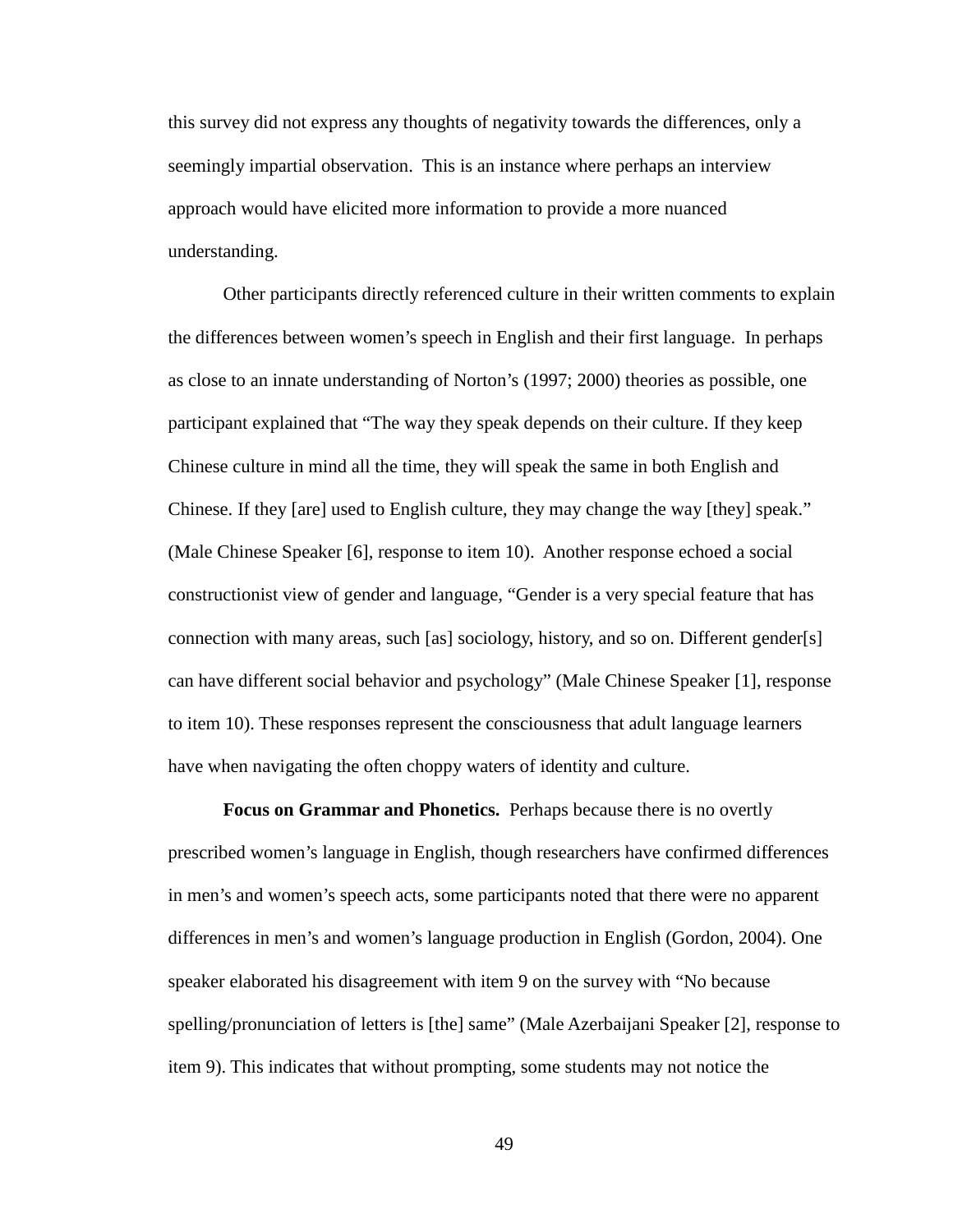this survey did not express any thoughts of negativity towards the differences, only a seemingly impartial observation. This is an instance where perhaps an interview approach would have elicited more information to provide a more nuanced understanding.

Other participants directly referenced culture in their written comments to explain the differences between women's speech in English and their first language. In perhaps as close to an innate understanding of Norton's (1997; 2000) theories as possible, one participant explained that "The way they speak depends on their culture. If they keep Chinese culture in mind all the time, they will speak the same in both English and Chinese. If they [are] used to English culture, they may change the way [they] speak." (Male Chinese Speaker [6], response to item 10). Another response echoed a social constructionist view of gender and language, "Gender is a very special feature that has connection with many areas, such [as] sociology, history, and so on. Different gender[s] can have different social behavior and psychology" (Male Chinese Speaker [1], response to item 10). These responses represent the consciousness that adult language learners have when navigating the often choppy waters of identity and culture.

**Focus on Grammar and Phonetics.** Perhaps because there is no overtly prescribed women's language in English, though researchers have confirmed differences in men's and women's speech acts, some participants noted that there were no apparent differences in men's and women's language production in English (Gordon, 2004). One speaker elaborated his disagreement with item 9 on the survey with "No because spelling/pronunciation of letters is [the] same" (Male Azerbaijani Speaker [2], response to item 9). This indicates that without prompting, some students may not notice the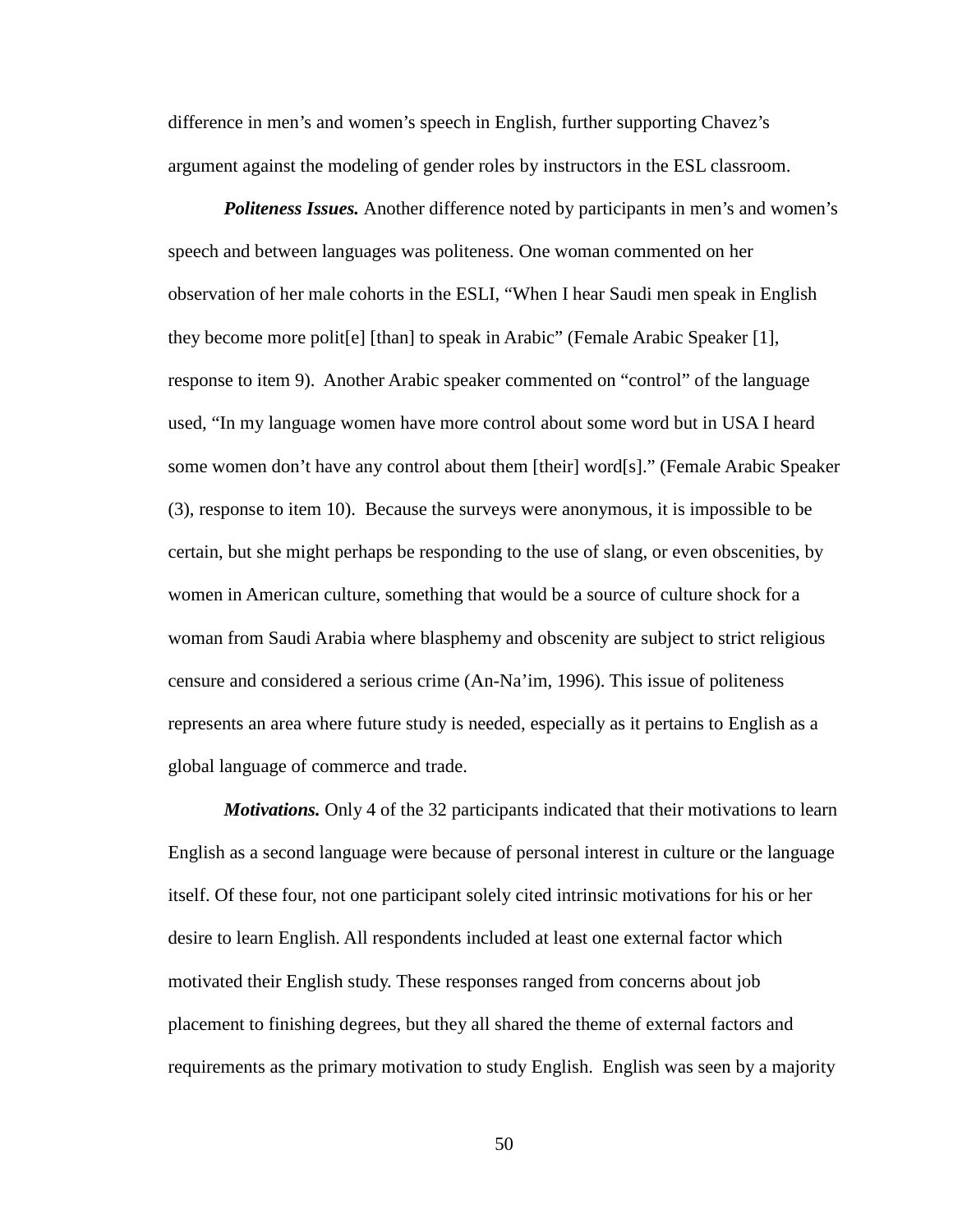difference in men's and women's speech in English, further supporting Chavez's argument against the modeling of gender roles by instructors in the ESL classroom.

*Politeness Issues.* Another difference noted by participants in men's and women's speech and between languages was politeness. One woman commented on her observation of her male cohorts in the ESLI, "When I hear Saudi men speak in English they become more polit[e] [than] to speak in Arabic" (Female Arabic Speaker [1], response to item 9). Another Arabic speaker commented on "control" of the language used, "In my language women have more control about some word but in USA I heard some women don't have any control about them [their] word[s]." (Female Arabic Speaker (3), response to item 10). Because the surveys were anonymous, it is impossible to be certain, but she might perhaps be responding to the use of slang, or even obscenities, by women in American culture, something that would be a source of culture shock for a woman from Saudi Arabia where blasphemy and obscenity are subject to strict religious censure and considered a serious crime (An-Na'im, 1996). This issue of politeness represents an area where future study is needed, especially as it pertains to English as a global language of commerce and trade.

*Motivations.* Only 4 of the 32 participants indicated that their motivations to learn English as a second language were because of personal interest in culture or the language itself. Of these four, not one participant solely cited intrinsic motivations for his or her desire to learn English. All respondents included at least one external factor which motivated their English study. These responses ranged from concerns about job placement to finishing degrees, but they all shared the theme of external factors and requirements as the primary motivation to study English. English was seen by a majority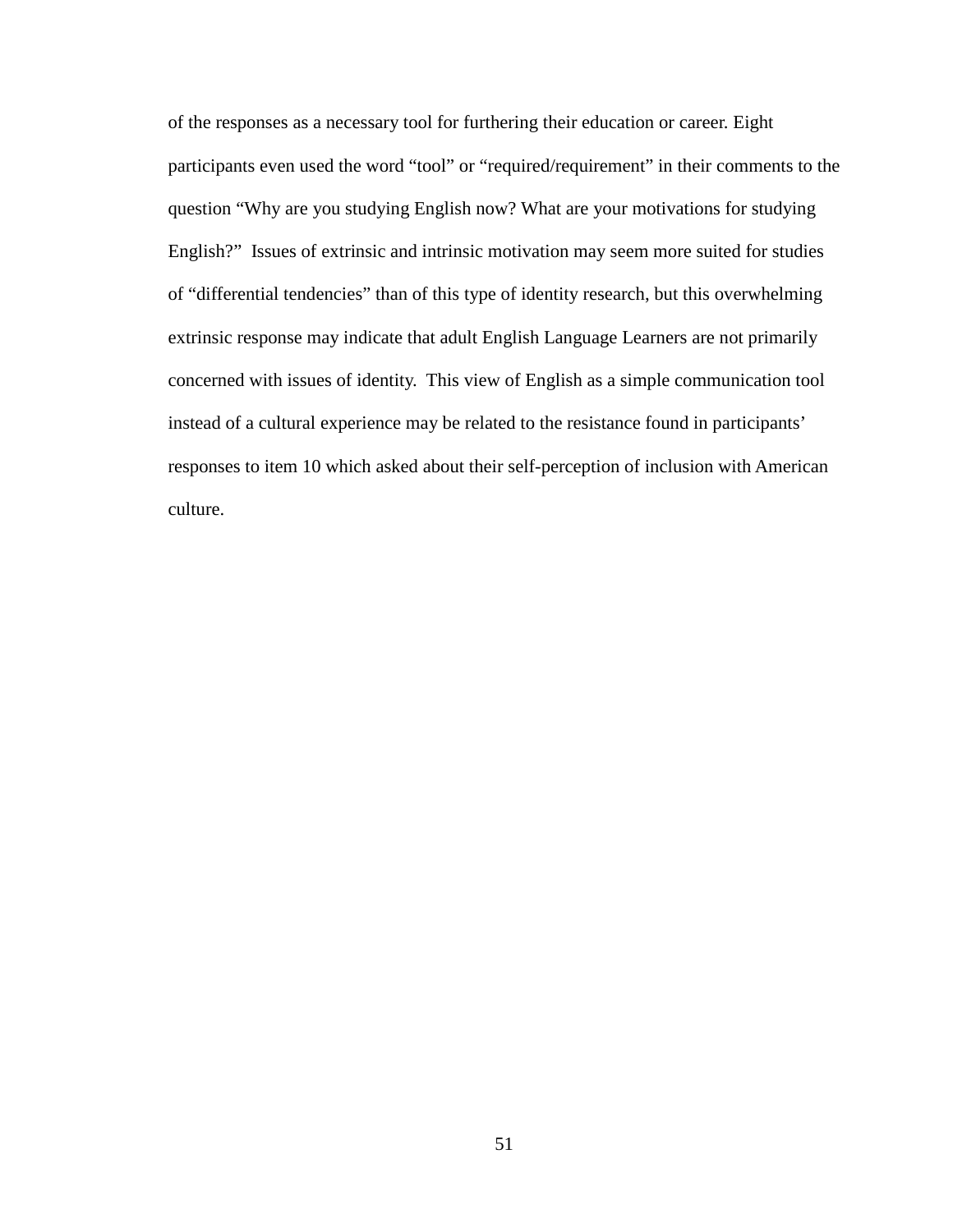of the responses as a necessary tool for furthering their education or career. Eight participants even used the word "tool" or "required/requirement" in their comments to the question "Why are you studying English now? What are your motivations for studying English?" Issues of extrinsic and intrinsic motivation may seem more suited for studies of "differential tendencies" than of this type of identity research, but this overwhelming extrinsic response may indicate that adult English Language Learners are not primarily concerned with issues of identity. This view of English as a simple communication tool instead of a cultural experience may be related to the resistance found in participants' responses to item 10 which asked about their self-perception of inclusion with American culture.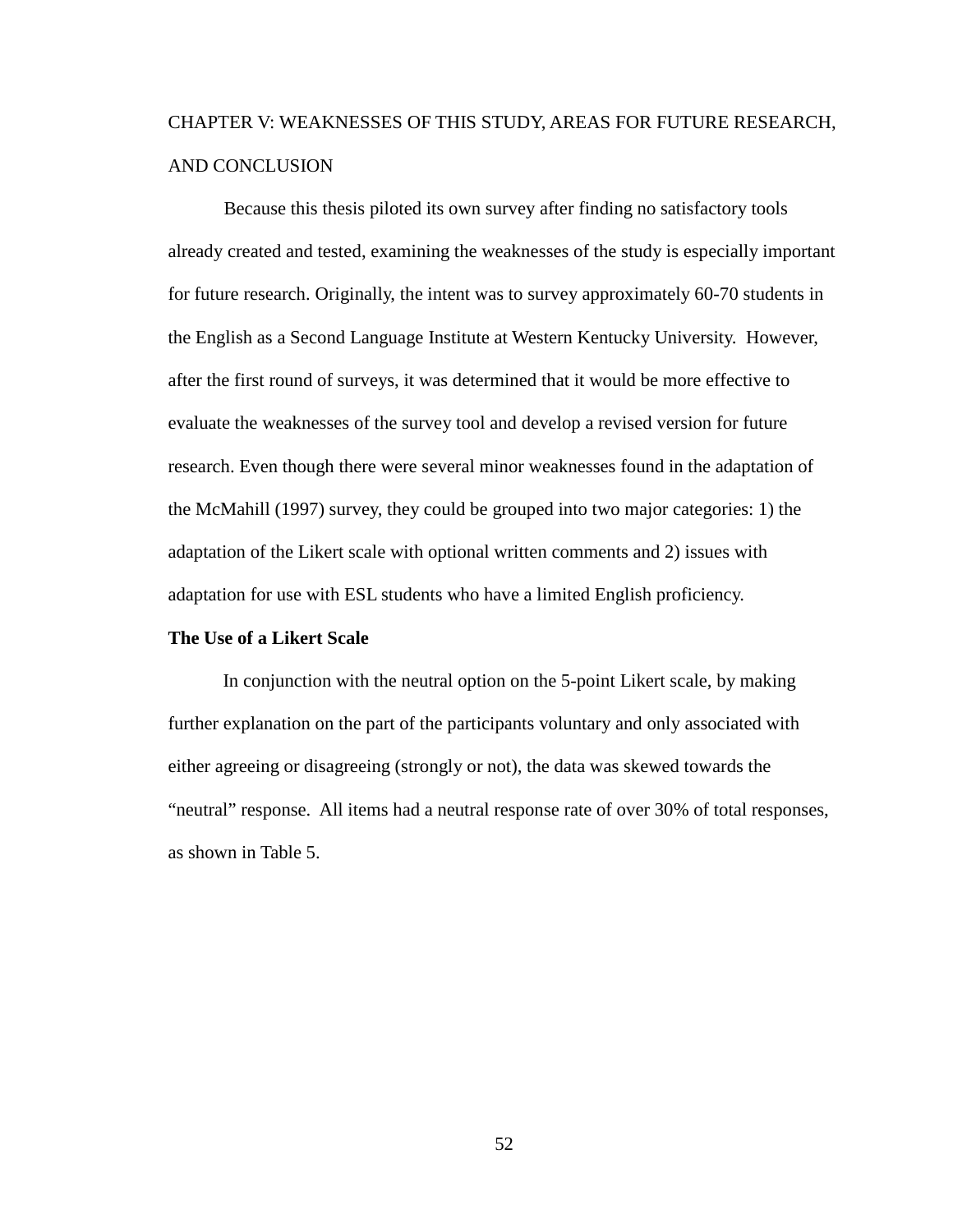# CHAPTER V: WEAKNESSES OF THIS STUDY, AREAS FOR FUTURE RESEARCH, AND CONCLUSION

Because this thesis piloted its own survey after finding no satisfactory tools already created and tested, examining the weaknesses of the study is especially important for future research. Originally, the intent was to survey approximately 60-70 students in the English as a Second Language Institute at Western Kentucky University. However, after the first round of surveys, it was determined that it would be more effective to evaluate the weaknesses of the survey tool and develop a revised version for future research. Even though there were several minor weaknesses found in the adaptation of the McMahill (1997) survey, they could be grouped into two major categories: 1) the adaptation of the Likert scale with optional written comments and 2) issues with adaptation for use with ESL students who have a limited English proficiency.

## **The Use of a Likert Scale**

In conjunction with the neutral option on the 5-point Likert scale, by making further explanation on the part of the participants voluntary and only associated with either agreeing or disagreeing (strongly or not), the data was skewed towards the "neutral" response. All items had a neutral response rate of over 30% of total responses, as shown in Table 5.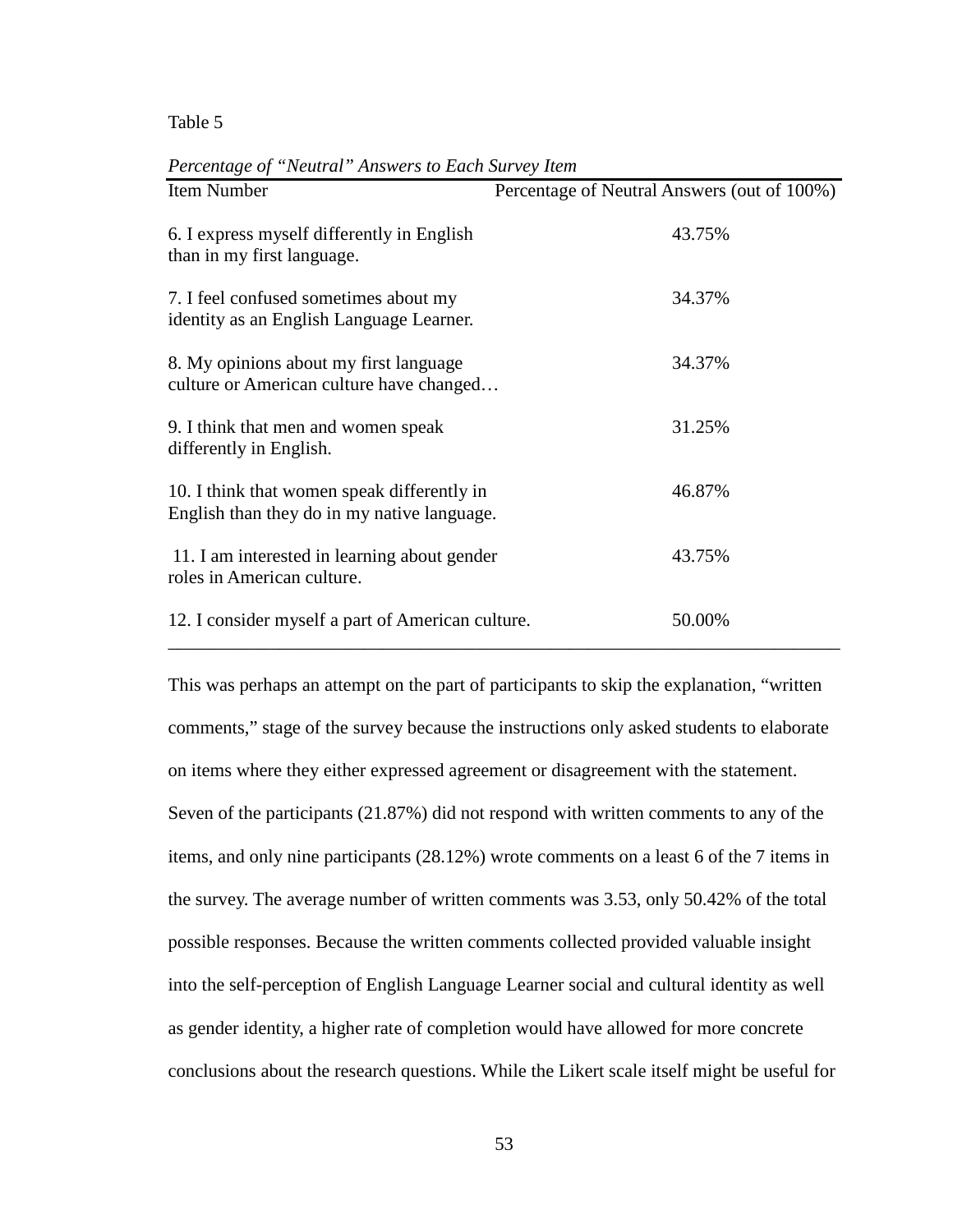Table 5

| Item Number                                                                                | Percentage of Neutral Answers (out of 100%) |
|--------------------------------------------------------------------------------------------|---------------------------------------------|
| 6. I express myself differently in English<br>than in my first language.                   | 43.75%                                      |
| 7. I feel confused sometimes about my<br>identity as an English Language Learner.          | 34.37%                                      |
| 8. My opinions about my first language<br>culture or American culture have changed         | 34.37%                                      |
| 9. I think that men and women speak<br>differently in English.                             | 31.25%                                      |
| 10. I think that women speak differently in<br>English than they do in my native language. | 46.87%                                      |
| 11. I am interested in learning about gender<br>roles in American culture.                 | 43.75%                                      |
| 12. I consider myself a part of American culture.                                          | 50.00%                                      |

*Percentage of "Neutral" Answers to Each Survey Item* 

This was perhaps an attempt on the part of participants to skip the explanation, "written comments," stage of the survey because the instructions only asked students to elaborate on items where they either expressed agreement or disagreement with the statement. Seven of the participants (21.87%) did not respond with written comments to any of the items, and only nine participants (28.12%) wrote comments on a least 6 of the 7 items in the survey. The average number of written comments was 3.53, only 50.42% of the total possible responses. Because the written comments collected provided valuable insight into the self-perception of English Language Learner social and cultural identity as well as gender identity, a higher rate of completion would have allowed for more concrete conclusions about the research questions. While the Likert scale itself might be useful for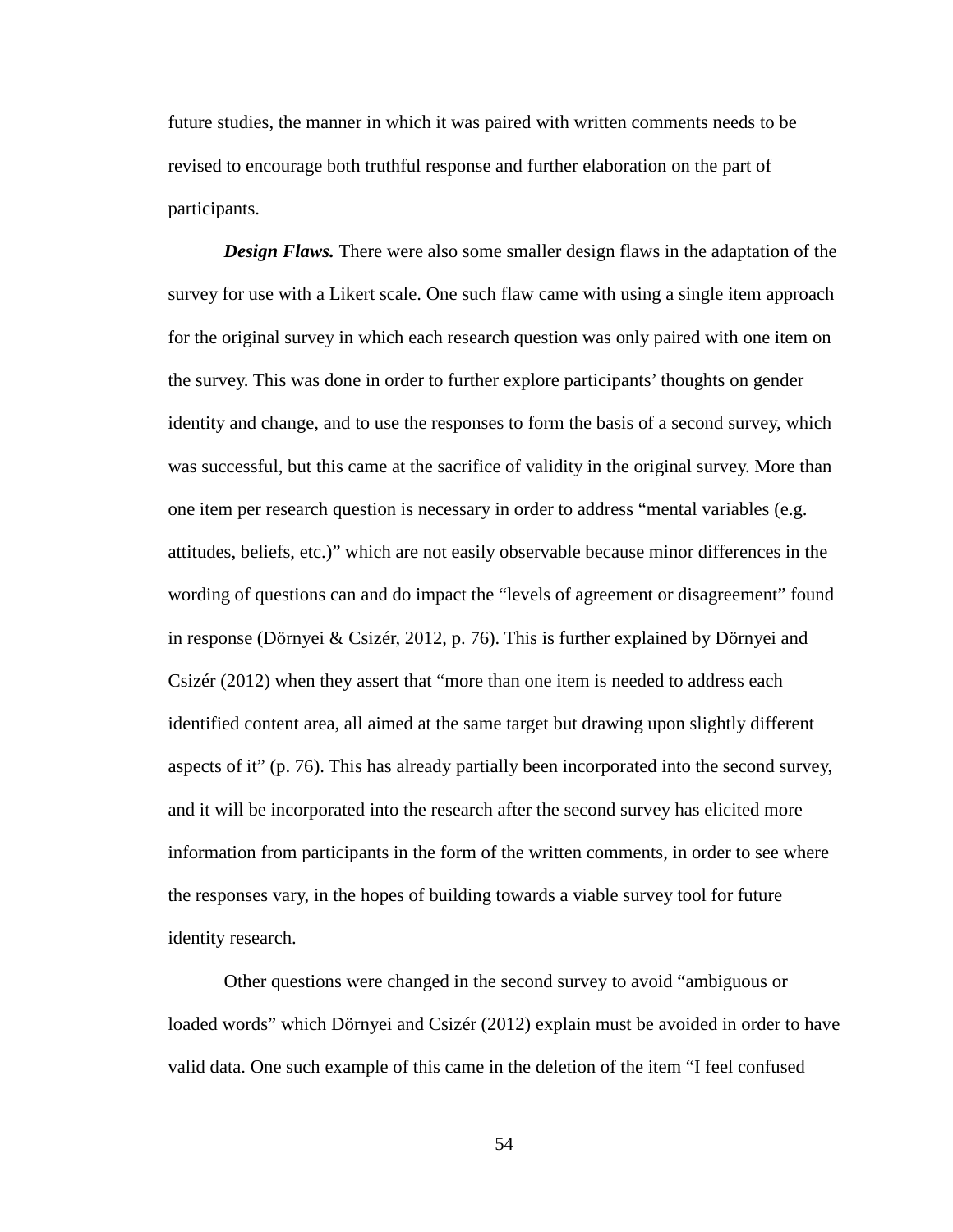future studies, the manner in which it was paired with written comments needs to be revised to encourage both truthful response and further elaboration on the part of participants.

*Design Flaws.* There were also some smaller design flaws in the adaptation of the survey for use with a Likert scale. One such flaw came with using a single item approach for the original survey in which each research question was only paired with one item on the survey. This was done in order to further explore participants' thoughts on gender identity and change, and to use the responses to form the basis of a second survey, which was successful, but this came at the sacrifice of validity in the original survey. More than one item per research question is necessary in order to address "mental variables (e.g. attitudes, beliefs, etc.)" which are not easily observable because minor differences in the wording of questions can and do impact the "levels of agreement or disagreement" found in response (Dörnyei & Csizér, 2012, p. 76). This is further explained by Dörnyei and Csizér (2012) when they assert that "more than one item is needed to address each identified content area, all aimed at the same target but drawing upon slightly different aspects of it" (p. 76). This has already partially been incorporated into the second survey, and it will be incorporated into the research after the second survey has elicited more information from participants in the form of the written comments, in order to see where the responses vary, in the hopes of building towards a viable survey tool for future identity research.

Other questions were changed in the second survey to avoid "ambiguous or loaded words" which Dörnyei and Csizér (2012) explain must be avoided in order to have valid data. One such example of this came in the deletion of the item "I feel confused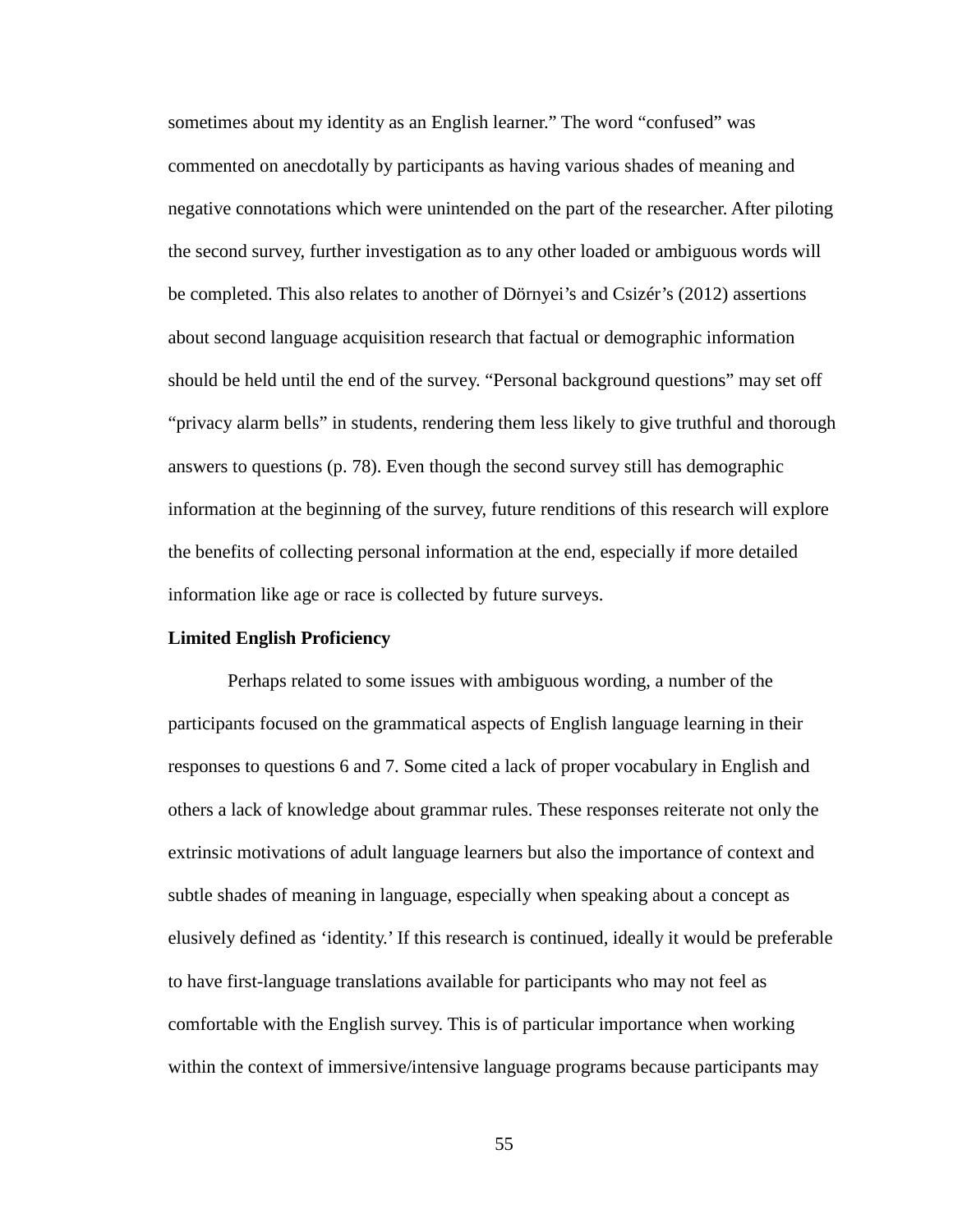sometimes about my identity as an English learner." The word "confused" was commented on anecdotally by participants as having various shades of meaning and negative connotations which were unintended on the part of the researcher. After piloting the second survey, further investigation as to any other loaded or ambiguous words will be completed. This also relates to another of Dörnyei's and Csizér's (2012) assertions about second language acquisition research that factual or demographic information should be held until the end of the survey. "Personal background questions" may set off "privacy alarm bells" in students, rendering them less likely to give truthful and thorough answers to questions (p. 78). Even though the second survey still has demographic information at the beginning of the survey, future renditions of this research will explore the benefits of collecting personal information at the end, especially if more detailed information like age or race is collected by future surveys.

# **Limited English Proficiency**

Perhaps related to some issues with ambiguous wording, a number of the participants focused on the grammatical aspects of English language learning in their responses to questions 6 and 7. Some cited a lack of proper vocabulary in English and others a lack of knowledge about grammar rules. These responses reiterate not only the extrinsic motivations of adult language learners but also the importance of context and subtle shades of meaning in language, especially when speaking about a concept as elusively defined as 'identity.' If this research is continued, ideally it would be preferable to have first-language translations available for participants who may not feel as comfortable with the English survey. This is of particular importance when working within the context of immersive/intensive language programs because participants may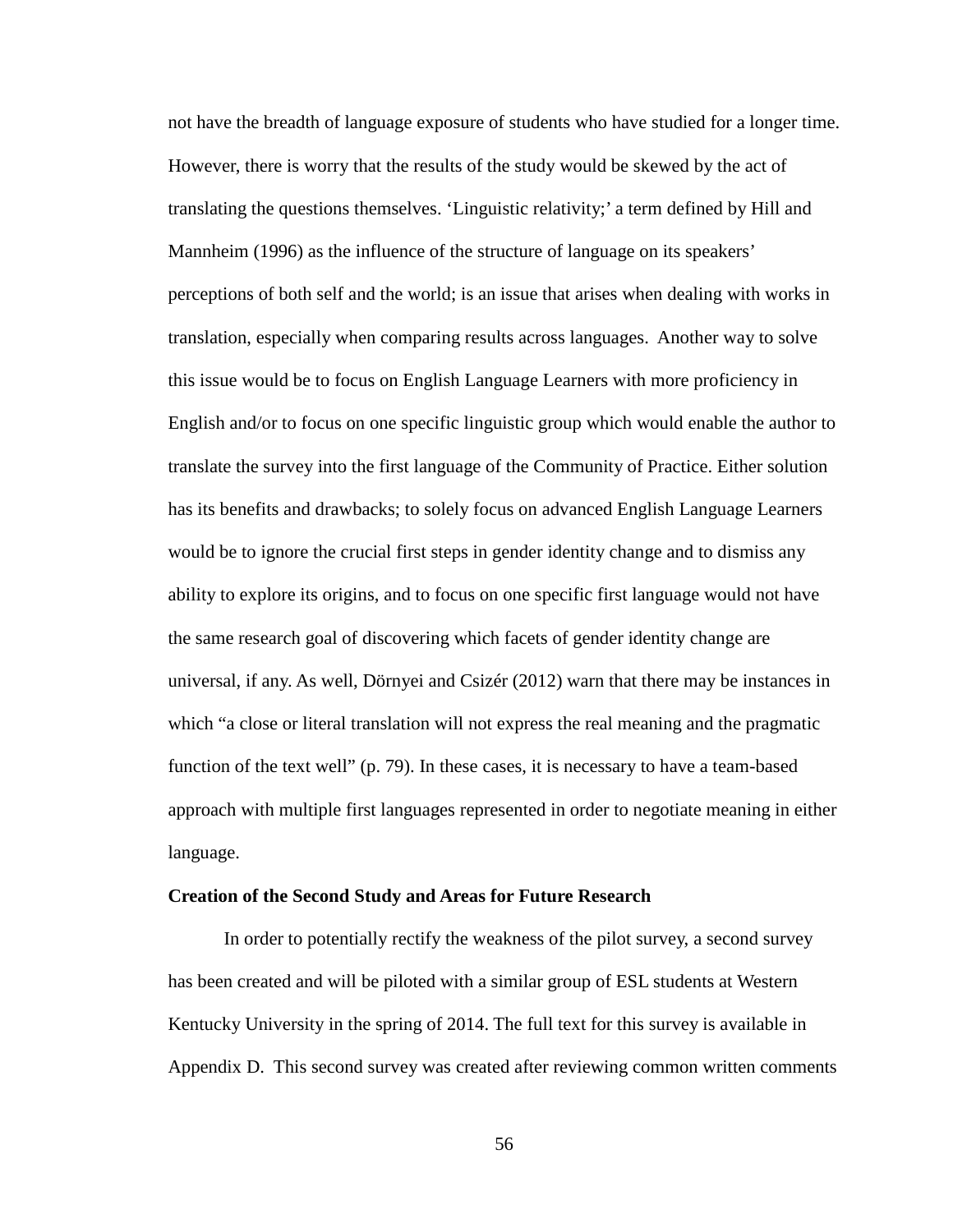not have the breadth of language exposure of students who have studied for a longer time. However, there is worry that the results of the study would be skewed by the act of translating the questions themselves. 'Linguistic relativity;' a term defined by Hill and Mannheim (1996) as the influence of the structure of language on its speakers' perceptions of both self and the world; is an issue that arises when dealing with works in translation, especially when comparing results across languages. Another way to solve this issue would be to focus on English Language Learners with more proficiency in English and/or to focus on one specific linguistic group which would enable the author to translate the survey into the first language of the Community of Practice. Either solution has its benefits and drawbacks; to solely focus on advanced English Language Learners would be to ignore the crucial first steps in gender identity change and to dismiss any ability to explore its origins, and to focus on one specific first language would not have the same research goal of discovering which facets of gender identity change are universal, if any. As well, Dörnyei and Csizér (2012) warn that there may be instances in which "a close or literal translation will not express the real meaning and the pragmatic function of the text well" (p. 79). In these cases, it is necessary to have a team-based approach with multiple first languages represented in order to negotiate meaning in either language.

#### **Creation of the Second Study and Areas for Future Research**

In order to potentially rectify the weakness of the pilot survey, a second survey has been created and will be piloted with a similar group of ESL students at Western Kentucky University in the spring of 2014. The full text for this survey is available in Appendix D. This second survey was created after reviewing common written comments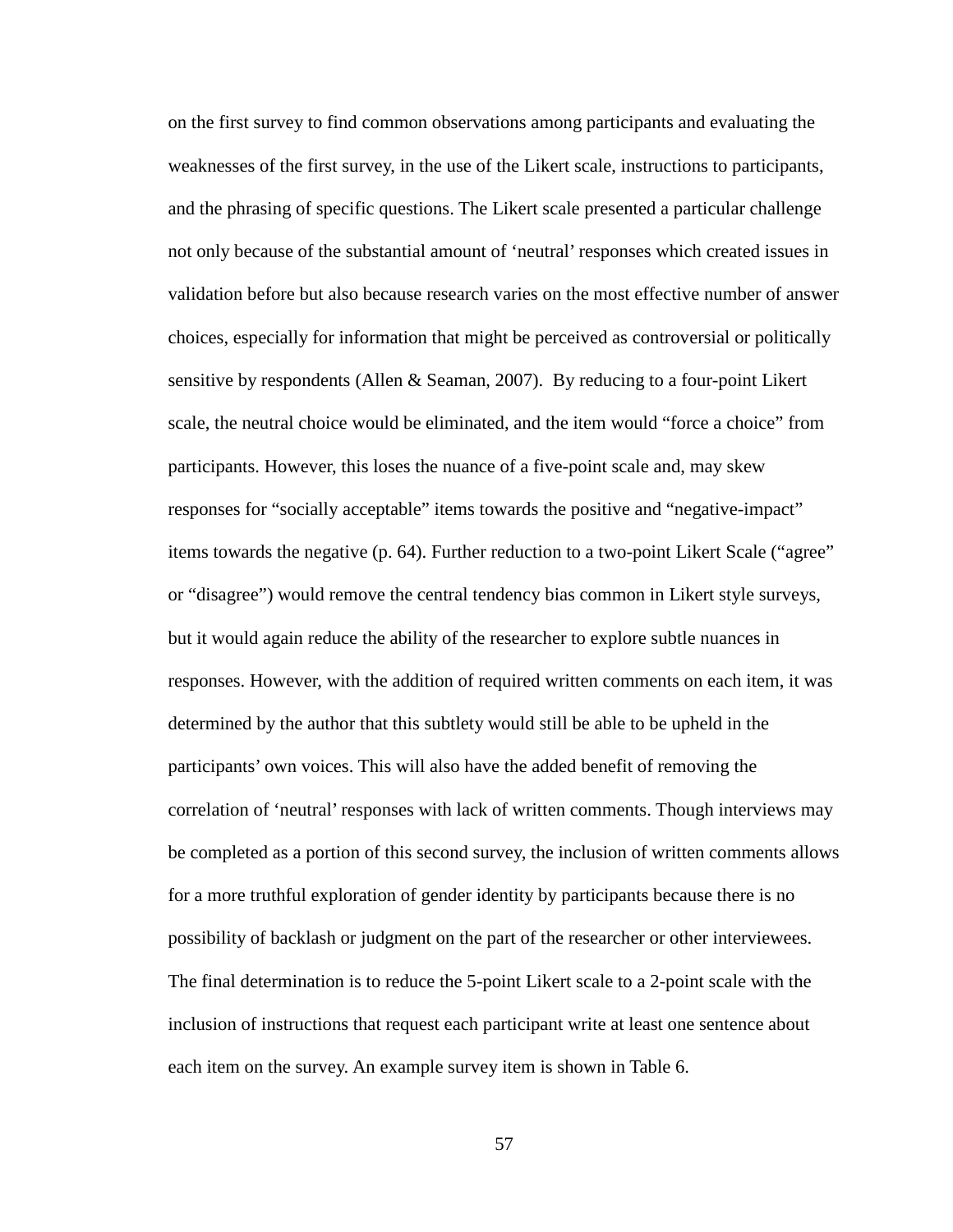on the first survey to find common observations among participants and evaluating the weaknesses of the first survey, in the use of the Likert scale, instructions to participants, and the phrasing of specific questions. The Likert scale presented a particular challenge not only because of the substantial amount of 'neutral' responses which created issues in validation before but also because research varies on the most effective number of answer choices, especially for information that might be perceived as controversial or politically sensitive by respondents (Allen & Seaman, 2007). By reducing to a four-point Likert scale, the neutral choice would be eliminated, and the item would "force a choice" from participants. However, this loses the nuance of a five-point scale and, may skew responses for "socially acceptable" items towards the positive and "negative-impact" items towards the negative (p. 64). Further reduction to a two-point Likert Scale ("agree" or "disagree") would remove the central tendency bias common in Likert style surveys, but it would again reduce the ability of the researcher to explore subtle nuances in responses. However, with the addition of required written comments on each item, it was determined by the author that this subtlety would still be able to be upheld in the participants' own voices. This will also have the added benefit of removing the correlation of 'neutral' responses with lack of written comments. Though interviews may be completed as a portion of this second survey, the inclusion of written comments allows for a more truthful exploration of gender identity by participants because there is no possibility of backlash or judgment on the part of the researcher or other interviewees. The final determination is to reduce the 5-point Likert scale to a 2-point scale with the inclusion of instructions that request each participant write at least one sentence about each item on the survey. An example survey item is shown in Table 6.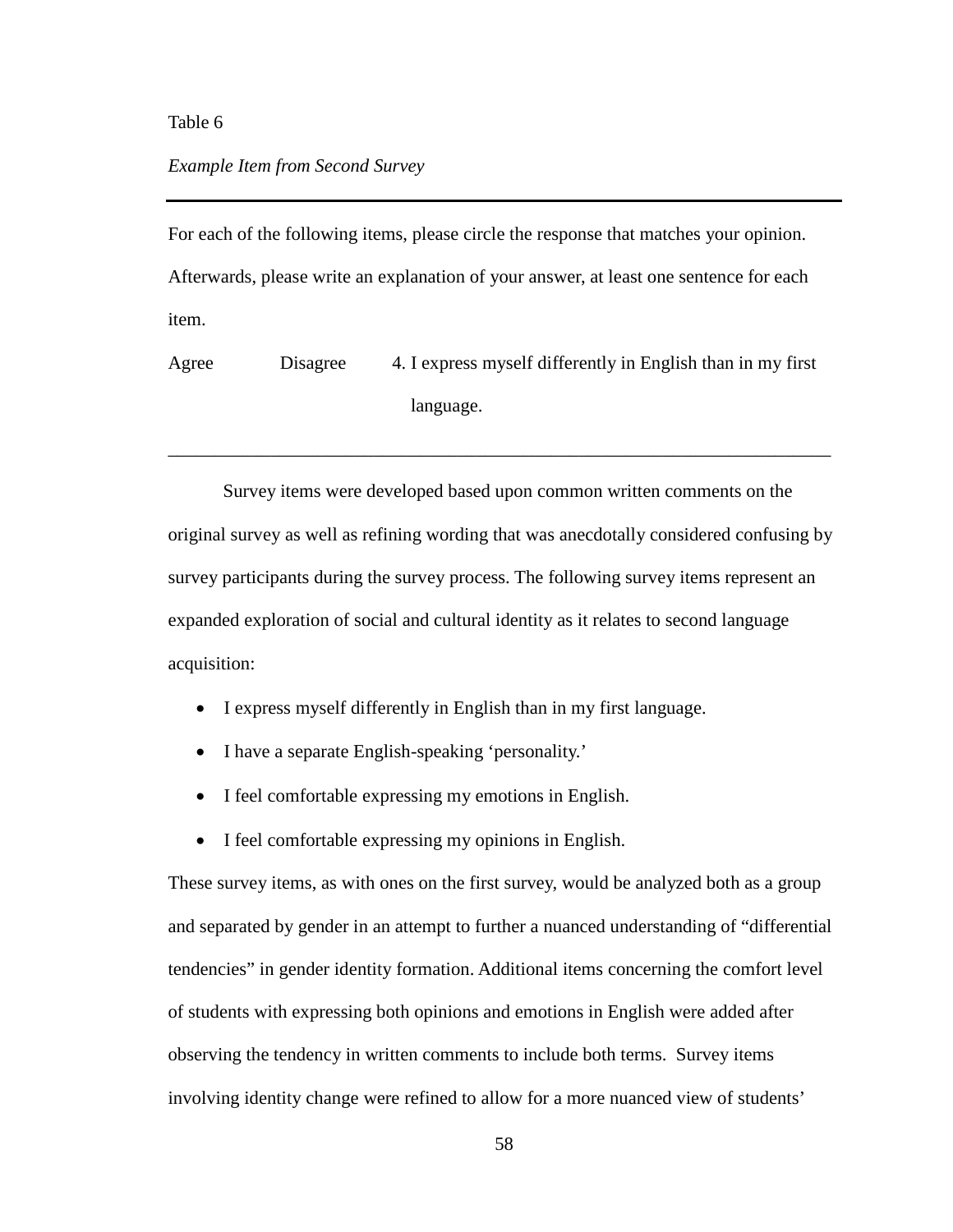# Table 6

# *Example Item from Second Survey*

For each of the following items, please circle the response that matches your opinion. Afterwards, please write an explanation of your answer, at least one sentence for each item.

Agree Disagree 4. I express myself differently in English than in my first language.

\_\_\_\_\_\_\_\_\_\_\_\_\_\_\_\_\_\_\_\_\_\_\_\_\_\_\_\_\_\_\_\_\_\_\_\_\_\_\_\_\_\_\_\_\_\_\_\_\_\_\_\_\_\_\_\_\_\_\_\_\_\_\_\_\_\_\_\_\_\_\_

Survey items were developed based upon common written comments on the original survey as well as refining wording that was anecdotally considered confusing by survey participants during the survey process. The following survey items represent an expanded exploration of social and cultural identity as it relates to second language acquisition:

- I express myself differently in English than in my first language.
- I have a separate English-speaking 'personality.'
- I feel comfortable expressing my emotions in English.
- I feel comfortable expressing my opinions in English.

These survey items, as with ones on the first survey, would be analyzed both as a group and separated by gender in an attempt to further a nuanced understanding of "differential tendencies" in gender identity formation. Additional items concerning the comfort level of students with expressing both opinions and emotions in English were added after observing the tendency in written comments to include both terms. Survey items involving identity change were refined to allow for a more nuanced view of students'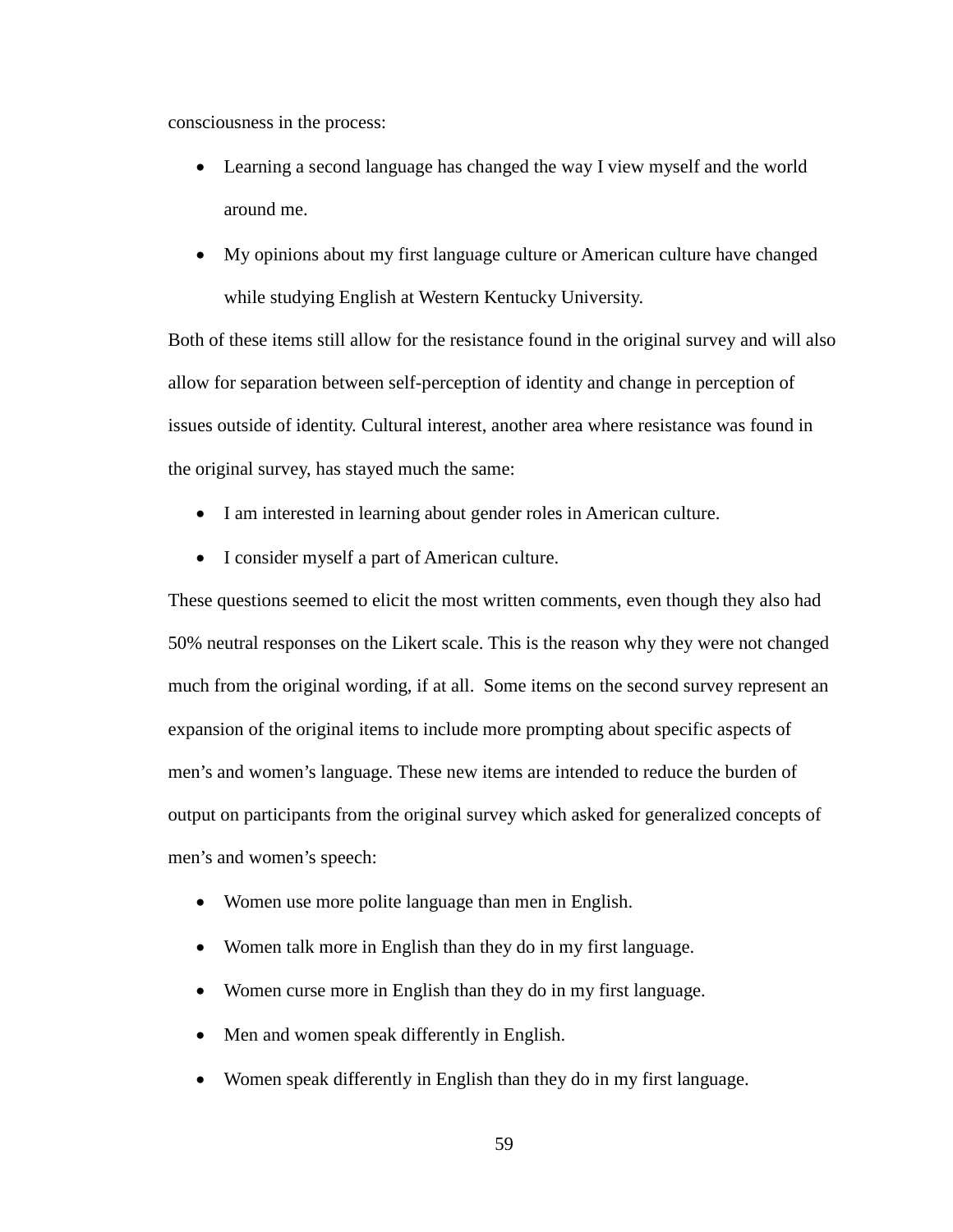consciousness in the process:

- Learning a second language has changed the way I view myself and the world around me.
- My opinions about my first language culture or American culture have changed while studying English at Western Kentucky University.

Both of these items still allow for the resistance found in the original survey and will also allow for separation between self-perception of identity and change in perception of issues outside of identity. Cultural interest, another area where resistance was found in the original survey, has stayed much the same:

- I am interested in learning about gender roles in American culture.
- I consider myself a part of American culture.

These questions seemed to elicit the most written comments, even though they also had 50% neutral responses on the Likert scale. This is the reason why they were not changed much from the original wording, if at all. Some items on the second survey represent an expansion of the original items to include more prompting about specific aspects of men's and women's language. These new items are intended to reduce the burden of output on participants from the original survey which asked for generalized concepts of men's and women's speech:

- Women use more polite language than men in English.
- Women talk more in English than they do in my first language.
- Women curse more in English than they do in my first language.
- Men and women speak differently in English.
- Women speak differently in English than they do in my first language.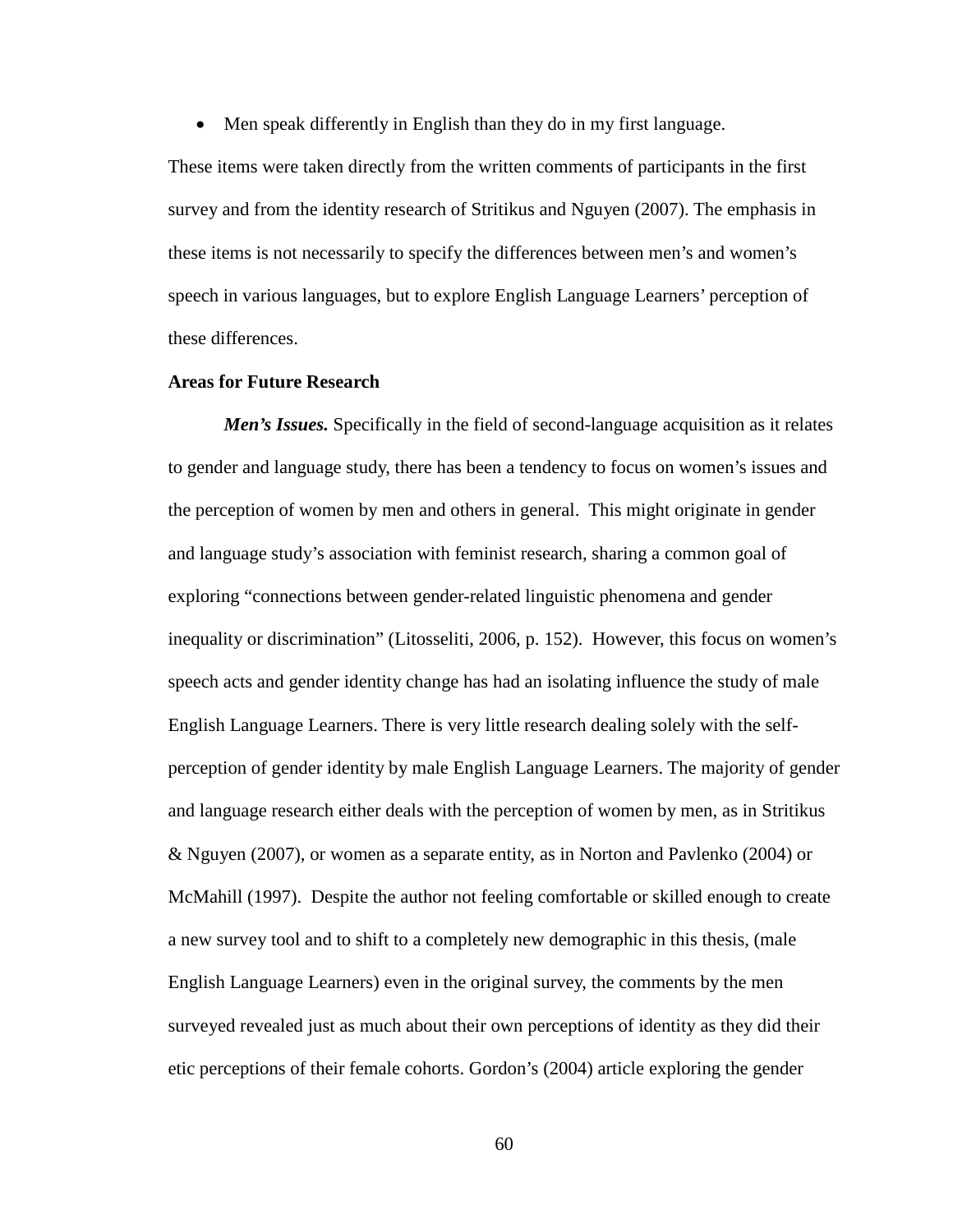• Men speak differently in English than they do in my first language.

These items were taken directly from the written comments of participants in the first survey and from the identity research of Stritikus and Nguyen (2007). The emphasis in these items is not necessarily to specify the differences between men's and women's speech in various languages, but to explore English Language Learners' perception of these differences.

#### **Areas for Future Research**

*Men's Issues.* Specifically in the field of second-language acquisition as it relates to gender and language study, there has been a tendency to focus on women's issues and the perception of women by men and others in general. This might originate in gender and language study's association with feminist research, sharing a common goal of exploring "connections between gender-related linguistic phenomena and gender inequality or discrimination" (Litosseliti, 2006, p. 152). However, this focus on women's speech acts and gender identity change has had an isolating influence the study of male English Language Learners. There is very little research dealing solely with the selfperception of gender identity by male English Language Learners. The majority of gender and language research either deals with the perception of women by men, as in Stritikus & Nguyen (2007), or women as a separate entity, as in Norton and Pavlenko (2004) or McMahill (1997). Despite the author not feeling comfortable or skilled enough to create a new survey tool and to shift to a completely new demographic in this thesis, (male English Language Learners) even in the original survey, the comments by the men surveyed revealed just as much about their own perceptions of identity as they did their etic perceptions of their female cohorts. Gordon's (2004) article exploring the gender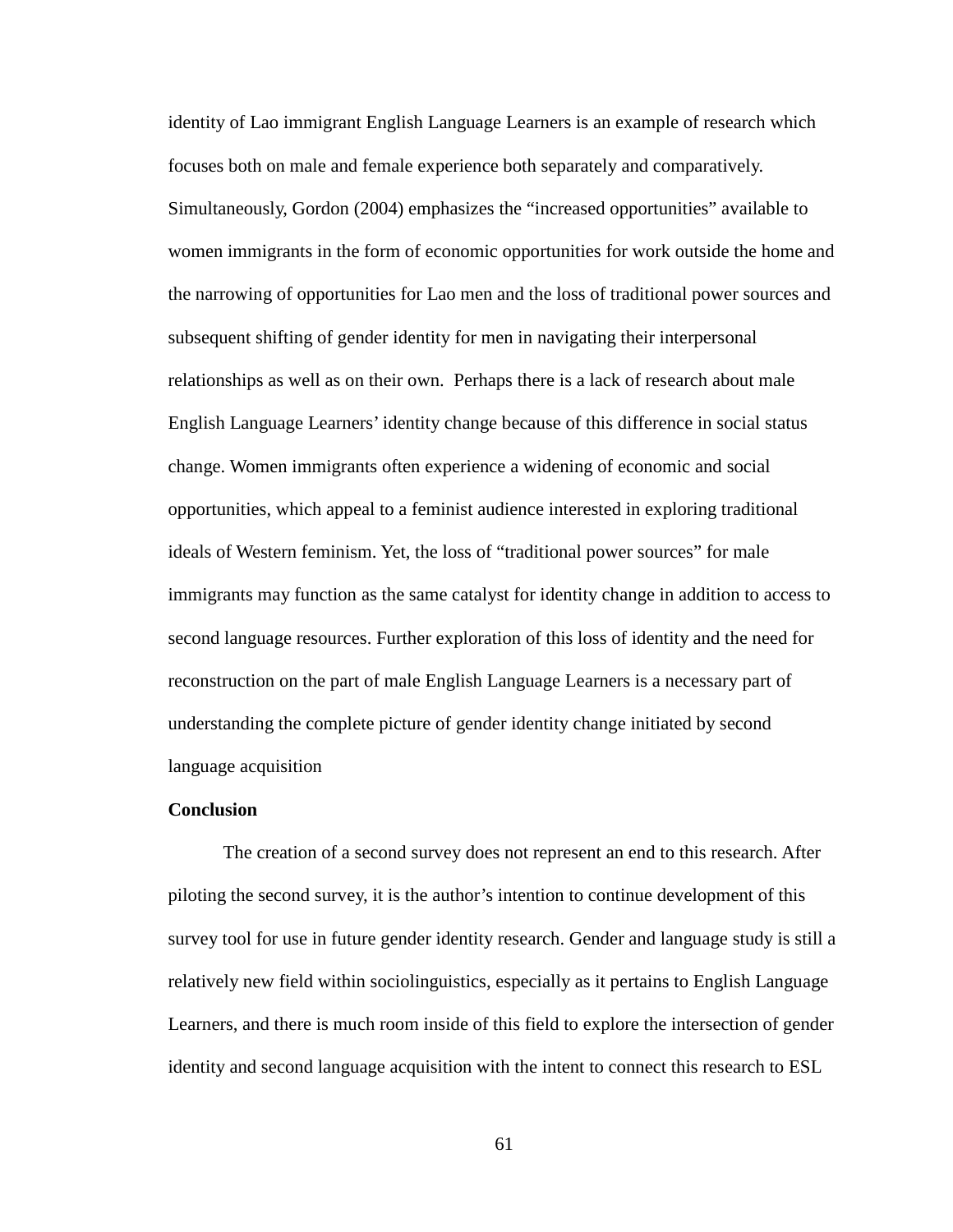identity of Lao immigrant English Language Learners is an example of research which focuses both on male and female experience both separately and comparatively. Simultaneously, Gordon (2004) emphasizes the "increased opportunities" available to women immigrants in the form of economic opportunities for work outside the home and the narrowing of opportunities for Lao men and the loss of traditional power sources and subsequent shifting of gender identity for men in navigating their interpersonal relationships as well as on their own. Perhaps there is a lack of research about male English Language Learners' identity change because of this difference in social status change. Women immigrants often experience a widening of economic and social opportunities, which appeal to a feminist audience interested in exploring traditional ideals of Western feminism. Yet, the loss of "traditional power sources" for male immigrants may function as the same catalyst for identity change in addition to access to second language resources. Further exploration of this loss of identity and the need for reconstruction on the part of male English Language Learners is a necessary part of understanding the complete picture of gender identity change initiated by second language acquisition

# **Conclusion**

The creation of a second survey does not represent an end to this research. After piloting the second survey, it is the author's intention to continue development of this survey tool for use in future gender identity research. Gender and language study is still a relatively new field within sociolinguistics, especially as it pertains to English Language Learners, and there is much room inside of this field to explore the intersection of gender identity and second language acquisition with the intent to connect this research to ESL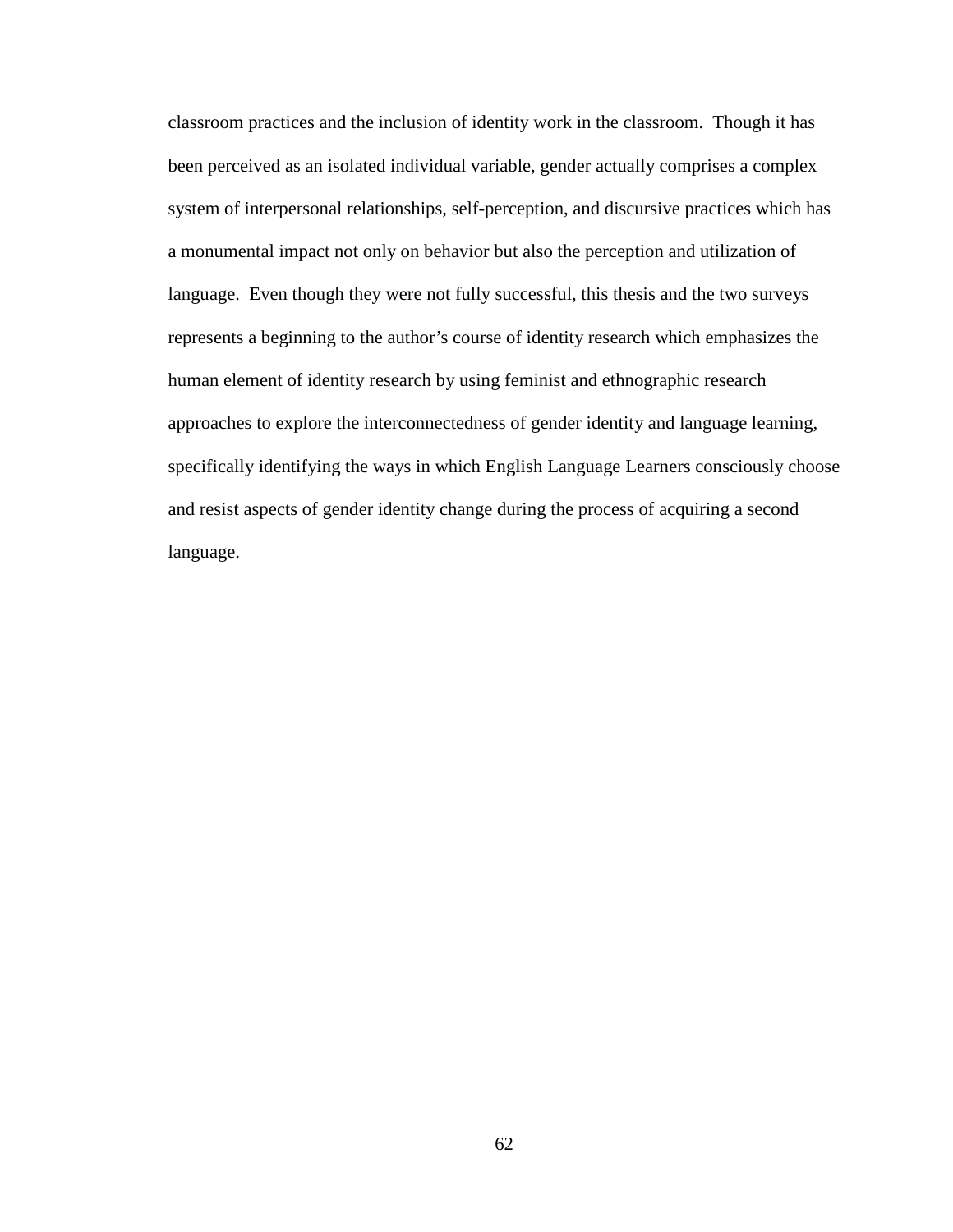classroom practices and the inclusion of identity work in the classroom. Though it has been perceived as an isolated individual variable, gender actually comprises a complex system of interpersonal relationships, self-perception, and discursive practices which has a monumental impact not only on behavior but also the perception and utilization of language. Even though they were not fully successful, this thesis and the two surveys represents a beginning to the author's course of identity research which emphasizes the human element of identity research by using feminist and ethnographic research approaches to explore the interconnectedness of gender identity and language learning, specifically identifying the ways in which English Language Learners consciously choose and resist aspects of gender identity change during the process of acquiring a second language.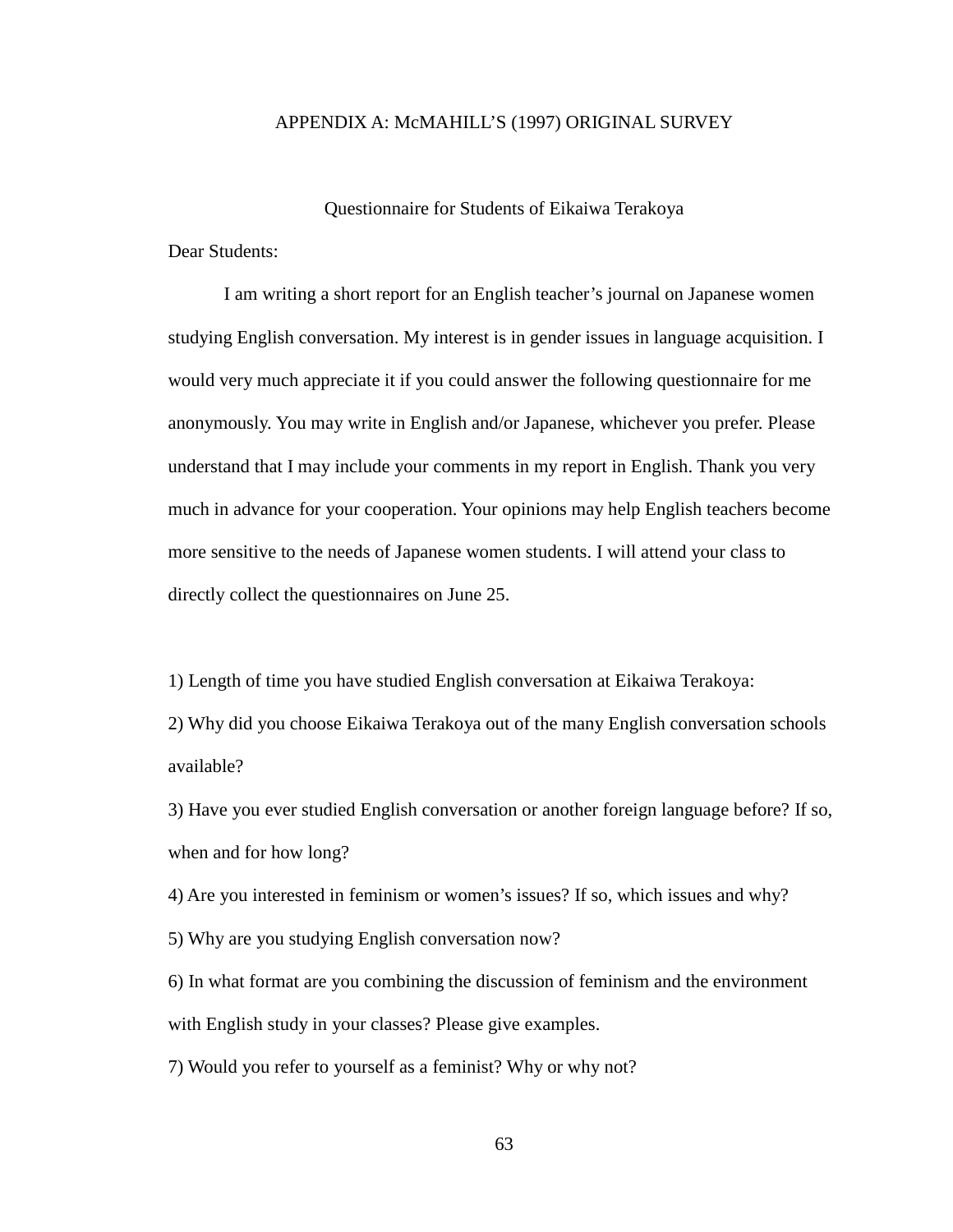## APPENDIX A: McMAHILL'S (1997) ORIGINAL SURVEY

#### Questionnaire for Students of Eikaiwa Terakoya

Dear Students:

I am writing a short report for an English teacher's journal on Japanese women studying English conversation. My interest is in gender issues in language acquisition. I would very much appreciate it if you could answer the following questionnaire for me anonymously. You may write in English and/or Japanese, whichever you prefer. Please understand that I may include your comments in my report in English. Thank you very much in advance for your cooperation. Your opinions may help English teachers become more sensitive to the needs of Japanese women students. I will attend your class to directly collect the questionnaires on June 25.

1) Length of time you have studied English conversation at Eikaiwa Terakoya: 2) Why did you choose Eikaiwa Terakoya out of the many English conversation schools available?

3) Have you ever studied English conversation or another foreign language before? If so, when and for how long?

4) Are you interested in feminism or women's issues? If so, which issues and why?

5) Why are you studying English conversation now?

6) In what format are you combining the discussion of feminism and the environment with English study in your classes? Please give examples.

7) Would you refer to yourself as a feminist? Why or why not?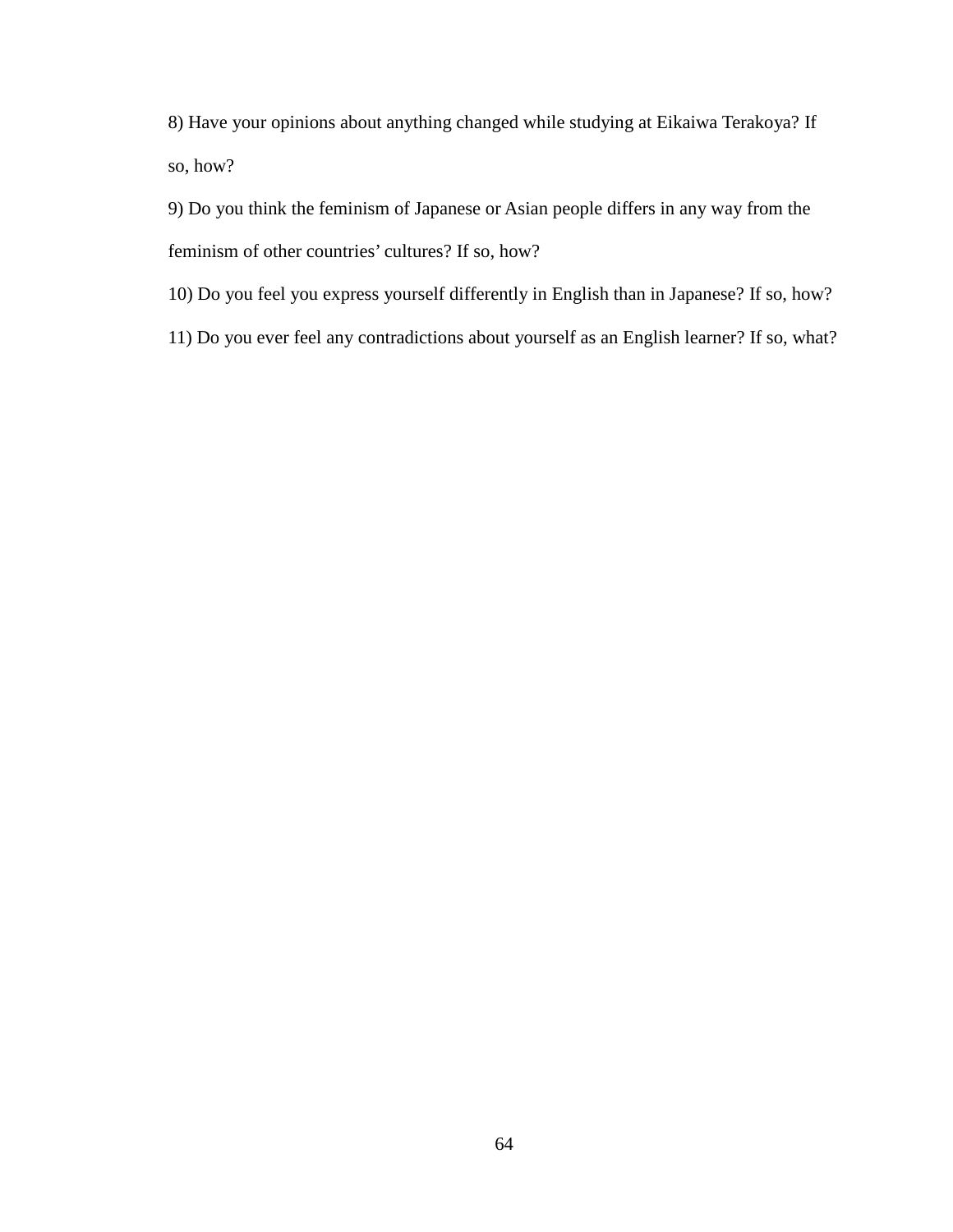8) Have your opinions about anything changed while studying at Eikaiwa Terakoya? If so, how?

9) Do you think the feminism of Japanese or Asian people differs in any way from the feminism of other countries' cultures? If so, how?

10) Do you feel you express yourself differently in English than in Japanese? If so, how?

11) Do you ever feel any contradictions about yourself as an English learner? If so, what?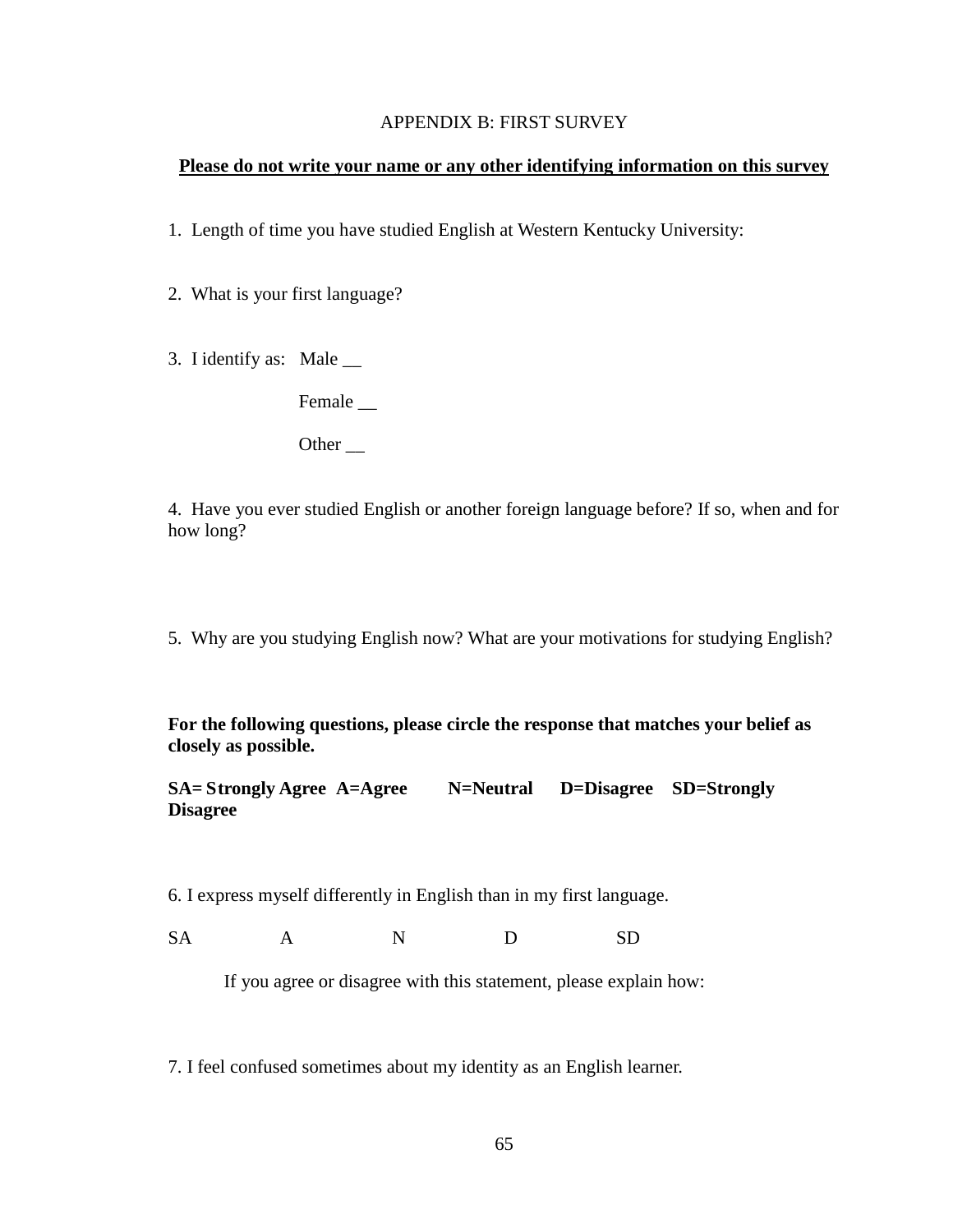#### APPENDIX B: FIRST SURVEY

### **Please do not write your name or any other identifying information on this survey**

1. Length of time you have studied English at Western Kentucky University:

2. What is your first language?

3. I identify as: Male \_\_

Female \_\_

Other \_\_

4. Have you ever studied English or another foreign language before? If so, when and for how long?

5. Why are you studying English now? What are your motivations for studying English?

**For the following questions, please circle the response that matches your belief as closely as possible.** 

**SA= Strongly Agree A=Agree N=Neutral D=Disagree SD=Strongly Disagree**

6. I express myself differently in English than in my first language.

SA A N D SD

If you agree or disagree with this statement, please explain how:

7. I feel confused sometimes about my identity as an English learner.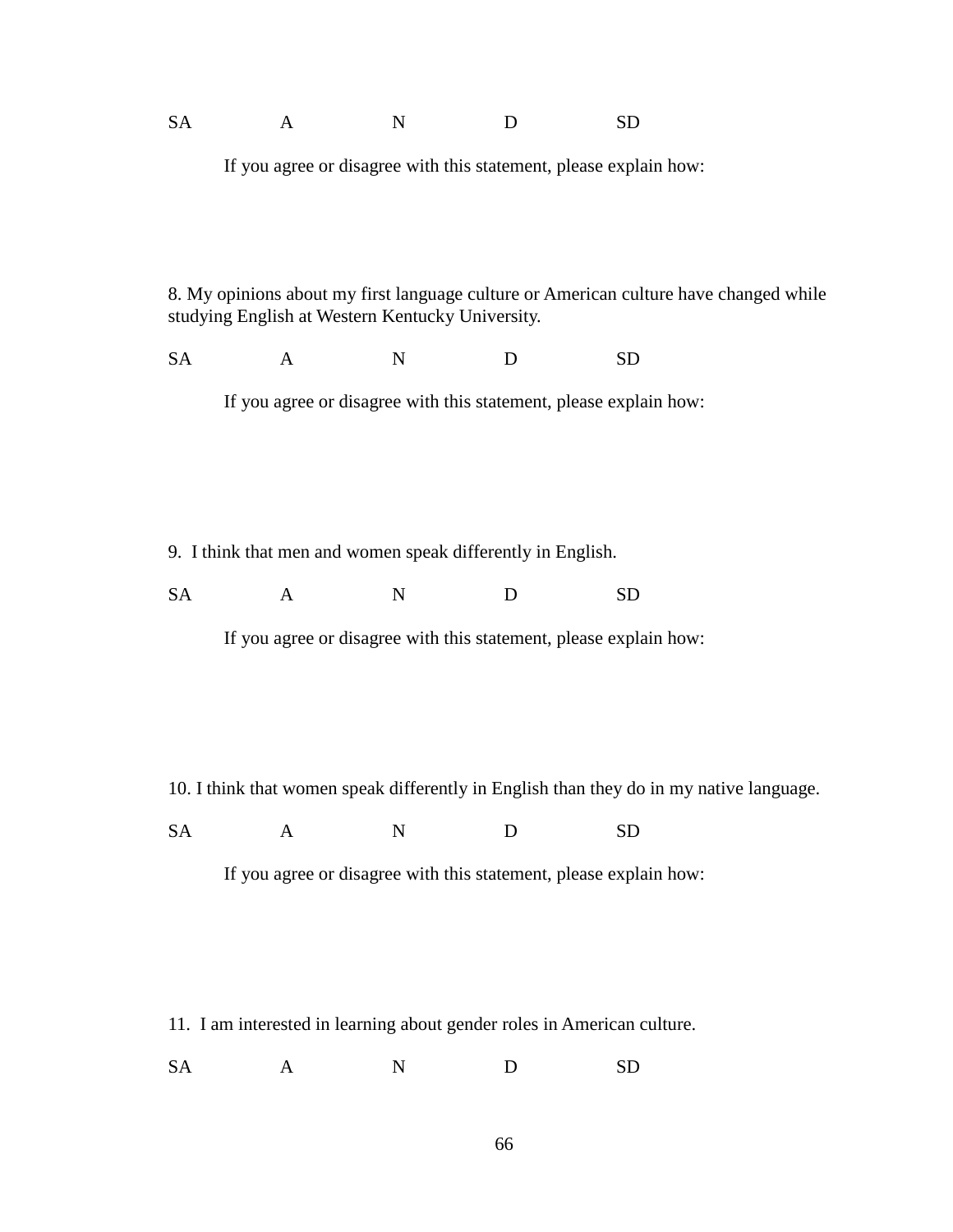| <b>SA</b><br>$\mathbf{A}$ | <b>SD</b> |
|---------------------------|-----------|
|---------------------------|-----------|

If you agree or disagree with this statement, please explain how:

8. My opinions about my first language culture or American culture have changed while studying English at Western Kentucky University.

SA A N D SD

If you agree or disagree with this statement, please explain how:

9. I think that men and women speak differently in English.

SA A N D SD

If you agree or disagree with this statement, please explain how:

10. I think that women speak differently in English than they do in my native language.

SA A N D SD

If you agree or disagree with this statement, please explain how:

11. I am interested in learning about gender roles in American culture.

SA A N D SD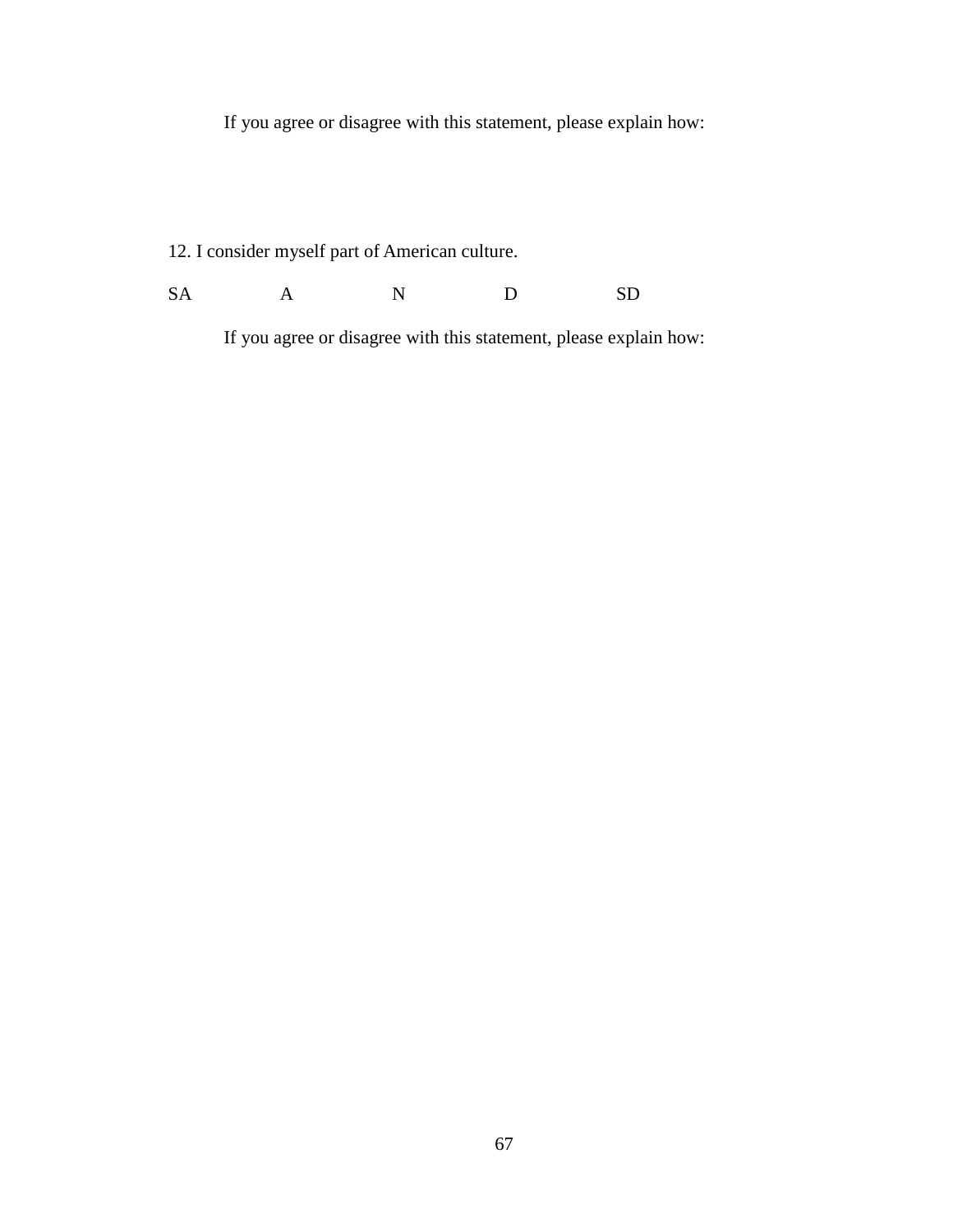If you agree or disagree with this statement, please explain how:

12. I consider myself part of American culture.

SA A N D SD

If you agree or disagree with this statement, please explain how: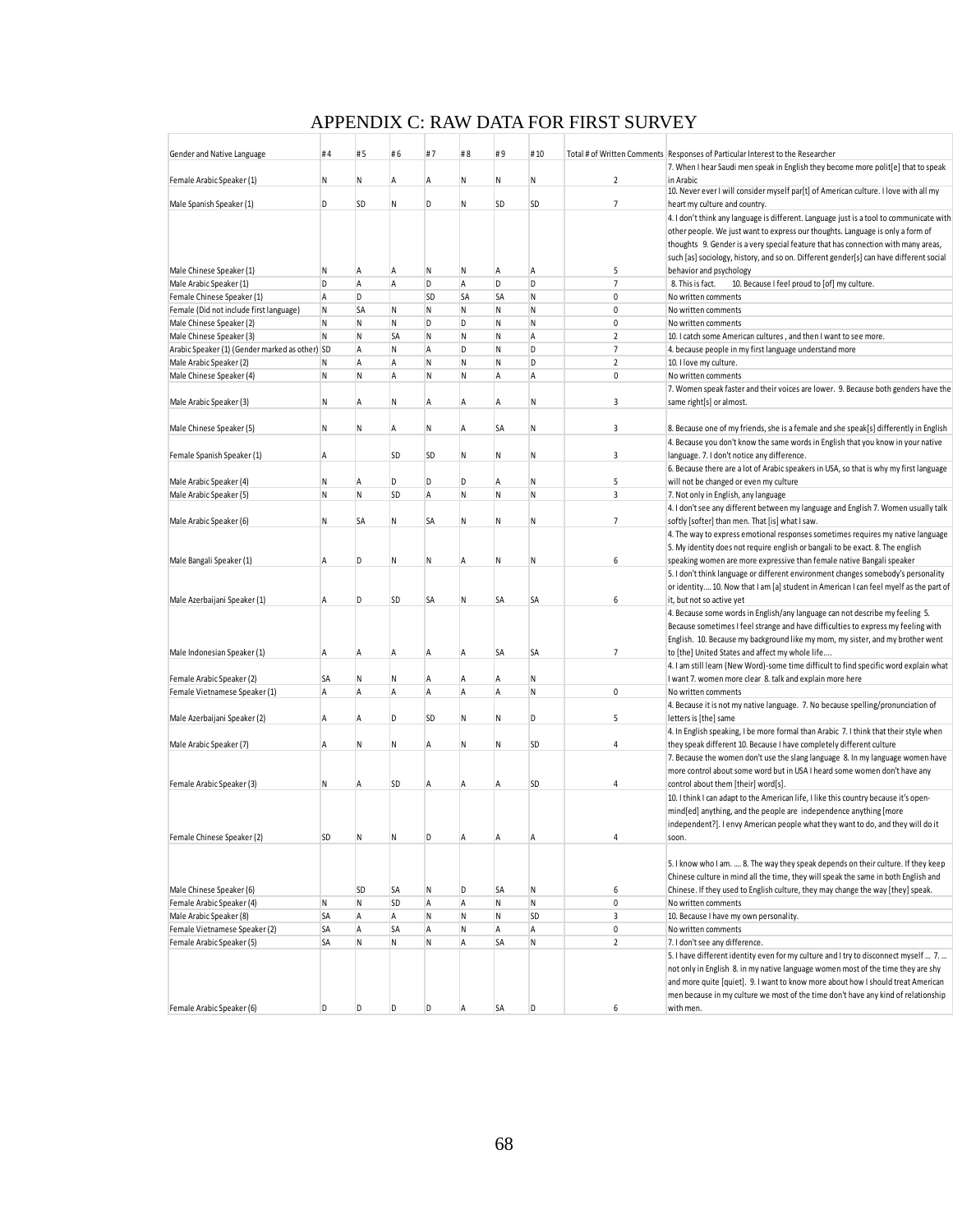# APPENDIX C: RAW DATA FOR FIRST SURVEY

| Gender and Native Language                     | #4 | #5        | #6             | #7 | #8             | #9           | #10         |                 | Total # of Written Comments   Responses of Particular Interest to the Researcher        |
|------------------------------------------------|----|-----------|----------------|----|----------------|--------------|-------------|-----------------|-----------------------------------------------------------------------------------------|
|                                                |    |           |                |    |                |              |             |                 | 7. When I hear Saudi men speak in English they become more polit[e] that to speak       |
| Female Arabic Speaker (1)                      | Ν  | Ν         | Α              | Α  | ${\sf N}$      | N            | Ν           | $\overline{2}$  | in Arabic                                                                               |
|                                                | D  | SD        | N              | D  | Ν              | SD           | <b>SD</b>   | $\overline{7}$  | 10. Never ever I will consider myself par[t] of American culture. I love with all my    |
| Male Spanish Speaker (1)                       |    |           |                |    |                |              |             |                 | heart my culture and country.                                                           |
|                                                |    |           |                |    |                |              |             |                 | 4. I don't think any language is different. Language just is a tool to communicate with |
|                                                |    |           |                |    |                |              |             |                 | other people. We just want to express our thoughts. Language is only a form of          |
|                                                |    |           |                |    |                |              |             |                 | thoughts 9. Gender is a very special feature that has connection with many areas,       |
|                                                |    |           |                |    |                |              |             |                 | such [as] sociology, history, and so on. Different gender[s] can have different social  |
| Male Chinese Speaker (1)                       | Ν  | Α         | A              | Ν  | N              | A            | Α           | 5               | behavior and psychology                                                                 |
| Male Arabic Speaker (1)                        | D  | A         | $\overline{A}$ | D  | $\overline{A}$ | D            | D           | $\overline{7}$  | 8. This is fact.<br>10. Because I feel proud to [of] my culture.                        |
| Female Chinese Speaker (1)                     | A  | D         |                | SD | <b>SA</b>      | SA           | N           | $\pmb{0}$       | No written comments                                                                     |
| Female (Did not include first language)        | N  | SA        | N              | N  | ${\sf N}$      | N            | N           | $\mathbf{0}$    | No written comments                                                                     |
| Male Chinese Speaker (2)                       | N  | N         | N              | D  | D              | N            | N           | 0               | No written comments                                                                     |
| Male Chinese Speaker (3)                       | N  | N         | <b>SA</b>      | N  | $\mathsf{N}$   | N            | $\mathsf A$ | $\overline{2}$  | 10. I catch some American cultures, and then I want to see more.                        |
| Arabic Speaker (1) (Gender marked as other) SD |    | A         | N              | А  | D              | N            | D           | $7\overline{ }$ | 4. because people in my first language understand more                                  |
| Male Arabic Speaker (2)                        | Ν  | A         | $\overline{A}$ | N  | $\mathsf{N}$   | N            | D           | $\overline{2}$  | 10. I love my culture.                                                                  |
| Male Chinese Speaker (4)                       | N  | ${\sf N}$ | $\overline{A}$ | Ν  | $\mathsf{N}$   | Α            | A           | 0               | No written comments                                                                     |
|                                                |    |           |                |    |                |              |             |                 | 7. Women speak faster and their voices are lower. 9. Because both genders have the      |
| Male Arabic Speaker (3)                        | Ν  | Α         | N              | Α  | Α              | A            | Ν           | 3               | same right[s] or almost.                                                                |
|                                                |    |           |                |    |                |              |             |                 |                                                                                         |
| Male Chinese Speaker (5)                       | N  | N         | $\overline{A}$ | N  | A              | <b>SA</b>    | N           | 3               | 8. Because one of my friends, she is a female and she speak[s] differently in English   |
|                                                |    |           |                |    |                |              |             |                 | 4. Because you don't know the same words in English that you know in your native        |
| Female Spanish Speaker (1)                     | Α  |           | SD             | SD | Ν              | N            | Ν           | 3               | language. 7. I don't notice any difference.                                             |
|                                                |    |           |                |    |                |              |             |                 | 6. Because there are a lot of Arabic speakers in USA, so that is why my first language  |
| Male Arabic Speaker (4)                        | N  | Α         | D              | D  | D              | A            | Ν           | 5               | will not be changed or even my culture                                                  |
| Male Arabic Speaker (5)                        | N  | N         | SD             | Α  | ${\sf N}$      | N            | N           | 3               | 7. Not only in English, any language                                                    |
|                                                |    |           |                |    |                |              |             |                 | 4. I don't see any different between my language and English 7. Women usually talk      |
| Male Arabic Speaker (6)                        | Ν  | SA        | N              | SΑ | Ν              | N            | Ν           | $\overline{7}$  | softly [softer] than men. That [is] what I saw.                                         |
|                                                |    |           |                |    |                |              |             |                 | 4. The way to express emotional responses sometimes requires my native language         |
|                                                |    |           |                |    |                |              |             |                 | 5. My identity does not require english or bangali to be exact. 8. The english          |
| Male Bangali Speaker (1)                       | Α  | D         | N              | N  | Α              | N            | Ν           | 6               | speaking women are more expressive than female native Bangali speaker                   |
|                                                |    |           |                |    |                |              |             |                 | 5. I don't think language or different environment changes somebody's personality       |
|                                                |    |           |                |    |                |              |             |                 | or identity 10. Now that I am [a] student in American I can feel myelf as the part of   |
| Male Azerbaijani Speaker (1)                   | Α  | D         | SD             | SA | ${\sf N}$      | SA           | SA          | 6               | it, but not so active yet                                                               |
|                                                |    |           |                |    |                |              |             |                 | 4. Because some words in English/any language can not describe my feeling 5.            |
|                                                |    |           |                |    |                |              |             |                 | Because sometimes I feel strange and have difficulties to express my feeling with       |
|                                                |    |           |                |    |                |              |             |                 | English. 10. Because my background like my mom, my sister, and my brother went          |
| Male Indonesian Speaker (1)                    | Α  | A         | $\overline{A}$ | Α  | A              | SA           | SA          | $\overline{7}$  | to [the] United States and affect my whole life                                         |
|                                                |    |           |                |    |                |              |             |                 | 4. I am still learn (New Word)-some time difficult to find specific word explain what   |
| Female Arabic Speaker (2)                      | SA | N         | N              | Α  | Α              | Α            | Ν           |                 | I want 7. women more clear 8. talk and explain more here                                |
| Female Vietnamese Speaker (1)                  | A  | A         | $\overline{A}$ | Α  | Α              | A            | N           | $\pmb{0}$       | No written comments                                                                     |
|                                                |    |           |                |    |                |              |             |                 | 4. Because it is not my native language. 7. No because spelling/pronunciation of        |
| Male Azerbaijani Speaker (2)                   | A  | A         | D              | SD | N              | N            | D           | 5               | letters is [the] same                                                                   |
|                                                |    |           |                |    |                |              |             |                 | 4. In English speaking, I be more formal than Arabic 7. I think that their style when   |
| Male Arabic Speaker (7)                        | Α  | N         | N              | Α  | Ν              | N            | <b>SD</b>   | 4               | they speak different 10. Because I have completely different culture                    |
|                                                |    |           |                |    |                |              |             |                 | 7. Because the women don't use the slang language 8. In my language women have          |
|                                                |    |           |                |    |                |              |             |                 | more control about some word but in USA I heard some women don't have any               |
| Female Arabic Speaker (3)                      | N  | A         | <b>SD</b>      | Α  | Α              | A            | <b>SD</b>   | 4               | control about them [their] word[s].                                                     |
|                                                |    |           |                |    |                |              |             |                 | 10. I think I can adapt to the American life, I like this country because it's open-    |
|                                                |    |           |                |    |                |              |             |                 | mind[ed] anything, and the people are independence anything [more                       |
|                                                |    |           |                |    |                |              |             |                 |                                                                                         |
|                                                |    |           |                |    |                |              |             |                 | independent?]. I envy American people what they want to do, and they will do it         |
| Female Chinese Speaker (2)                     |    |           |                |    |                |              |             |                 | soon                                                                                    |
|                                                |    |           |                |    |                |              |             |                 |                                                                                         |
|                                                |    |           |                |    |                |              |             |                 | 5. I know who I am.  8. The way they speak depends on their culture. If they keep       |
|                                                |    |           |                |    |                |              |             |                 | Chinese culture in mind all the time, they will speak the same in both English and      |
| Male Chinese Speaker (6)                       |    | SD        | SA             | Ν  | D              | SA           | N           | 6               | Chinese. If they used to English culture, they may change the way [they] speak.         |
| Female Arabic Speaker (4)                      | N  | N         | SD             | Α  | $\overline{A}$ | N            | N           | $\pmb{0}$       | No written comments                                                                     |
| Male Arabic Speaker (8)                        | SA | Α         | Α              | N  | ${\sf N}$      | $\mathsf{N}$ | SD          | 3               | 10. Because I have my own personality.                                                  |
| Female Vietnamese Speaker (2)                  | SA | A         | SA             | Α  | ${\sf N}$      | A            | Α           | $\pmb{0}$       | No written comments                                                                     |
| Female Arabic Speaker (5)                      | SA | N         | N              | N  | $\mathsf A$    | SA           | N           | $\overline{2}$  | 7. I don't see any difference.                                                          |
|                                                |    |           |                |    |                |              |             |                 | 5. I have different identity even for my culture and I try to disconnect myself  7.     |
|                                                |    |           |                |    |                |              |             |                 | not only in English 8. in my native language women most of the time they are shy        |
|                                                |    |           |                |    |                |              |             |                 | and more quite [quiet]. 9. I want to know more about how I should treat American        |
|                                                |    |           |                |    |                |              |             |                 | men because in my culture we most of the time don't have any kind of relationship       |
| Female Arabic Speaker (6)                      | D  | D         | D              | D  | Α              | SA           | D           | 6               | with men.                                                                               |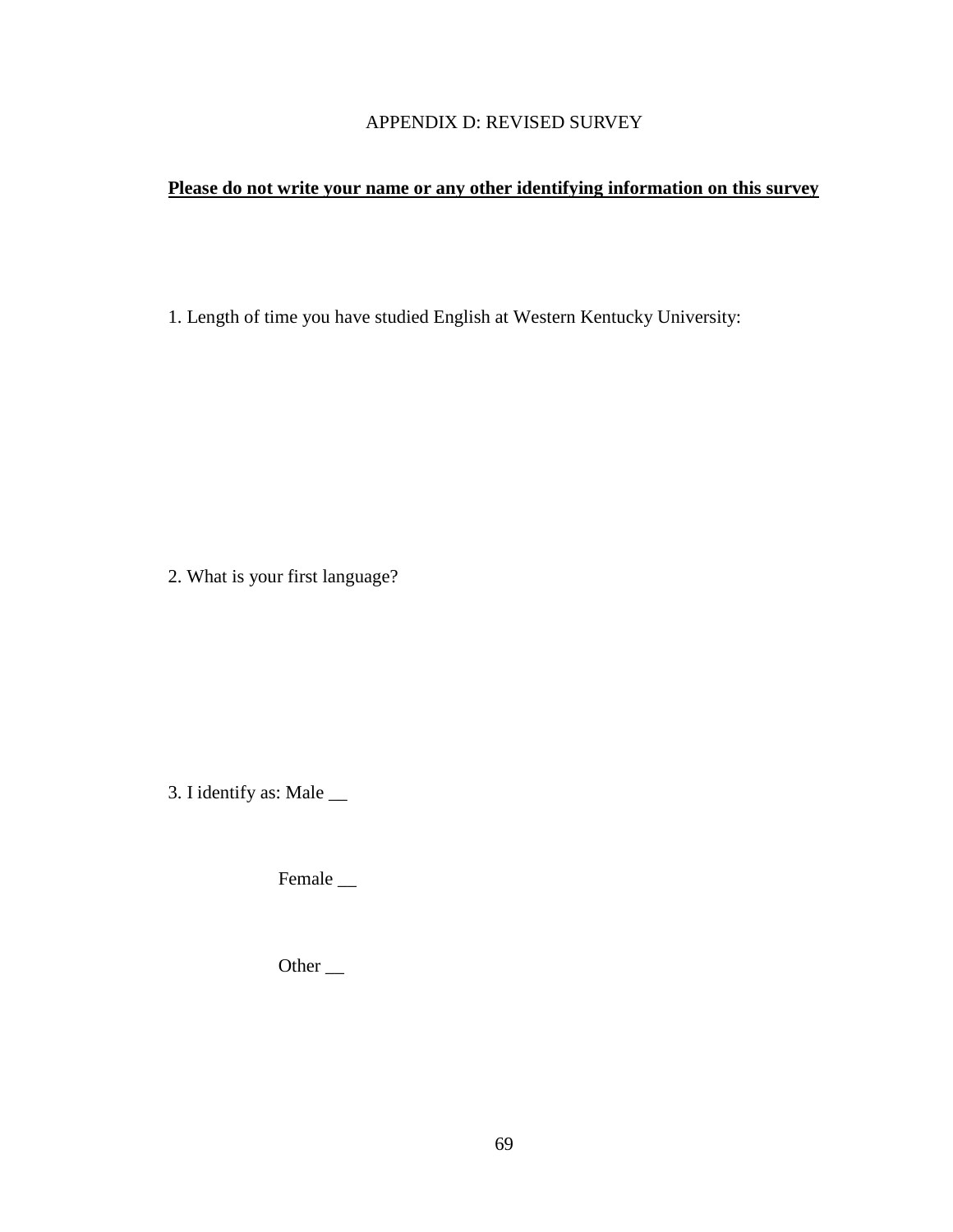## APPENDIX D: REVISED SURVEY

### **Please do not write your name or any other identifying information on this survey**

1. Length of time you have studied English at Western Kentucky University:

2. What is your first language?

3. I identify as: Male \_\_

Female \_\_

Other \_\_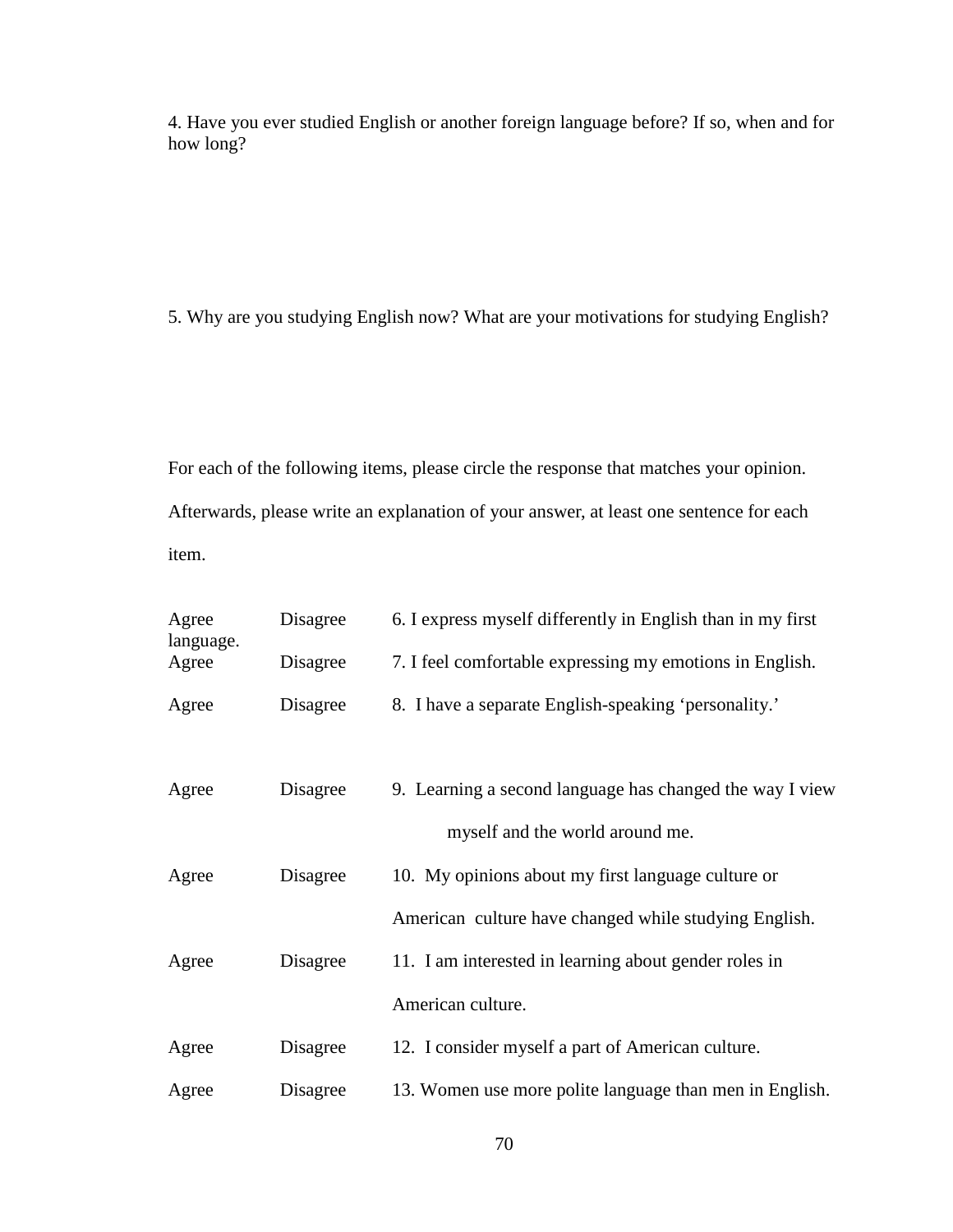4. Have you ever studied English or another foreign language before? If so, when and for how long?

5. Why are you studying English now? What are your motivations for studying English?

For each of the following items, please circle the response that matches your opinion. Afterwards, please write an explanation of your answer, at least one sentence for each item.

| Agree<br>language. | Disagree | 6. I express myself differently in English than in my first |
|--------------------|----------|-------------------------------------------------------------|
| Agree              | Disagree | 7. I feel comfortable expressing my emotions in English.    |
| Agree              | Disagree | 8. I have a separate English-speaking 'personality.'        |
|                    |          |                                                             |
| Agree              | Disagree | 9. Learning a second language has changed the way I view    |
|                    |          | myself and the world around me.                             |
| Agree              | Disagree | 10. My opinions about my first language culture or          |
|                    |          | American culture have changed while studying English.       |
| Agree              | Disagree | 11. I am interested in learning about gender roles in       |
|                    |          | American culture.                                           |
| Agree              | Disagree | 12. I consider myself a part of American culture.           |
| Agree              | Disagree | 13. Women use more polite language than men in English.     |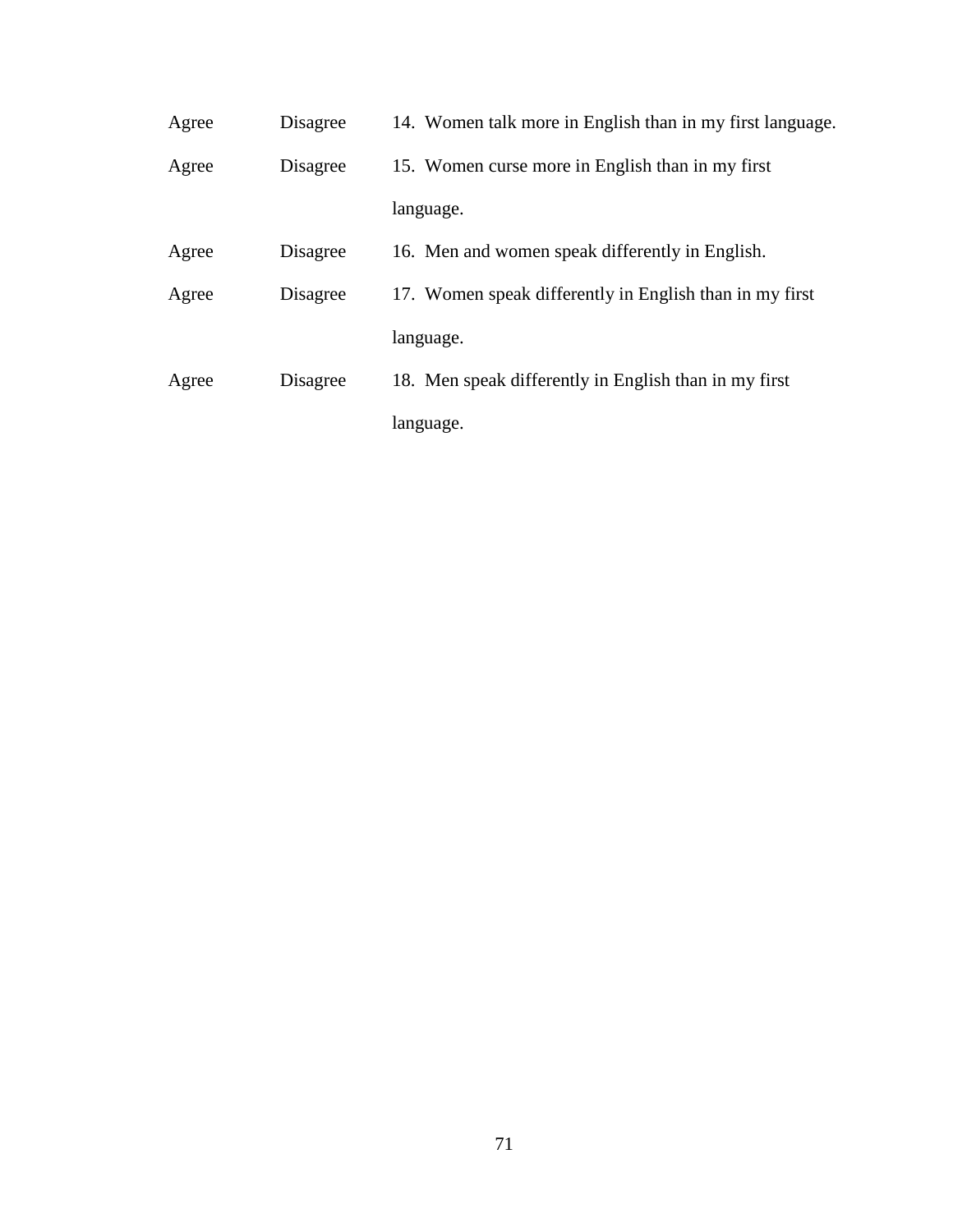| Agree | Disagree | 14. Women talk more in English than in my first language. |
|-------|----------|-----------------------------------------------------------|
| Agree | Disagree | 15. Women curse more in English than in my first          |
|       |          | language.                                                 |
| Agree | Disagree | 16. Men and women speak differently in English.           |
| Agree | Disagree | 17. Women speak differently in English than in my first   |
|       |          | language.                                                 |
| Agree | Disagree | 18. Men speak differently in English than in my first     |
|       |          | language.                                                 |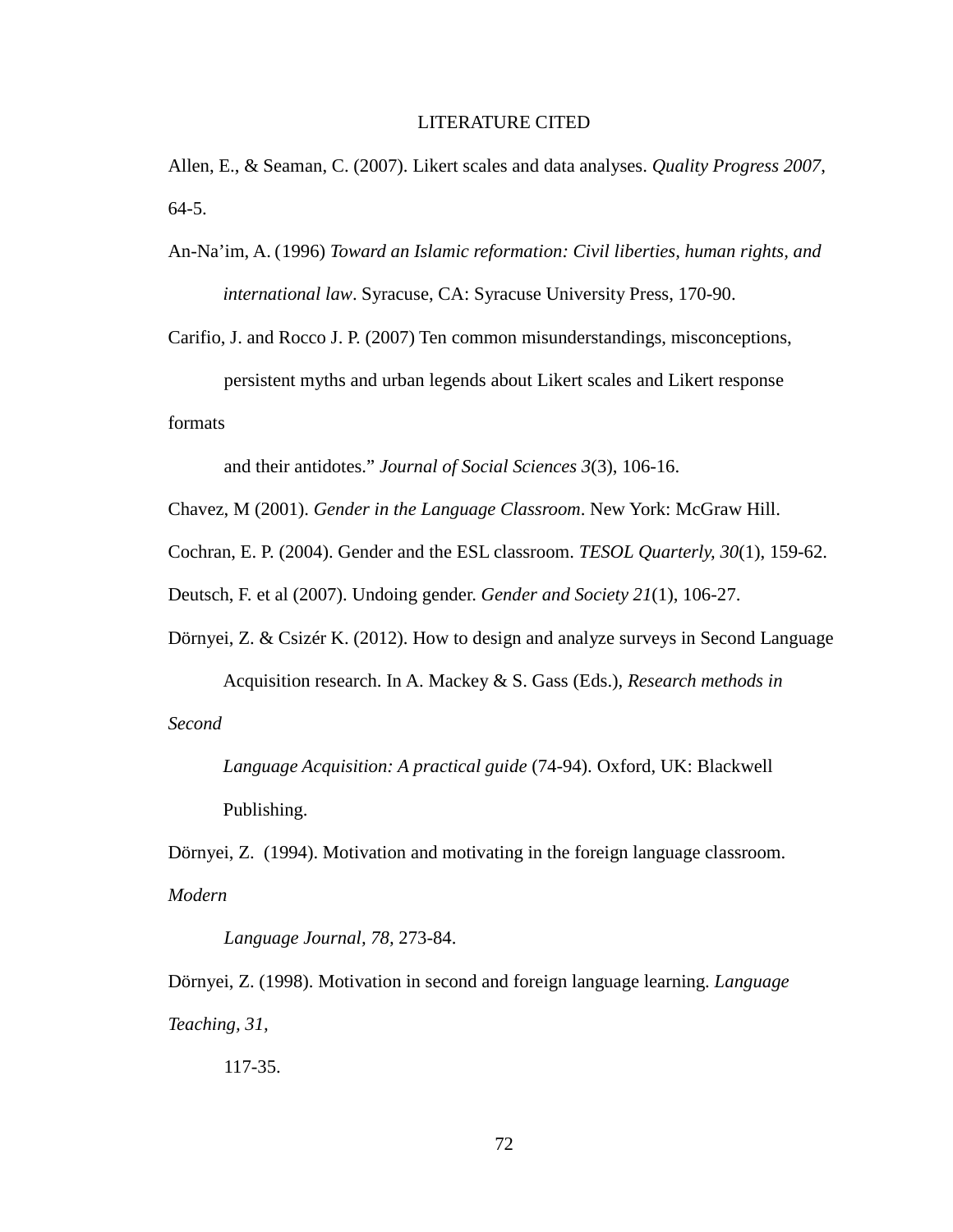#### LITERATURE CITED

Allen, E., & Seaman, C. (2007). Likert scales and data analyses. *Quality Progress 2007*, 64-5.

An-Na'im, A. (1996) *Toward an Islamic reformation: Civil liberties, human rights, and international law*. Syracuse, CA: Syracuse University Press, 170-90.

Carifio, J. and Rocco J. P. (2007) Ten common misunderstandings, misconceptions, persistent myths and urban legends about Likert scales and Likert response

formats

and their antidotes." *Journal of Social Sciences 3*(3), 106-16.

Chavez, M (2001). *Gender in the Language Classroom*. New York: McGraw Hill.

Cochran, E. P. (2004). Gender and the ESL classroom. *TESOL Quarterly, 30*(1), 159-62.

Deutsch, F. et al (2007). Undoing gender. *Gender and Society 21*(1), 106-27.

Dörnyei, Z. & Csizér K. (2012). How to design and analyze surveys in Second Language

Acquisition research. In A. Mackey & S. Gass (Eds.), *Research methods in Second* 

*Language Acquisition: A practical guide* (74-94). Oxford, UK: Blackwell Publishing.

Dörnyei, Z. (1994). Motivation and motivating in the foreign language classroom. *Modern* 

*Language Journal, 78,* 273-84.

Dörnyei, Z. (1998). Motivation in second and foreign language learning. *Language Teaching, 31,*

117-35.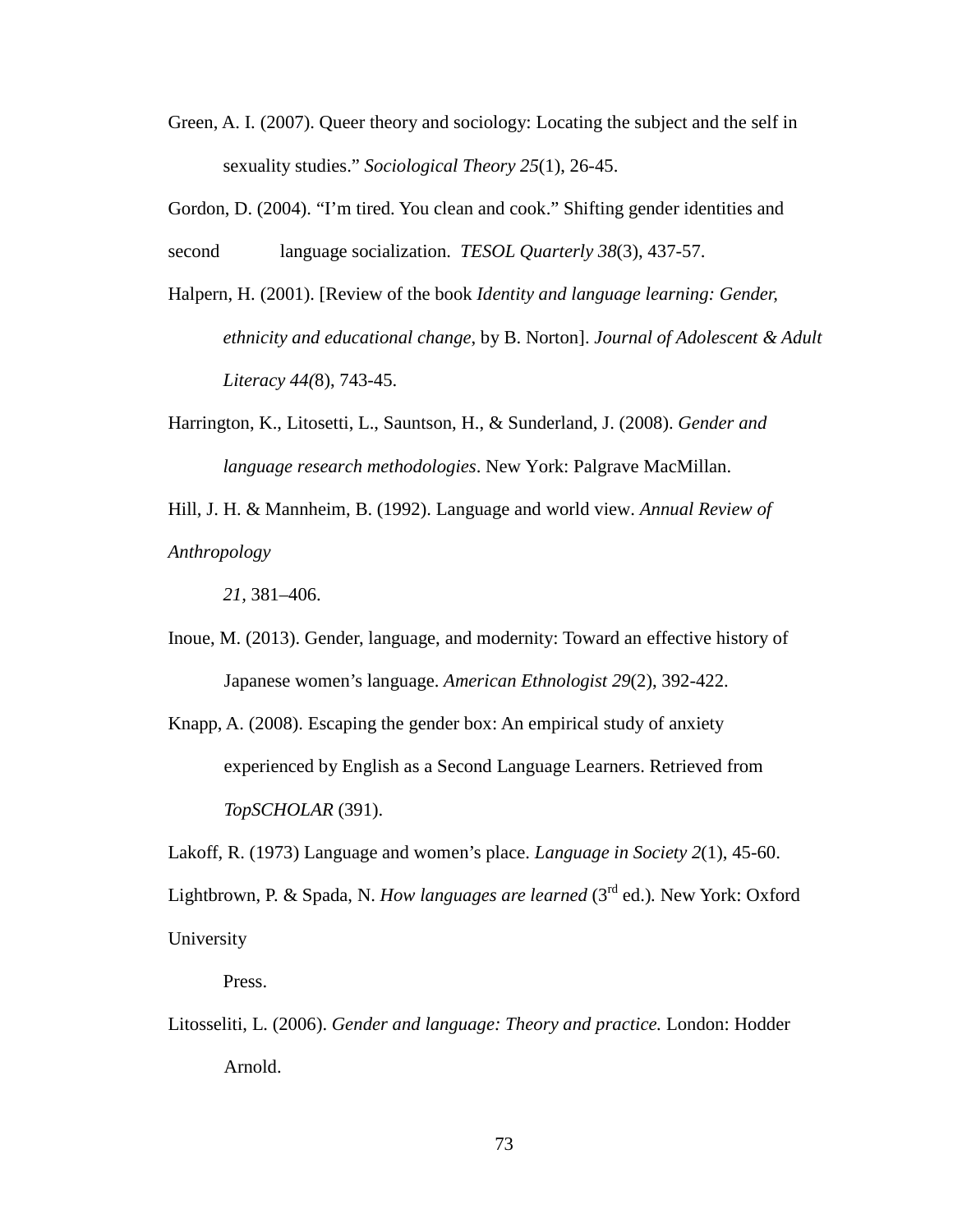- Green, A. I. (2007). Queer theory and sociology: Locating the subject and the self in sexuality studies." *Sociological Theory 25*(1), 26-45.
- Gordon, D. (2004). "I'm tired. You clean and cook." Shifting gender identities and second language socialization. *TESOL Quarterly 38*(3), 437-57.
- Halpern, H. (2001). [Review of the book *Identity and language learning: Gender, ethnicity and educational change*, by B. Norton]. *Journal of Adolescent & Adult Literacy 44(*8), 743-45.
- Harrington, K., Litosetti, L., Sauntson, H., & Sunderland, J. (2008). *Gender and language research methodologies*. New York: Palgrave MacMillan.

Hill, J. H. & Mannheim, B. (1992). Language and world view. *Annual Review of Anthropology*

*21,* 381–406.

- Inoue, M. (2013). Gender, language, and modernity: Toward an effective history of Japanese women's language. *American Ethnologist 29*(2), 392-422.
- Knapp, A. (2008). Escaping the gender box: An empirical study of anxiety experienced by English as a Second Language Learners. Retrieved from *TopSCHOLAR* (391).

Lakoff, R. (1973) Language and women's place. *Language in Society 2*(1), 45-60. Lightbrown, P. & Spada, N. *How languages are learned* (3rd ed.)*.* New York: Oxford University

Press.

Litosseliti, L. (2006). *Gender and language: Theory and practice.* London: Hodder Arnold.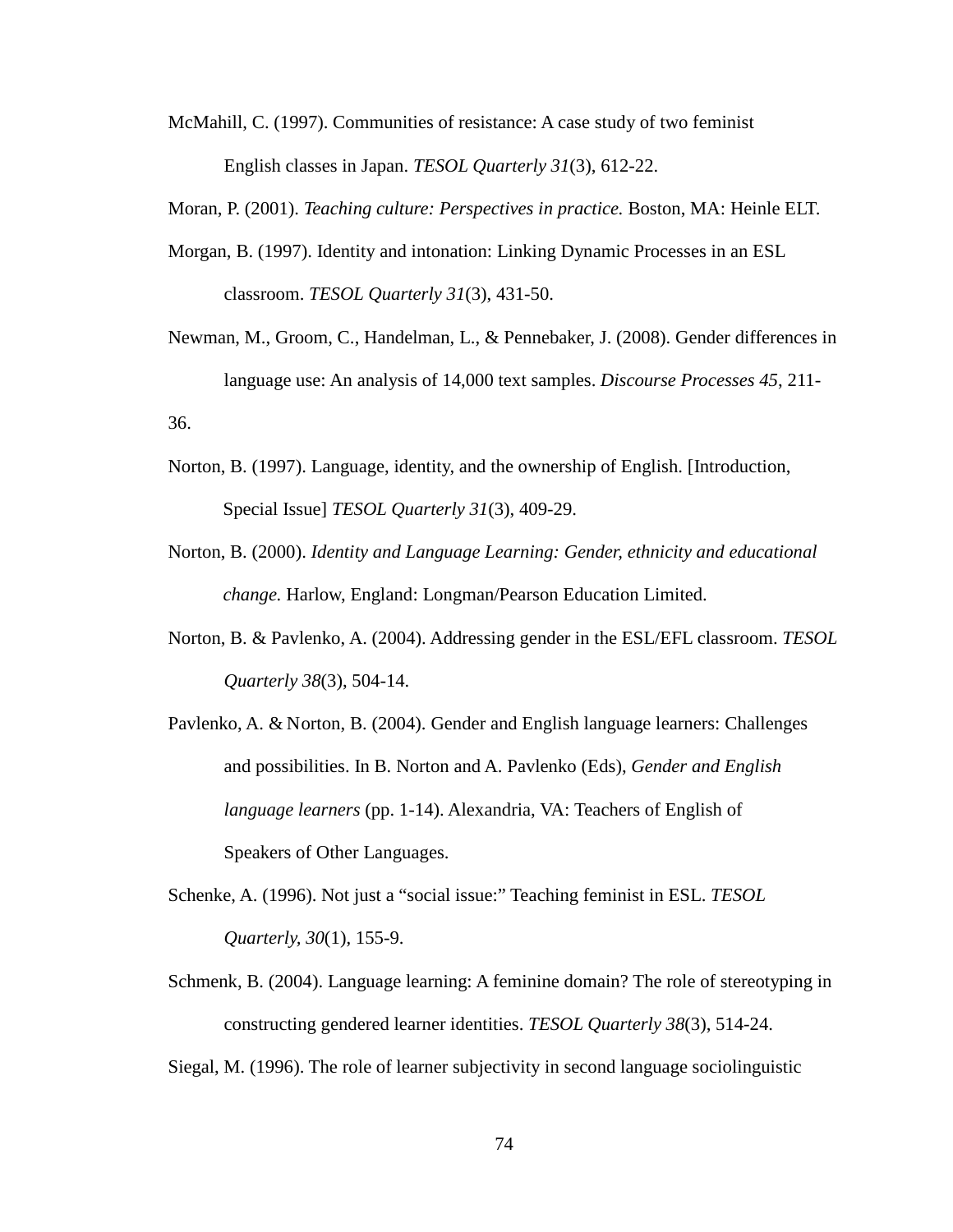McMahill, C. (1997). Communities of resistance: A case study of two feminist English classes in Japan. *TESOL Quarterly 31*(3), 612-22.

Moran, P. (2001). *Teaching culture: Perspectives in practice.* Boston, MA: Heinle ELT.

- Morgan, B. (1997). Identity and intonation: Linking Dynamic Processes in an ESL classroom. *TESOL Quarterly 31*(3), 431-50.
- Newman, M., Groom, C., Handelman, L., & Pennebaker, J. (2008). Gender differences in language use: An analysis of 14,000 text samples. *Discourse Processes 45*, 211- 36.
- Norton, B. (1997). Language, identity, and the ownership of English. [Introduction, Special Issue] *TESOL Quarterly 31*(3), 409-29.
- Norton, B. (2000). *Identity and Language Learning: Gender, ethnicity and educational change.* Harlow, England: Longman/Pearson Education Limited.
- Norton, B. & Pavlenko, A. (2004). Addressing gender in the ESL/EFL classroom. *TESOL Quarterly 38*(3), 504-14.
- Pavlenko, A. & Norton, B. (2004). Gender and English language learners: Challenges and possibilities. In B. Norton and A. Pavlenko (Eds), *Gender and English language learners* (pp. 1-14). Alexandria, VA: Teachers of English of Speakers of Other Languages.
- Schenke, A. (1996). Not just a "social issue:" Teaching feminist in ESL. *TESOL Quarterly, 30*(1), 155-9.
- Schmenk, B. (2004). Language learning: A feminine domain? The role of stereotyping in constructing gendered learner identities. *TESOL Quarterly 38*(3), 514-24.

Siegal, M. (1996). The role of learner subjectivity in second language sociolinguistic